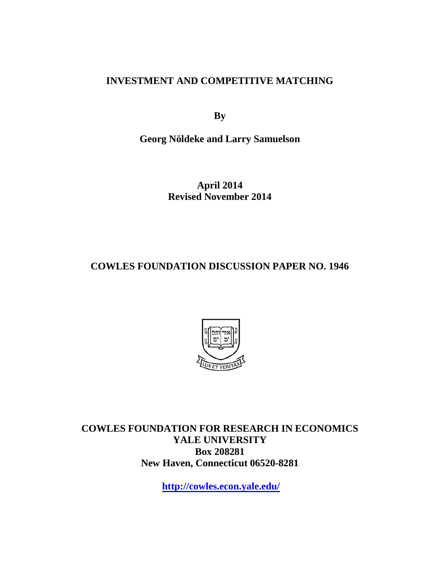### **INVESTMENT AND COMPETITIVE MATCHING**

**By**

**Georg Nöldeke and Larry Samuelson**

**April 2014 Revised November 2014**

**COWLES FOUNDATION DISCUSSION PAPER NO. 1946**



**COWLES FOUNDATION FOR RESEARCH IN ECONOMICS YALE UNIVERSITY Box 208281 New Haven, Connecticut 06520-8281**

**<http://cowles.econ.yale.edu/>**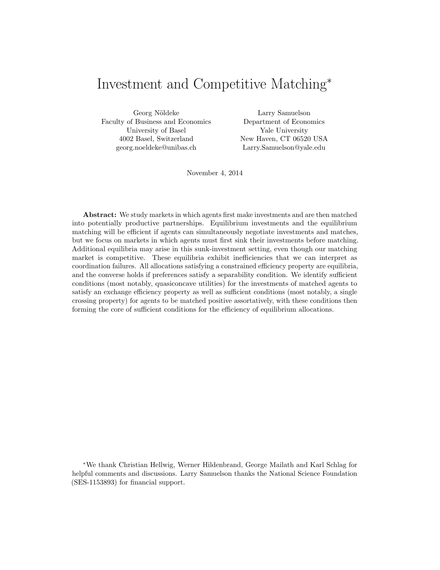# Investment and Competitive Matching<sup>∗</sup>

Georg Nöldeke Larry Samuelson Faculty of Business and Economics Department of Economics University of Basel Yale University 4002 Basel, Switzerland New Haven, CT 06520 USA georg.noeldeke@unibas.ch Larry.Samuelson@yale.edu

November 4, 2014

Abstract: We study markets in which agents first make investments and are then matched into potentially productive partnerships. Equilibrium investments and the equilibrium matching will be efficient if agents can simultaneously negotiate investments and matches, but we focus on markets in which agents must first sink their investments before matching. Additional equilibria may arise in this sunk-investment setting, even though our matching market is competitive. These equilibria exhibit inefficiencies that we can interpret as coordination failures. All allocations satisfying a constrained efficiency property are equilibria, and the converse holds if preferences satisfy a separability condition. We identify sufficient conditions (most notably, quasiconcave utilities) for the investments of matched agents to satisfy an exchange efficiency property as well as sufficient conditions (most notably, a single crossing property) for agents to be matched positive assortatively, with these conditions then forming the core of sufficient conditions for the efficiency of equilibrium allocations.

<sup>∗</sup>We thank Christian Hellwig, Werner Hildenbrand, George Mailath and Karl Schlag for helpful comments and discussions. Larry Samuelson thanks the National Science Foundation (SES-1153893) for financial support.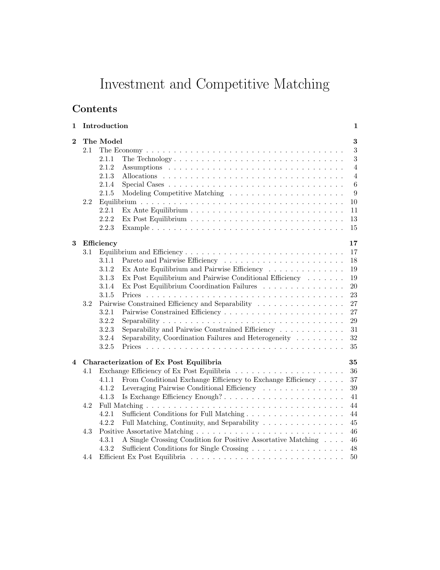# Investment and Competitive Matching

# Contents

| 1                       |     | Introduction                                                                 | 1                |
|-------------------------|-----|------------------------------------------------------------------------------|------------------|
| $\bf{2}$                |     | The Model                                                                    | $\bf{3}$         |
|                         | 2.1 |                                                                              | 3                |
|                         |     | 2.1.1                                                                        | $\sqrt{3}$       |
|                         |     | 2.1.2                                                                        | $\overline{4}$   |
|                         |     | 2.1.3                                                                        | 4                |
|                         |     | 2.1.4                                                                        | $\,6\,$          |
|                         |     | 2.1.5                                                                        | $\boldsymbol{9}$ |
|                         | 2.2 |                                                                              | 10               |
|                         |     | 2.2.1                                                                        | 11               |
|                         |     | 2.2.2                                                                        | 13               |
|                         |     | 2.2.3<br>15                                                                  |                  |
| 3                       |     | Efficiency<br>17                                                             |                  |
|                         | 3.1 |                                                                              | 17               |
|                         |     | 3.1.1                                                                        | 18               |
|                         |     | Ex Ante Equilibrium and Pairwise Efficiency<br>3.1.2                         | 19               |
|                         |     | Ex Post Equilibrium and Pairwise Conditional Efficiency<br>$19\,$<br>3.1.3   |                  |
|                         |     | Ex Post Equilibrium Coordination Failures<br>3.1.4<br>$20\,$                 |                  |
|                         |     | 3.1.5<br>23                                                                  |                  |
|                         | 3.2 | Pairwise Constrained Efficiency and Separability<br>27                       |                  |
|                         |     | 3.2.1                                                                        | 27               |
|                         |     | 3.2.2<br>29                                                                  |                  |
|                         |     | 3.2.3<br>Separability and Pairwise Constrained Efficiency                    | 31               |
|                         |     | Separability, Coordination Failures and Heterogeneity<br>3.2.4               | 32               |
|                         |     | 3.2.5<br>35                                                                  |                  |
|                         |     |                                                                              |                  |
| $\overline{\mathbf{4}}$ |     | Characterization of Ex Post Equilibria<br>35                                 |                  |
|                         | 4.1 |                                                                              | 36               |
|                         |     | From Conditional Exchange Efficiency to Exchange Efficiency<br>4.1.1         | 37               |
|                         |     | Leveraging Pairwise Conditional Efficiency<br>4.1.2                          | 39               |
|                         |     | 4.1.3                                                                        | 41               |
|                         | 4.2 | 44                                                                           |                  |
|                         |     | 4.2.1<br>Sufficient Conditions for Full Matching<br>44                       |                  |
|                         |     | Full Matching, Continuity, and Separability<br>4.2.2<br>$45\,$               |                  |
|                         | 4.3 | 46                                                                           |                  |
|                         |     | A Single Crossing Condition for Positive Assortative Matching<br>4.3.1<br>46 |                  |
|                         |     | Sufficient Conditions for Single Crossing<br>4.3.2<br>48                     |                  |
|                         | 4.4 | 50                                                                           |                  |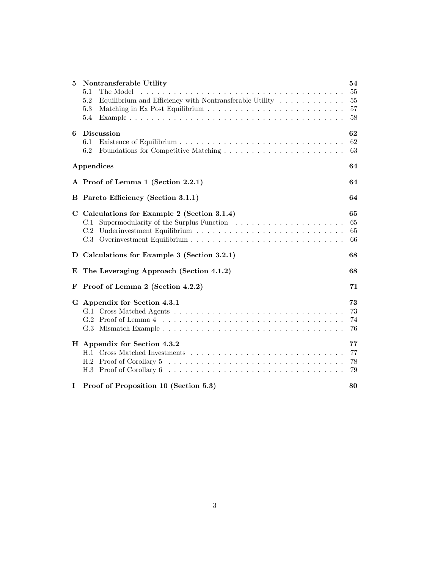| 5 | Nontransferable Utility                                                                      | 54     |
|---|----------------------------------------------------------------------------------------------|--------|
|   | The Model<br>5.1                                                                             | 55     |
|   | Equilibrium and Efficiency with Nontransferable Utility $\ldots \ldots \ldots \ldots$<br>5.2 | $55\,$ |
|   | 5.3                                                                                          | 57     |
|   | 5.4                                                                                          | 58     |
| 6 | <b>Discussion</b>                                                                            | 62     |
|   | 6.1                                                                                          | 62     |
|   | 6.2                                                                                          | 63     |
|   | Appendices                                                                                   | 64     |
|   | A Proof of Lemma 1 (Section 2.2.1)                                                           | 64     |
| B | Pareto Efficiency (Section 3.1.1)                                                            | 64     |
| С | Calculations for Example 2 (Section 3.1.4)                                                   | 65     |
|   | $\rm C.1$                                                                                    | 65     |
|   |                                                                                              | 65     |
|   |                                                                                              | 66     |
| D | Calculations for Example 3 (Section 3.2.1)                                                   | 68     |
| Е | The Leveraging Approach (Section 4.1.2)                                                      | 68     |
| F | Proof of Lemma 2 (Section 4.2.2)                                                             | 71     |
|   | G Appendix for Section 4.3.1                                                                 | 73     |
|   |                                                                                              | 73     |
|   |                                                                                              | 74     |
|   |                                                                                              | 76     |
|   | H Appendix for Section 4.3.2                                                                 | 77     |
|   |                                                                                              | 77     |
|   |                                                                                              | 78     |
|   |                                                                                              | 79     |
| I | Proof of Proposition 10 (Section 5.3)                                                        | 80     |
|   |                                                                                              |        |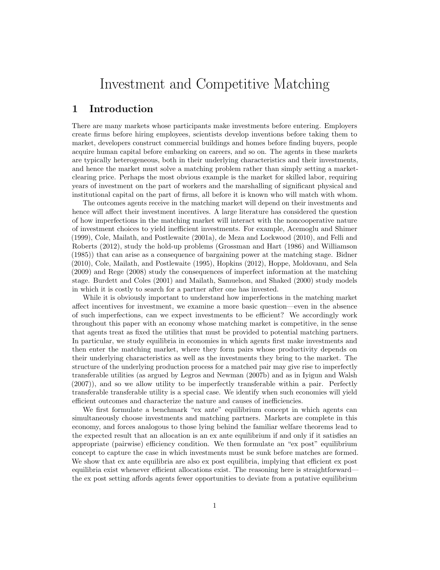# Investment and Competitive Matching

### 1 Introduction

There are many markets whose participants make investments before entering. Employers create firms before hiring employees, scientists develop inventions before taking them to market, developers construct commercial buildings and homes before finding buyers, people acquire human capital before embarking on careers, and so on. The agents in these markets are typically heterogeneous, both in their underlying characteristics and their investments, and hence the market must solve a matching problem rather than simply setting a marketclearing price. Perhaps the most obvious example is the market for skilled labor, requiring years of investment on the part of workers and the marshalling of significant physical and institutional capital on the part of firms, all before it is known who will match with whom.

The outcomes agents receive in the matching market will depend on their investments and hence will affect their investment incentives. A large literature has considered the question of how imperfections in the matching market will interact with the noncooperative nature of investment choices to yield inefficient investments. For example, Acemoglu and Shimer (1999), Cole, Mailath, and Postlewaite (2001a), de Meza and Lockwood (2010), and Felli and Roberts (2012), study the hold-up problems (Grossman and Hart (1986) and Williamson (1985)) that can arise as a consequence of bargaining power at the matching stage. Bidner (2010), Cole, Mailath, and Postlewaite (1995), Hopkins (2012), Hoppe, Moldovanu, and Sela (2009) and Rege (2008) study the consequences of imperfect information at the matching stage. Burdett and Coles (2001) and Mailath, Samuelson, and Shaked (2000) study models in which it is costly to search for a partner after one has invested.

While it is obviously important to understand how imperfections in the matching market affect incentives for investment, we examine a more basic question—even in the absence of such imperfections, can we expect investments to be efficient? We accordingly work throughout this paper with an economy whose matching market is competitive, in the sense that agents treat as fixed the utilities that must be provided to potential matching partners. In particular, we study equilibria in economies in which agents first make investments and then enter the matching market, where they form pairs whose productivity depends on their underlying characteristics as well as the investments they bring to the market. The structure of the underlying production process for a matched pair may give rise to imperfectly transferable utilities (as argued by Legros and Newman (2007b) and as in Iyigun and Walsh (2007)), and so we allow utility to be imperfectly transferable within a pair. Perfectly transferable transferable utility is a special case. We identify when such economies will yield efficient outcomes and characterize the nature and causes of inefficiencies.

We first formulate a benchmark "ex ante" equilibrium concept in which agents can simultaneously choose investments and matching partners. Markets are complete in this economy, and forces analogous to those lying behind the familiar welfare theorems lead to the expected result that an allocation is an ex ante equilibrium if and only if it satisfies an appropriate (pairwise) efficiency condition. We then formulate an "ex post" equilibrium concept to capture the case in which investments must be sunk before matches are formed. We show that ex ante equilibria are also ex post equilibria, implying that efficient ex post equilibria exist whenever efficient allocations exist. The reasoning here is straightforward the ex post setting affords agents fewer opportunities to deviate from a putative equilibrium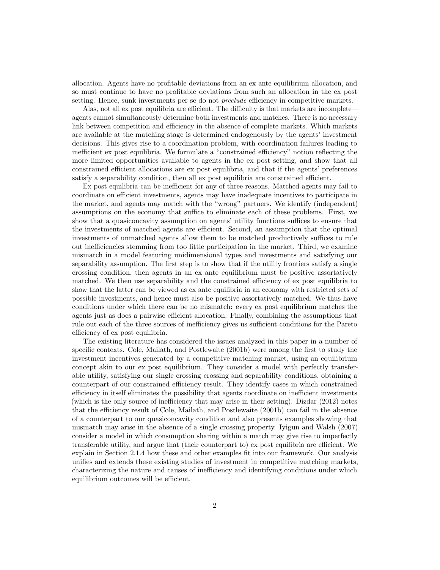allocation. Agents have no profitable deviations from an ex ante equilibrium allocation, and so must continue to have no profitable deviations from such an allocation in the ex post setting. Hence, sunk investments per se do not *preclude* efficiency in competitive markets.

Alas, not all ex post equilibria are efficient. The difficulty is that markets are incomplete agents cannot simultaneously determine both investments and matches. There is no necessary link between competition and efficiency in the absence of complete markets. Which markets are available at the matching stage is determined endogenously by the agents' investment decisions. This gives rise to a coordination problem, with coordination failures leading to inefficient ex post equilibria. We formulate a "constrained efficiency" notion reflecting the more limited opportunities available to agents in the ex post setting, and show that all constrained efficient allocations are ex post equilibria, and that if the agents' preferences satisfy a separability condition, then all ex post equilibria are constrained efficient.

Ex post equilibria can be inefficient for any of three reasons. Matched agents may fail to coordinate on efficient investments, agents may have inadequate incentives to participate in the market, and agents may match with the "wrong" partners. We identify (independent) assumptions on the economy that suffice to eliminate each of these problems. First, we show that a quasiconcavity assumption on agents' utility functions suffices to ensure that the investments of matched agents are efficient. Second, an assumption that the optimal investments of unmatched agents allow them to be matched productively suffices to rule out inefficiencies stemming from too little participation in the market. Third, we examine mismatch in a model featuring unidimensional types and investments and satisfying our separability assumption. The first step is to show that if the utility frontiers satisfy a single crossing condition, then agents in an ex ante equilibrium must be positive assortatively matched. We then use separability and the constrained efficiency of ex post equilibria to show that the latter can be viewed as ex ante equilibria in an economy with restricted sets of possible investments, and hence must also be positive assortatively matched. We thus have conditions under which there can be no mismatch: every ex post equilibrium matches the agents just as does a pairwise efficient allocation. Finally, combining the assumptions that rule out each of the three sources of inefficiency gives us sufficient conditions for the Pareto efficiency of ex post equilibria.

The existing literature has considered the issues analyzed in this paper in a number of specific contexts. Cole, Mailath, and Postlewaite (2001b) were among the first to study the investment incentives generated by a competitive matching market, using an equilibrium concept akin to our ex post equilibrium. They consider a model with perfectly transferable utility, satisfying our single crossing crossing and separability conditions, obtaining a counterpart of our constrained efficiency result. They identify cases in which constrained efficiency in itself eliminates the possibility that agents coordinate on inefficient investments (which is the only source of inefficiency that may arise in their setting). Dizdar (2012) notes that the efficiency result of Cole, Mailath, and Postlewaite (2001b) can fail in the absence of a counterpart to our quasiconcavity condition and also presents examples showing that mismatch may arise in the absence of a single crossing property. Iyigun and Walsh (2007) consider a model in which consumption sharing within a match may give rise to imperfectly transferable utility, and argue that (their counterpart to) ex post equilibria are efficient. We explain in Section 2.1.4 how these and other examples fit into our framework. Our analysis unifies and extends these existing studies of investment in competitive matching markets, characterizing the nature and causes of inefficiency and identifying conditions under which equilibrium outcomes will be efficient.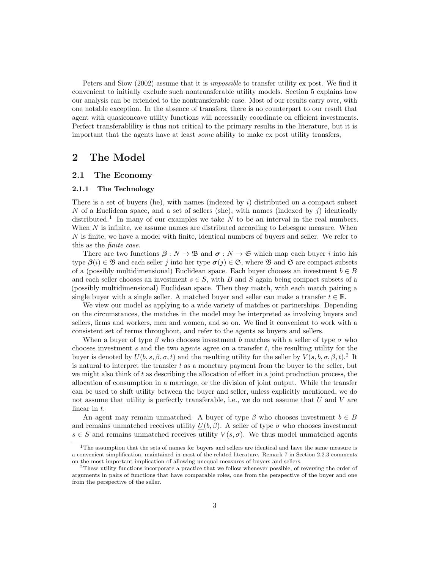Peters and Siow (2002) assume that it is *impossible* to transfer utility ex post. We find it convenient to initially exclude such nontransferable utility models. Section 5 explains how our analysis can be extended to the nontransferable case. Most of our results carry over, with one notable exception. In the absence of transfers, there is no counterpart to our result that agent with quasiconcave utility functions will necessarily coordinate on efficient investments. Perfect transferablility is thus not critical to the primary results in the literature, but it is important that the agents have at least some ability to make ex post utility transfers,

### 2 The Model

#### 2.1 The Economy

#### 2.1.1 The Technology

There is a set of buyers (he), with names (indexed by  $i$ ) distributed on a compact subset N of a Euclidean space, and a set of sellers (she), with names (indexed by  $j$ ) identically distributed.<sup>1</sup> In many of our examples we take  $N$  to be an interval in the real numbers. When  $N$  is infinite, we assume names are distributed according to Lebesgue measure. When N is finite, we have a model with finite, identical numbers of buyers and seller. We refer to this as the finite case.

There are two functions  $\beta : N \to \mathfrak{B}$  and  $\sigma : N \to \mathfrak{S}$  which map each buyer i into his type  $\beta(i) \in \mathfrak{B}$  and each seller j into her type  $\sigma(j) \in \mathfrak{S}$ , where  $\mathfrak{B}$  and  $\mathfrak{S}$  are compact subsets of a (possibly multidimensional) Euclidean space. Each buyer chooses an investment  $b \in B$ and each seller chooses an investment  $s \in S$ , with B and S again being compact subsets of a (possibly multidimensional) Euclidean space. Then they match, with each match pairing a single buyer with a single seller. A matched buyer and seller can make a transfer  $t \in \mathbb{R}$ .

We view our model as applying to a wide variety of matches or partnerships. Depending on the circumstances, the matches in the model may be interpreted as involving buyers and sellers, firms and workers, men and women, and so on. We find it convenient to work with a consistent set of terms throughout, and refer to the agents as buyers and sellers.

When a buyer of type  $\beta$  who chooses investment b matches with a seller of type  $\sigma$  who chooses investment  $s$  and the two agents agree on a transfer  $t$ , the resulting utility for the buyer is denoted by  $U(b, s, \beta, \sigma, t)$  and the resulting utility for the seller by  $V(s, b, \sigma, \beta, t)$ .<sup>2</sup> It is natural to interpret the transfer  $t$  as a monetary payment from the buyer to the seller, but we might also think of t as describing the allocation of effort in a joint production process, the allocation of consumption in a marriage, or the division of joint output. While the transfer can be used to shift utility between the buyer and seller, unless explicitly mentioned, we do not assume that utility is perfectly transferable, i.e., we do not assume that U and V are linear in t.

An agent may remain unmatched. A buyer of type  $\beta$  who chooses investment  $b \in B$ and remains unmatched receives utility  $\underline{U}(b, \beta)$ . A seller of type  $\sigma$  who chooses investment  $s \in S$  and remains unmatched receives utility  $V(s, \sigma)$ . We thus model unmatched agents

 $1$ The assumption that the sets of names for buyers and sellers are identical and have the same measure is a convenient simplification, maintained in most of the related literature. Remark 7 in Section 2.2.3 comments on the most important implication of allowing unequal measures of buyers and sellers.

 $2$ These utility functions incorporate a practice that we follow whenever possible, of reversing the order of arguments in pairs of functions that have comparable roles, one from the perspective of the buyer and one from the perspective of the seller.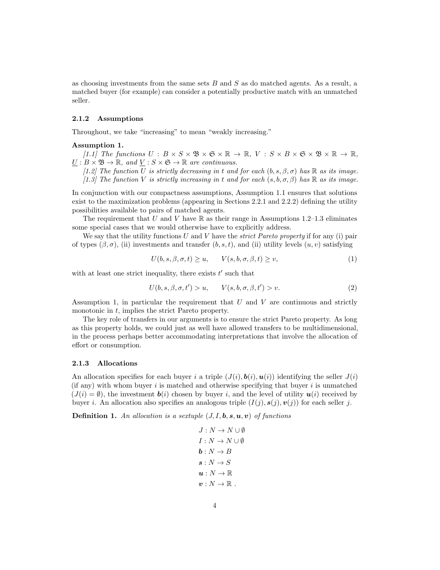as choosing investments from the same sets  $B$  and  $S$  as do matched agents. As a result, a matched buyer (for example) can consider a potentially productive match with an unmatched seller.

#### 2.1.2 Assumptions

Throughout, we take "increasing" to mean "weakly increasing."

#### Assumption 1.

[1.1] The functions  $U : B \times S \times \mathfrak{B} \times \mathfrak{S} \times \mathbb{R} \to \mathbb{R}, V : S \times B \times \mathfrak{S} \times \mathfrak{B} \times \mathbb{R} \to \mathbb{R},$  $U : B \times \mathfrak{B} \to \mathbb{R}$ , and  $V : S \times \mathfrak{S} \to \mathbb{R}$  are continuous.

 $[1.2]$  The function U is strictly decreasing in t and for each  $(b, s, \beta, \sigma)$  has R as its image.

[1.3] The function V is strictly increasing in t and for each  $(s, b, \sigma, \beta)$  has R as its image.

In conjunction with our compactness assumptions, Assumption 1.1 ensures that solutions exist to the maximization problems (appearing in Sections 2.2.1 and 2.2.2) defining the utility possibilities available to pairs of matched agents.

The requirement that U and V have  $\mathbb R$  as their range in Assumptions 1.2–1.3 eliminates some special cases that we would otherwise have to explicitly address.

We say that the utility functions  $U$  and  $V$  have the *strict Pareto property* if for any (i) pair of types  $(\beta, \sigma)$ , (ii) investments and transfer  $(b, s, t)$ , and (ii) utility levels  $(u, v)$  satisfying

$$
U(b, s, \beta, \sigma, t) \ge u, \qquad V(s, b, \sigma, \beta, t) \ge v,\tag{1}
$$

with at least one strict inequality, there exists  $t'$  such that

$$
U(b, s, \beta, \sigma, t') > u, \qquad V(s, b, \sigma, \beta, t') > v.
$$
\n<sup>(2)</sup>

Assumption 1, in particular the requirement that  $U$  and  $V$  are continuous and strictly monotonic in t, implies the strict Pareto property.

The key role of transfers in our arguments is to ensure the strict Pareto property. As long as this property holds, we could just as well have allowed transfers to be multidimensional, in the process perhaps better accommodating interpretations that involve the allocation of effort or consumption.

#### 2.1.3 Allocations

An allocation specifies for each buyer i a triple  $(J(i), b(i), u(i))$  identifying the seller  $J(i)$ (if any) with whom buyer i is matched and otherwise specifying that buyer i is unmatched  $(J(i) = \emptyset)$ , the investment  $\mathbf{b}(i)$  chosen by buyer i, and the level of utility  $\mathbf{u}(i)$  received by buyer *i*. An allocation also specifies an analogous triple  $(I(j), s(j), v(j))$  for each seller *j*.

**Definition 1.** An allocation is a sextuple  $(J, I, \mathbf{b}, \mathbf{s}, \mathbf{u}, \mathbf{v})$  of functions

$$
J: N \to N \cup \emptyset
$$
  
\n
$$
I: N \to N \cup \emptyset
$$
  
\n
$$
b: N \to B
$$
  
\n
$$
s: N \to S
$$
  
\n
$$
u: N \to \mathbb{R}
$$
  
\n
$$
v: N \to \mathbb{R}
$$
.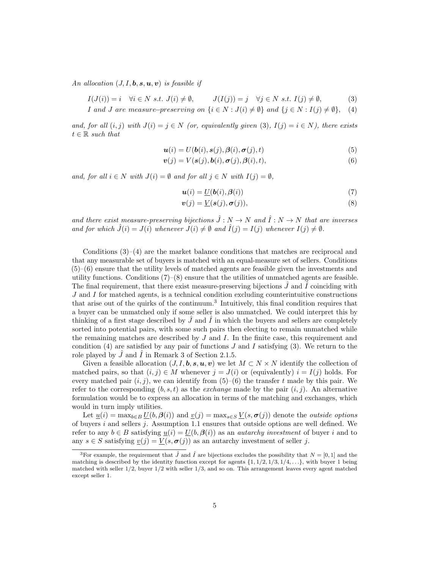An allocation  $(J, I, b, s, u, v)$  is feasible if

$$
I(J(i)) = i \quad \forall i \in N \text{ s.t. } J(i) \neq \emptyset, \qquad J(I(j)) = j \quad \forall j \in N \text{ s.t. } I(j) \neq \emptyset,
$$
 (3)

$$
I \text{ and } J \text{ are measure-preserving on } \{i \in N : J(i) \neq \emptyset\} \text{ and } \{j \in N : I(j) \neq \emptyset\}, \quad (4)
$$

and, for all  $(i, j)$  with  $J(i) = j \in N$  (or, equivalently given (3),  $I(j) = i \in N$ ), there exists  $t \in \mathbb{R}$  such that

$$
\mathbf{u}(i) = U(\mathbf{b}(i), \mathbf{s}(j), \boldsymbol{\beta}(i), \boldsymbol{\sigma}(j), t) \tag{5}
$$

$$
\mathbf{v}(j) = V(\mathbf{s}(j), \mathbf{b}(i), \boldsymbol{\sigma}(j), \boldsymbol{\beta}(i), t),
$$
\n(6)

and, for all  $i \in N$  with  $J(i) = \emptyset$  and for all  $j \in N$  with  $I(j) = \emptyset$ ,

$$
\mathbf{u}(i) = \underline{U}(\mathbf{b}(i), \boldsymbol{\beta}(i))\tag{7}
$$

$$
\mathbf{v}(j) = \underline{V}(\mathbf{s}(j), \boldsymbol{\sigma}(j)),\tag{8}
$$

and there exist measure-preserving bijections  $\hat{J}: N \to N$  and  $\hat{I}: N \to N$  that are inverses and for which  $\hat{J}(i) = J(i)$  whenever  $J(i) \neq \emptyset$  and  $\hat{I}(j) = I(j)$  whenever  $I(j) \neq \emptyset$ .

Conditions (3)–(4) are the market balance conditions that matches are reciprocal and that any measurable set of buyers is matched with an equal-measure set of sellers. Conditions (5)–(6) ensure that the utility levels of matched agents are feasible given the investments and utility functions. Conditions (7)–(8) ensure that the utilities of unmatched agents are feasible. The final requirement, that there exist measure-preserving bijections  $J$  and  $I$  coinciding with  $J$  and  $I$  for matched agents, is a technical condition excluding counterintuitive constructions that arise out of the quirks of the continuum.<sup>3</sup> Intuitively, this final condition requires that a buyer can be unmatched only if some seller is also unmatched. We could interpret this by thinking of a first stage described by  $\hat{J}$  and  $\hat{I}$  in which the buyers and sellers are completely sorted into potential pairs, with some such pairs then electing to remain unmatched while the remaining matches are described by  $J$  and  $I$ . In the finite case, this requirement and condition (4) are satisfied by any pair of functions  $J$  and  $I$  satisfying (3). We return to the role played by  $\tilde{J}$  and  $\tilde{I}$  in Remark 3 of Section 2.1.5.

Given a feasible allocation  $(J, I, b, s, u, v)$  we let  $M \subset N \times N$  identify the collection of matched pairs, so that  $(i, j) \in M$  whenever  $j = J(i)$  or (equivalently)  $i = I(j)$  holds. For every matched pair  $(i, j)$ , we can identify from  $(5)$ – $(6)$  the transfer t made by this pair. We refer to the corresponding  $(b, s, t)$  as the *exchange* made by the pair  $(i, j)$ . An alternative formulation would be to express an allocation in terms of the matching and exchanges, which would in turn imply utilities.

Let  $\underline{u}(i) = \max_{b \in B} \underline{U}(b, \beta(i))$  and  $\underline{v}(j) = \max_{s \in S} \underline{V}(s, \sigma(j))$  denote the *outside options* of buyers  $i$  and sellers  $j$ . Assumption 1.1 ensures that outside options are well defined. We refer to any  $b \in B$  satisfying  $u(i) = U(b, \beta(i))$  as an *autarchy investment* of buyer i and to any  $s \in S$  satisfying  $\underline{v}(j) = \underline{V}(s, \sigma(j))$  as an autarchy investment of seller j.

<sup>&</sup>lt;sup>3</sup>For example, the requirement that  $\hat{J}$  and  $\hat{I}$  are bijections excludes the possibility that  $N = [0, 1]$  and the matching is described by the identity function except for agents  $\{1, 1/2, 1/3, 1/4, \ldots\}$ , with buyer 1 being matched with seller  $1/2$ , buyer  $1/2$  with seller  $1/3$ , and so on. This arrangement leaves every agent matched except seller 1.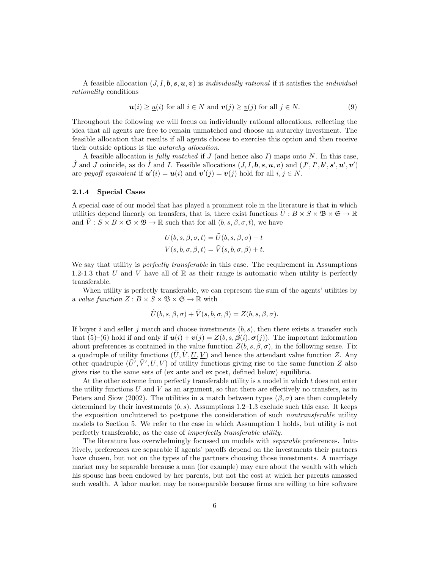A feasible allocation  $(J, I, b, s, u, v)$  is *individually rational* if it satisfies the *individual* rationality conditions

$$
\mathbf{u}(i) \ge \underline{u}(i) \text{ for all } i \in N \text{ and } \mathbf{v}(j) \ge \underline{v}(j) \text{ for all } j \in N. \tag{9}
$$

Throughout the following we will focus on individually rational allocations, reflecting the idea that all agents are free to remain unmatched and choose an autarchy investment. The feasible allocation that results if all agents choose to exercise this option and then receive their outside options is the autarchy allocation.

A feasible allocation is *fully matched* if J (and hence also I) maps onto N. In this case,  $\hat{J}$  and  $J$  coincide, as do  $\hat{I}$  and  $\hat{I}$ . Feasible allocations  $(J, I, b, s, u, v)$  and  $(J', I', b', s', u', v')$ are payoff equivalent if  $u'(i) = u(i)$  and  $v'(j) = v(j)$  hold for all  $i, j \in N$ .

#### 2.1.4 Special Cases

A special case of our model that has played a prominent role in the literature is that in which utilities depend linearly on transfers, that is, there exist functions  $U : B \times S \times \mathfrak{B} \times \mathfrak{S} \to \mathbb{R}$ and  $\tilde{V}: S \times B \times \mathfrak{S} \times \mathfrak{B} \to \mathbb{R}$  such that for all  $(b, s, \beta, \sigma, t)$ , we have

$$
U(b, s, \beta, \sigma, t) = \tilde{U}(b, s, \beta, \sigma) - t
$$
  

$$
V(s, b, \sigma, \beta, t) = \tilde{V}(s, b, \sigma, \beta) + t.
$$

We say that utility is *perfectly transferable* in this case. The requirement in Assumptions 1.2-1.3 that U and V have all of  $\mathbb R$  as their range is automatic when utility is perfectly transferable.

When utility is perfectly transferable, we can represent the sum of the agents' utilities by a value function  $Z : B \times S \times \mathfrak{B} \times \mathfrak{S} \to \mathbb{R}$  with

$$
\tilde{U}(b,s,\beta,\sigma) + \tilde{V}(s,b,\sigma,\beta) = Z(b,s,\beta,\sigma).
$$

If buyer i and seller j match and choose investments  $(b, s)$ , then there exists a transfer such that (5)–(6) hold if and only if  $u(i) + v(j) = Z(b, s, \beta(i), \sigma(j))$ . The important information about preferences is contained in the value function  $Z(b, s, \beta, \sigma)$ , in the following sense. Fix a quadruple of utility functions  $(\tilde{U}, \tilde{V}, \underline{U}, \underline{V})$  and hence the attendant value function Z. Any other quadruple  $(\tilde{U}', \tilde{V}', \underline{U}, \underline{V})$  of utility functions giving rise to the same function Z also gives rise to the same sets of (ex ante and ex post, defined below) equilibria.

At the other extreme from perfectly transferable utility is a model in which  $t$  does not enter the utility functions  $U$  and  $V$  as an argument, so that there are effectively no transfers, as in Peters and Siow (2002). The utilities in a match between types ( $\beta$ , $\sigma$ ) are then completely determined by their investments  $(b, s)$ . Assumptions 1.2–1.3 exclude such this case. It keeps the exposition uncluttered to postpone the consideration of such *nontransferable* utility models to Section 5. We refer to the case in which Assumption 1 holds, but utility is not perfectly transferable, as the case of imperfectly transferable utility.

The literature has overwhelmingly focussed on models with separable preferences. Intuitively, preferences are separable if agents' payoffs depend on the investments their partners have chosen, but not on the types of the partners choosing those investments. A marriage market may be separable because a man (for example) may care about the wealth with which his spouse has been endowed by her parents, but not the cost at which her parents amassed such wealth. A labor market may be nonseparable because firms are willing to hire software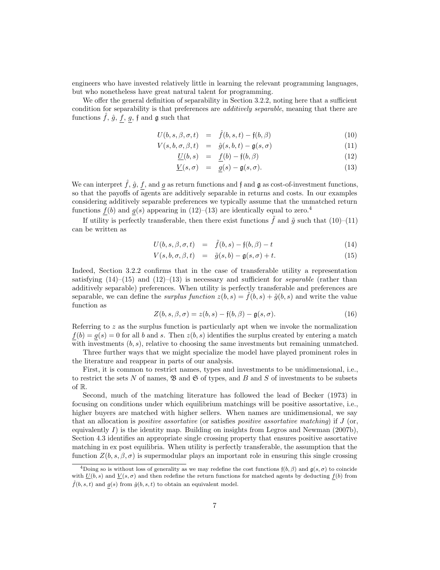engineers who have invested relatively little in learning the relevant programming languages, but who nonetheless have great natural talent for programming.

We offer the general definition of separability in Section 3.2.2, noting here that a sufficient condition for separability is that preferences are *additively separable*, meaning that there are functions  $\hat{f}$ ,  $\hat{g}$ ,  $\hat{f}$ ,  $\hat{g}$ ,  $\hat{f}$  and  $\hat{g}$  such that

$$
U(b, s, \beta, \sigma, t) = \hat{f}(b, s, t) - f(b, \beta) \tag{10}
$$

$$
V(s, b, \sigma, \beta, t) = \hat{g}(s, b, t) - g(s, \sigma) \tag{11}
$$

$$
\underline{U}(b,s) = f(b) - f(b,\beta) \tag{12}
$$

$$
\underline{V}(s,\sigma) = g(s) - g(s,\sigma). \tag{13}
$$

We can interpret  $\hat{f}$ ,  $\hat{g}$ ,  $f$ , and  $g$  as return functions and  $f$  and  $g$  as cost-of-investment functions, so that the payoffs of agents are additively separable in returns and costs. In our examples considering additively separable preferences we typically assume that the unmatched return functions  $f(b)$  and  $g(s)$  appearing in  $(12)$ – $(13)$  are identically equal to zero.<sup>4</sup>

If utility is perfectly transferable, then there exist functions  $\tilde{f}$  and  $\tilde{g}$  such that (10)–(11) can be written as

$$
U(b, s, \beta, \sigma, t) = \tilde{f}(b, s) - f(b, \beta) - t \tag{14}
$$

$$
V(s, b, \sigma, \beta, t) = \tilde{g}(s, b) - g(s, \sigma) + t.
$$
\n(15)

Indeed, Section 3.2.2 confirms that in the case of transferable utility a representation satisfying  $(14)$ – $(15)$  and  $(12)$ – $(13)$  is necessary and sufficient for *separable* (rather than additively separable) preferences. When utility is perfectly transferable and preferences are separable, we can define the *surplus function*  $z(b, s) = \tilde{f}(b, s) + \tilde{g}(b, s)$  and write the value function as

$$
Z(b, s, \beta, \sigma) = z(b, s) - \mathfrak{f}(b, \beta) - \mathfrak{g}(s, \sigma). \tag{16}
$$

Referring to  $z$  as the surplus function is particularly apt when we invoke the normalization  $f(b) = g(s) = 0$  for all b and s. Then  $z(b, s)$  identifies the surplus created by entering a match with investments  $(b, s)$ , relative to choosing the same investments but remaining unmatched.

Three further ways that we might specialize the model have played prominent roles in the literature and reappear in parts of our analysis.

First, it is common to restrict names, types and investments to be unidimensional, i.e., to restrict the sets N of names,  $\mathfrak{B}$  and  $\mathfrak{S}$  of types, and B and S of investments to be subsets of R.

Second, much of the matching literature has followed the lead of Becker (1973) in focusing on conditions under which equilibrium matchings will be positive assortative, i.e., higher buyers are matched with higher sellers. When names are unidimensional, we say that an allocation is *positive assortative* (or satisfies *positive assortative matching*) if  $J$  (or, equivalently  $I$ ) is the identity map. Building on insights from Legros and Newman (2007b), Section 4.3 identifies an appropriate single crossing property that ensures positive assortative matching in ex post equilibria. When utility is perfectly transferable, the assumption that the function  $Z(b, s, \beta, \sigma)$  is supermodular plays an important role in ensuring this single crossing

<sup>&</sup>lt;sup>4</sup>Doing so is without loss of generality as we may redefine the cost functions  $f(b, \beta)$  and  $g(s, \sigma)$  to coincide with  $\underline{U}(b, s)$  and  $\underline{V}(s, \sigma)$  and then redefine the return functions for matched agents by deducting  $\underline{f}(b)$  from  $\hat{f}(b, s, t)$  and  $g(s)$  from  $\hat{g}(b, s, t)$  to obtain an equivalent model.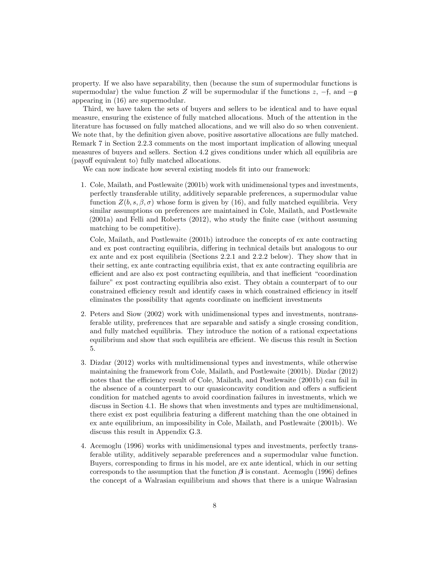property. If we also have separability, then (because the sum of supermodular functions is supermodular) the value function Z will be supermodular if the functions  $z$ ,  $-f$ , and  $-g$ appearing in (16) are supermodular.

Third, we have taken the sets of buyers and sellers to be identical and to have equal measure, ensuring the existence of fully matched allocations. Much of the attention in the literature has focussed on fully matched allocations, and we will also do so when convenient. We note that, by the definition given above, positive assortative allocations are fully matched. Remark 7 in Section 2.2.3 comments on the most important implication of allowing unequal measures of buyers and sellers. Section 4.2 gives conditions under which all equilibria are (payoff equivalent to) fully matched allocations.

We can now indicate how several existing models fit into our framework:

1. Cole, Mailath, and Postlewaite (2001b) work with unidimensional types and investments, perfectly transferable utility, additively separable preferences, a supermodular value function  $Z(b, s, \beta, \sigma)$  whose form is given by (16), and fully matched equilibria. Very similar assumptions on preferences are maintained in Cole, Mailath, and Postlewaite (2001a) and Felli and Roberts (2012), who study the finite case (without assuming matching to be competitive).

Cole, Mailath, and Postlewaite (2001b) introduce the concepts of ex ante contracting and ex post contracting equilibria, differing in technical details but analogous to our ex ante and ex post equilibria (Sections 2.2.1 and 2.2.2 below). They show that in their setting, ex ante contracting equilibria exist, that ex ante contracting equilibria are efficient and are also ex post contracting equilibria, and that inefficient "coordination failure" ex post contracting equilibria also exist. They obtain a counterpart of to our constrained efficiency result and identify cases in which constrained efficiency in itself eliminates the possibility that agents coordinate on inefficient investments

- 2. Peters and Siow (2002) work with unidimensional types and investments, nontransferable utility, preferences that are separable and satisfy a single crossing condition, and fully matched equilibria. They introduce the notion of a rational expectations equilibrium and show that such equilibria are efficient. We discuss this result in Section 5.
- 3. Dizdar (2012) works with multidimensional types and investments, while otherwise maintaining the framework from Cole, Mailath, and Postlewaite (2001b). Dizdar (2012) notes that the efficiency result of Cole, Mailath, and Postlewaite (2001b) can fail in the absence of a counterpart to our quasiconcavity condition and offers a sufficient condition for matched agents to avoid coordination failures in investments, which we discuss in Section 4.1. He shows that when investments and types are multidimensional, there exist ex post equilibria featuring a different matching than the one obtained in ex ante equilibrium, an impossibility in Cole, Mailath, and Postlewaite (2001b). We discuss this result in Appendix G.3.
- 4. Acemoglu (1996) works with unidimensional types and investments, perfectly transferable utility, additively separable preferences and a supermodular value function. Buyers, corresponding to firms in his model, are ex ante identical, which in our setting corresponds to the assumption that the function  $\beta$  is constant. Acemoglu (1996) defines the concept of a Walrasian equilibrium and shows that there is a unique Walrasian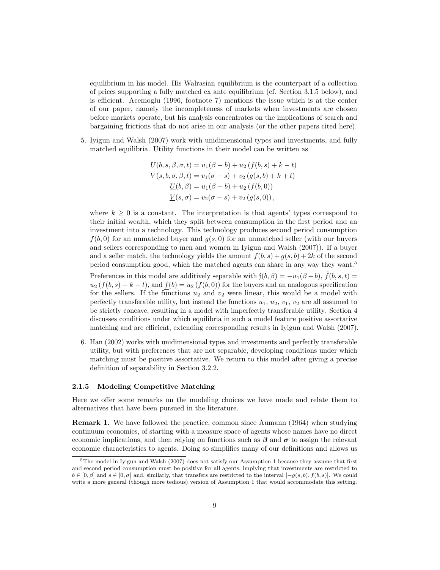equilibrium in his model. His Walrasian equilibrium is the counterpart of a collection of prices supporting a fully matched ex ante equilibrium (cf. Section 3.1.5 below), and is efficient. Acemoglu (1996, footnote 7) mentions the issue which is at the center of our paper, namely the incompleteness of markets when investments are chosen before markets operate, but his analysis concentrates on the implications of search and bargaining frictions that do not arise in our analysis (or the other papers cited here).

5. Iyigun and Walsh (2007) work with unidimensional types and investments, and fully matched equilibria. Utility functions in their model can be written as

$$
U(b, s, \beta, \sigma, t) = u_1(\beta - b) + u_2(f(b, s) + k - t)
$$
  
\n
$$
V(s, b, \sigma, \beta, t) = v_1(\sigma - s) + v_2(g(s, b) + k + t)
$$
  
\n
$$
\underline{U}(b, \beta) = u_1(\beta - b) + u_2(f(b, 0))
$$
  
\n
$$
\underline{V}(s, \sigma) = v_2(\sigma - s) + v_2(g(s, 0)),
$$

where  $k \geq 0$  is a constant. The interpretation is that agents' types correspond to their initial wealth, which they split between consumption in the first period and an investment into a technology. This technology produces second period consumption  $f(b, 0)$  for an unmatched buyer and  $g(s, 0)$  for an unmatched seller (with our buyers and sellers corresponding to men and women in Iyigun and Walsh (2007)). If a buyer and a seller match, the technology yields the amount  $f(b, s) + g(s, b) + 2k$  of the second period consumption good, which the matched agents can share in any way they want.<sup>5</sup>

Preferences in this model are additively separable with  $f(b, \beta) = -u_1(\beta - b)$ ,  $\hat{f}(b, s, t) =$  $u_2(f(b, s) + k - t)$ , and  $f(b) = u_2(f(b, 0))$  for the buyers and an analogous specification for the sellers. If the functions  $u_2$  and  $v_2$  were linear, this would be a model with perfectly transferable utility, but instead the functions  $u_1, u_2, v_1, v_2$  are all assumed to be strictly concave, resulting in a model with imperfectly transferable utility. Section 4 discusses conditions under which equilibria in such a model feature positive assortative matching and are efficient, extending corresponding results in Iyigun and Walsh (2007).

6. Han (2002) works with unidimensional types and investments and perfectly transferable utility, but with preferences that are not separable, developing conditions under which matching must be positive assortative. We return to this model after giving a precise definition of separability in Section 3.2.2.

#### 2.1.5 Modeling Competitive Matching

Here we offer some remarks on the modeling choices we have made and relate them to alternatives that have been pursued in the literature.

Remark 1. We have followed the practice, common since Aumann (1964) when studying continuum economies, of starting with a measure space of agents whose names have no direct economic implications, and then relying on functions such as  $\beta$  and  $\sigma$  to assign the relevant economic characteristics to agents. Doing so simplifies many of our definitions and allows us

<sup>5</sup>The model in Iyigun and Walsh (2007) does not satisfy our Assumption 1 because they assume that first and second period consumption must be positive for all agents, implying that investments are restricted to  $b \in [0, \beta]$  and  $s \in [0, \sigma]$  and, similarly, that transfers are restricted to the interval  $[-g(s, b), f(b, s)]$ . We could write a more general (though more tedious) version of Assumption 1 that would accommodate this setting.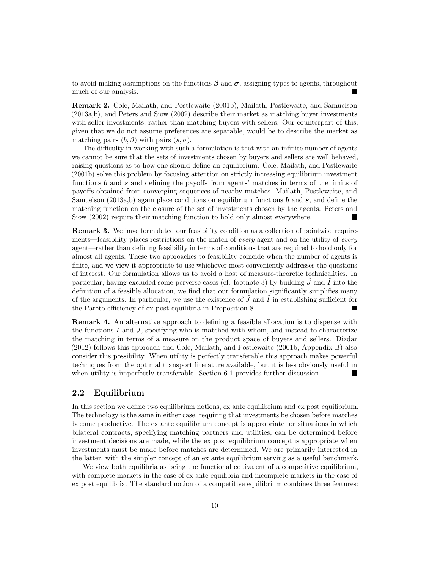to avoid making assumptions on the functions  $\beta$  and  $\sigma$ , assigning types to agents, throughout much of our analysis.

Remark 2. Cole, Mailath, and Postlewaite (2001b), Mailath, Postlewaite, and Samuelson (2013a,b), and Peters and Siow (2002) describe their market as matching buyer investments with seller investments, rather than matching buyers with sellers. Our counterpart of this, given that we do not assume preferences are separable, would be to describe the market as matching pairs  $(b, \beta)$  with pairs  $(s, \sigma)$ .

The difficulty in working with such a formulation is that with an infinite number of agents we cannot be sure that the sets of investments chosen by buyers and sellers are well behaved, raising questions as to how one should define an equilibrium. Cole, Mailath, and Postlewaite (2001b) solve this problem by focusing attention on strictly increasing equilibrium investment functions  $\boldsymbol{b}$  and  $\boldsymbol{s}$  and defining the payoffs from agents' matches in terms of the limits of payoffs obtained from converging sequences of nearby matches. Mailath, Postlewaite, and Samuelson (2013a,b) again place conditions on equilibrium functions  $\boldsymbol{b}$  and  $\boldsymbol{s}$ , and define the matching function on the closure of the set of investments chosen by the agents. Peters and Siow (2002) require their matching function to hold only almost everywhere.

Remark 3. We have formulated our feasibility condition as a collection of pointwise requirements—feasibility places restrictions on the match of *every* agent and on the utility of *every* agent—rather than defining feasibility in terms of conditions that are required to hold only for almost all agents. These two approaches to feasibility coincide when the number of agents is finite, and we view it appropriate to use whichever most conveniently addresses the questions of interest. Our formulation allows us to avoid a host of measure-theoretic technicalities. In particular, having excluded some perverse cases (cf. footnote 3) by building  $J$  and  $I$  into the definition of a feasible allocation, we find that our formulation significantly simplifies many of the arguments. In particular, we use the existence of  $\ddot{J}$  and  $\ddot{I}$  in establishing sufficient for the Pareto efficiency of ex post equilibria in Proposition 8.

Remark 4. An alternative approach to defining a feasible allocation is to dispense with the functions  $I$  and  $J$ , specifying who is matched with whom, and instead to characterize the matching in terms of a measure on the product space of buyers and sellers. Dizdar (2012) follows this approach and Cole, Mailath, and Postlewaite (2001b, Appendix B) also consider this possibility. When utility is perfectly transferable this approach makes powerful techniques from the optimal transport literature available, but it is less obviously useful in when utility is imperfectly transferable. Section 6.1 provides further discussion.

#### 2.2 Equilibrium

In this section we define two equilibrium notions, ex ante equilibrium and ex post equilibrium. The technology is the same in either case, requiring that investments be chosen before matches become productive. The ex ante equilibrium concept is appropriate for situations in which bilateral contracts, specifying matching partners and utilities, can be determined before investment decisions are made, while the ex post equilibrium concept is appropriate when investments must be made before matches are determined. We are primarily interested in the latter, with the simpler concept of an ex ante equilibrium serving as a useful benchmark.

We view both equilibria as being the functional equivalent of a competitive equilibrium, with complete markets in the case of ex ante equilibria and incomplete markets in the case of ex post equilibria. The standard notion of a competitive equilibrium combines three features: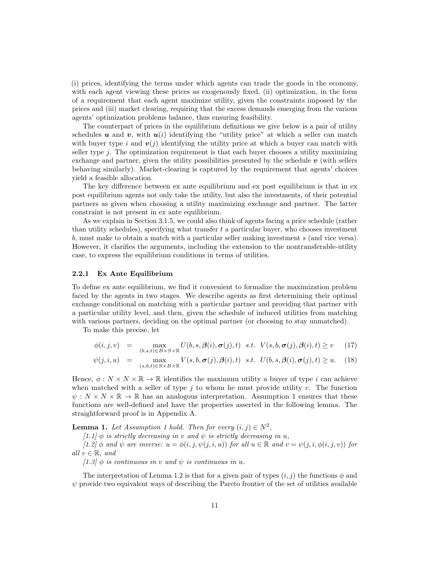(i) prices, identifying the terms under which agents can trade the goods in the economy, with each agent viewing these prices as exogenously fixed, (ii) optimization, in the form of a requirement that each agent maximize utility, given the constraints imposed by the prices and (iii) market clearing, requiring that the excess demands emerging from the various agents' optimization problems balance, thus ensuring feasibility.

The counterpart of prices in the equilibrium definitions we give below is a pair of utility schedules u and v, with  $u(i)$  identifying the "utility price" at which a seller can match with buyer type i and  $v(i)$  identifying the utility price at which a buyer can match with seller type  $j$ . The optimization requirement is that each buyer chooses a utility maximizing exchange and partner, given the utility possibilities presented by the schedule  $\boldsymbol{v}$  (with sellers behaving similarly). Market-clearing is captured by the requirement that agents' choices yield a feasible allocation.

The key difference between ex ante equilibrium and ex post equilibrium is that in ex post equilibrium agents not only take the utility, but also the investments, of their potential partners as given when choosing a utility maximizing exchange and partner. The latter constraint is not present in ex ante equilibrium.

As we explain in Section 3.1.5, we could also think of agents facing a price schedule (rather than utility schedules), specifying what transfer  $t$  a particular buyer, who chooses investment b, must make to obtain a match with a particular seller making investment  $s$  (and vice versa). However, it clarifies the arguments, including the extension to the nontransferable-utility case, to express the equilibrium conditions in terms of utilities.

#### 2.2.1 Ex Ante Equilibrium

To define ex ante equilibrium, we find it convenient to formalize the maximization problem faced by the agents in two stages. We describe agents as first determining their optimal exchange conditional on matching with a particular partner and providing that partner with a particular utility level, and then, given the schedule of induced utilities from matching with various partners, deciding on the optimal partner (or choosing to stay unmatched).

To make this precise, let

$$
\begin{array}{rcl}\n\phi(i,j,v) & = & \max_{(b,s,t)\in B\times S\times\mathbb{R}} U(b,s,\beta(i),\sigma(j),t) \quad s.t. \quad V(s,b,\sigma(j),\beta(i),t) \ge v \qquad (17) \\
\psi(j,i,u) & = & \max_{(s,b,t)\in S\times B\times\mathbb{R}} V(s,b,\sigma(j),\beta(i),t) \quad s.t. \quad U(b,s,\beta(i),\sigma(j),t) \ge u. \tag{18}\n\end{array}
$$

Hence,  $\phi: N \times N \times \mathbb{R} \to \mathbb{R}$  identifies the maximum utility a buyer of type i can achieve when matched with a seller of type  $j$  to whom he must provide utility  $v$ . The function  $\psi: N \times N \times \mathbb{R} \to \mathbb{R}$  has an analogous interpretation. Assumption 1 ensures that these functions are well-defined and have the properties asserted in the following lemma. The straightforward proof is in Appendix A.

**Lemma 1.** Let Assumption 1 hold. Then for every  $(i, j) \in N^2$ ,

 $[1.1] \phi$  is strictly decreasing in v and  $\psi$  is strictly decreasing in u,

 $[1.2] \phi$  and  $\psi$  are inverse:  $u = \phi(i, j, \psi(j, i, u))$  for all  $u \in \mathbb{R}$  and  $v = \psi(j, i, \phi(i, j, v))$  for all  $v \in \mathbb{R}$ , and

 $[1.3] \phi$  is continuous in v and  $\psi$  is continuous in u.

The interpretation of Lemma 1.2 is that for a given pair of types  $(i, j)$  the functions  $\phi$  and  $\psi$  provide two equivalent ways of describing the Pareto frontier of the set of utilities available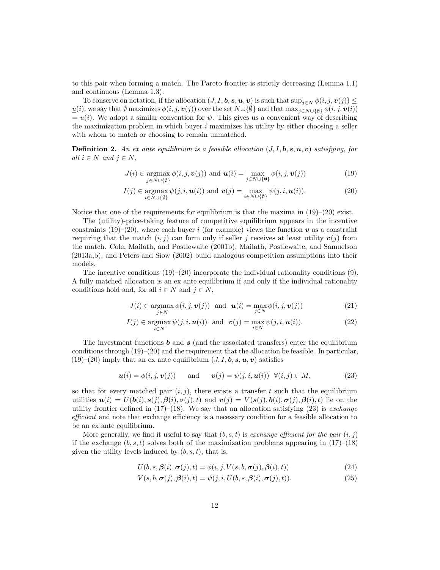to this pair when forming a match. The Pareto frontier is strictly decreasing (Lemma 1.1) and continuous (Lemma 1.3).

To conserve on notation, if the allocation  $(J, I, \mathbf{b}, \mathbf{s}, \mathbf{u}, \mathbf{v})$  is such that  $\sup_{i \in N} \phi(i, j, \mathbf{v}(j)) \leq$  $u(i)$ , we say that  $\emptyset$  maximizes  $\phi(i, j, \mathbf{v}(j))$  over the set  $N \cup {\emptyset}$  and that  $\max_{i \in N \cup {\emptyset} \emptyset} \phi(i, j, \mathbf{v}(i))$  $= u(i)$ . We adopt a similar convention for  $\psi$ . This gives us a convenient way of describing the maximization problem in which buyer  $i$  maximizes his utility by either choosing a seller with whom to match or choosing to remain unmatched.

**Definition 2.** An ex ante equilibrium is a feasible allocation  $(J, I, b, s, u, v)$  satisfying, for all  $i \in N$  and  $j \in N$ ,

$$
J(i) \in \underset{j \in N \cup \{\emptyset\}}{\operatorname{argmax}} \phi(i, j, \mathbf{v}(j)) \text{ and } \mathbf{u}(i) = \underset{j \in N \cup \{\emptyset\}}{\operatorname{max}} \phi(i, j, \mathbf{v}(j))
$$
(19)

$$
I(j) \in \operatorname*{argmax}_{i \in N \cup \{\emptyset\}} \psi(j, i, \mathbf{u}(i)) \text{ and } \mathbf{v}(j) = \max_{i \in N \cup \{\emptyset\}} \psi(j, i, \mathbf{u}(i)).
$$
\n(20)

Notice that one of the requirements for equilibrium is that the maxima in  $(19)$ – $(20)$  exist.

The (utility)-price-taking feature of competitive equilibrium appears in the incentive constraints (19)–(20), where each buyer i (for example) views the function  $\bf{v}$  as a constraint requiring that the match  $(i, j)$  can form only if seller j receives at least utility  $v(j)$  from the match. Cole, Mailath, and Postlewaite (2001b), Mailath, Postlewaite, and Samuelson (2013a,b), and Peters and Siow (2002) build analogous competition assumptions into their models.

The incentive conditions  $(19)$ – $(20)$  incorporate the individual rationality conditions  $(9)$ . A fully matched allocation is an ex ante equilibrium if and only if the individual rationality conditions hold and, for all  $i \in N$  and  $j \in N$ ,

$$
J(i) \in \operatorname*{argmax}_{j \in N} \phi(i, j, \mathbf{v}(j)) \quad \text{and} \quad \mathbf{u}(i) = \max_{j \in N} \phi(i, j, \mathbf{v}(j)) \tag{21}
$$

$$
I(j) \in \operatorname*{argmax}_{i \in N} \psi(j, i, \mathbf{u}(i)) \text{ and } \mathbf{v}(j) = \max_{i \in N} \psi(j, i, \mathbf{u}(i)).
$$
 (22)

The investment functions  $\boldsymbol{b}$  and  $\boldsymbol{s}$  (and the associated transfers) enter the equilibrium conditions through  $(19)–(20)$  and the requirement that the allocation be feasible. In particular,  $(19)$ – $(20)$  imply that an ex ante equilibrium  $(J, I, \mathbf{b}, \mathbf{s}, \mathbf{u}, \mathbf{v})$  satisfies

$$
\mathbf{u}(i) = \phi(i, j, \mathbf{v}(j)) \quad \text{and} \quad \mathbf{v}(j) = \psi(j, i, \mathbf{u}(i)) \quad \forall (i, j) \in M,
$$
 (23)

so that for every matched pair  $(i, j)$ , there exists a transfer t such that the equilibrium utilities  $u(i) = U(b(i), s(j), \beta(i), \sigma(j), t)$  and  $v(j) = V(s(j), b(i), \sigma(j), \beta(i), t)$  lie on the utility frontier defined in  $(17)$ – $(18)$ . We say that an allocation satisfying  $(23)$  is *exchange* efficient and note that exchange efficiency is a necessary condition for a feasible allocation to be an ex ante equilibrium.

More generally, we find it useful to say that  $(b, s, t)$  is exchange efficient for the pair  $(i, j)$ if the exchange  $(b, s, t)$  solves both of the maximization problems appearing in  $(17)–(18)$ given the utility levels induced by  $(b, s, t)$ , that is,

$$
U(b, s, \beta(i), \sigma(j), t) = \phi(i, j, V(s, b, \sigma(j), \beta(i), t))
$$
\n(24)

$$
V(s, b, \sigma(j), \beta(i), t) = \psi(j, i, U(b, s, \beta(i), \sigma(j), t)).
$$
\n(25)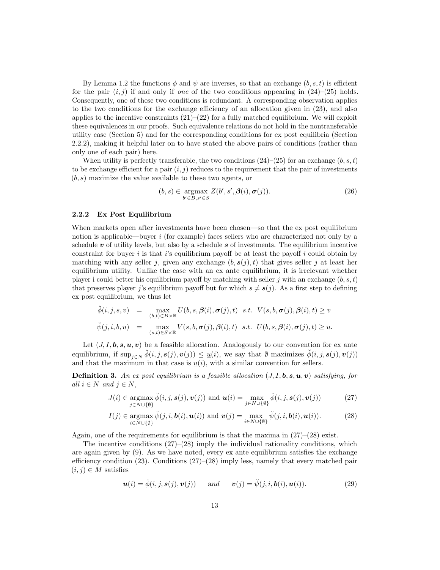By Lemma 1.2 the functions  $\phi$  and  $\psi$  are inverses, so that an exchange  $(b, s, t)$  is efficient for the pair  $(i, j)$  if and only if one of the two conditions appearing in  $(24)$ – $(25)$  holds. Consequently, one of these two conditions is redundant. A corresponding observation applies to the two conditions for the exchange efficiency of an allocation given in (23), and also applies to the incentive constraints  $(21)$ – $(22)$  for a fully matched equilibrium. We will exploit these equivalences in our proofs. Such equivalence relations do not hold in the nontransferable utility case (Section 5) and for the corresponding conditions for ex post equilibria (Section 2.2.2), making it helpful later on to have stated the above pairs of conditions (rather than only one of each pair) here.

When utility is perfectly transferable, the two conditions  $(24)$ – $(25)$  for an exchange  $(b, s, t)$ to be exchange efficient for a pair  $(i, j)$  reduces to the requirement that the pair of investments  $(b, s)$  maximize the value available to these two agents, or

$$
(b, s) \in \underset{b' \in B, s' \in S}{\operatorname{argmax}} Z(b', s', \beta(i), \sigma(j)).
$$
\n
$$
(26)
$$

#### 2.2.2 Ex Post Equilibrium

When markets open after investments have been chosen—so that the ex post equilibrium notion is applicable—buyer i (for example) faces sellers who are characterized not only by a schedule  $\boldsymbol{v}$  of utility levels, but also by a schedule  $\boldsymbol{s}$  of investments. The equilibrium incentive constraint for buyer i is that i's equilibrium payoff be at least the payoff i could obtain by matching with any seller j, given any exchange  $(b, s(j), t)$  that gives seller j at least her equilibrium utility. Unlike the case with an ex ante equilibrium, it is irrelevant whether player i could better his equilibrium payoff by matching with seller j with an exchange  $(b, s, t)$ that preserves player j's equilibrium payoff but for which  $s \neq s(j)$ . As a first step to defining ex post equilibrium, we thus let

$$
\begin{array}{rcl}\n\check{\phi}(i,j,s,v) & = & \max_{(b,t)\in B\times\mathbb{R}} U(b,s,\boldsymbol{\beta}(i),\boldsymbol{\sigma}(j),t) \quad s.t. \quad V(s,b,\boldsymbol{\sigma}(j),\boldsymbol{\beta}(i),t) \ge v \\
\check{\psi}(j,i,b,u) & = & \max_{(s,t)\in S\times\mathbb{R}} V(s,b,\boldsymbol{\sigma}(j),\boldsymbol{\beta}(i),t) \quad s.t. \quad U(b,s,\boldsymbol{\beta}(i),\boldsymbol{\sigma}(j),t) \ge u.\n\end{array}
$$

Let  $(J, I, b, s, u, v)$  be a feasible allocation. Analogously to our convention for ex ante equilibrium, if  $\sup_{j\in N} \check{\phi}(i, j, s(j), v(j)) \leq \underline{u}(i)$ , we say that  $\emptyset$  maximizes  $\check{\phi}(i, j, s(j), v(j))$ and that the maximum in that case is  $\underline{u}(i)$ , with a similar convention for sellers.

**Definition 3.** An ex post equilibrium is a feasible allocation  $(J, I, b, s, u, v)$  satisfying, for all  $i \in N$  and  $j \in N$ ,

$$
J(i) \in \underset{j \in N \cup \{\emptyset\}}{\operatorname{argmax}} \breve{\phi}(i, j, s(j), \mathbf{v}(j)) \text{ and } \mathbf{u}(i) = \underset{j \in N \cup \{\emptyset\}}{\operatorname{max}} \breve{\phi}(i, j, s(j), \mathbf{v}(j))
$$
(27)

$$
I(j) \in \underset{i \in N \cup \{\emptyset\}}{\operatorname{argmax}} \check{\psi}(j, i, \mathbf{b}(i), \mathbf{u}(i)) \text{ and } \mathbf{v}(j) = \underset{i \in N \cup \{\emptyset\}}{\operatorname{max}} \check{\psi}(j, i, \mathbf{b}(i), \mathbf{u}(i)). \tag{28}
$$

Again, one of the requirements for equilibrium is that the maxima in  $(27)-(28)$  exist.

The incentive conditions  $(27)$ – $(28)$  imply the individual rationality conditions, which are again given by (9). As we have noted, every ex ante equilibrium satisfies the exchange efficiency condition  $(23)$ . Conditions  $(27)$ – $(28)$  imply less, namely that every matched pair  $(i, j) \in M$  satisfies

$$
\mathbf{u}(i) = \breve{\phi}(i, j, \mathbf{s}(j), \mathbf{v}(j)) \quad \text{and} \quad \mathbf{v}(j) = \breve{\psi}(j, i, \mathbf{b}(i), \mathbf{u}(i)). \tag{29}
$$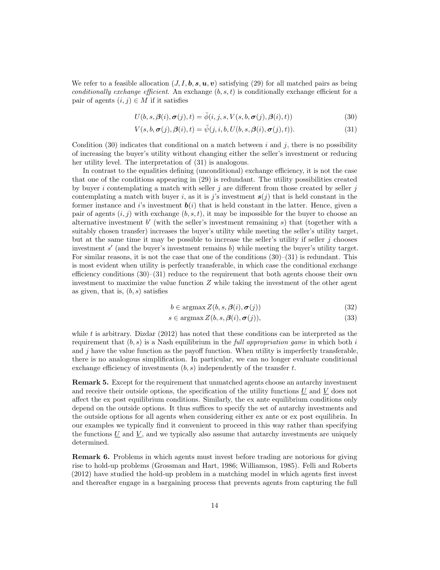We refer to a feasible allocation  $(J, I, b, s, u, v)$  satisfying (29) for all matched pairs as being conditionally exchange efficient. An exchange  $(b, s, t)$  is conditionally exchange efficient for a pair of agents  $(i, j) \in M$  if it satisfies

$$
U(b, s, \beta(i), \sigma(j), t) = \breve{\phi}(i, j, s, V(s, b, \sigma(j), \beta(i), t))
$$
\n(30)

$$
V(s, b, \sigma(j), \beta(i), t) = \check{\psi}(j, i, b, U(b, s, \beta(i), \sigma(j), t)).
$$
\n(31)

Condition (30) indicates that conditional on a match between  $i$  and  $j$ , there is no possibility of increasing the buyer's utility without changing either the seller's investment or reducing her utility level. The interpretation of (31) is analogous.

In contrast to the equalities defining (unconditional) exchange efficiency, it is not the case that one of the conditions appearing in (29) is redundant. The utility possibilities created by buyer i contemplating a match with seller  $j$  are different from those created by seller  $j$ contemplating a match with buyer i, as it is j's investment  $s(j)$  that is held constant in the former instance and i's investment  $b(i)$  that is held constant in the latter. Hence, given a pair of agents  $(i, j)$  with exchange  $(b, s, t)$ , it may be impossible for the buyer to choose an alternative investment  $b'$  (with the seller's investment remaining  $s$ ) that (together with a suitably chosen transfer) increases the buyer's utility while meeting the seller's utility target, but at the same time it may be possible to increase the seller's utility if seller  $j$  chooses investment  $s'$  (and the buyer's investment remains  $b$ ) while meeting the buyer's utility target. For similar reasons, it is not the case that one of the conditions  $(30)$ – $(31)$  is redundant. This is most evident when utility is perfectly transferable, in which case the conditional exchange efficiency conditions  $(30)$ – $(31)$  reduce to the requirement that both agents choose their own investment to maximize the value function  $Z$  while taking the investment of the other agent as given, that is,  $(b, s)$  satisfies

$$
b \in \operatorname{argmax} Z(b, s, \beta(i), \sigma(j)) \tag{32}
$$

$$
s \in \operatorname{argmax} Z(b, s, \beta(i), \sigma(j)),\tag{33}
$$

while  $t$  is arbitrary. Dizdar  $(2012)$  has noted that these conditions can be interpreted as the requirement that  $(b, s)$  is a Nash equilibrium in the full appropriation game in which both i and  $j$  have the value function as the payoff function. When utility is imperfectly transferable, there is no analogous simplification. In particular, we can no longer evaluate conditional exchange efficiency of investments  $(b, s)$  independently of the transfer t.

Remark 5. Except for the requirement that unmatched agents choose an autarchy investment and receive their outside options, the specification of the utility functions  $U$  and  $V$  does not affect the ex post equilibrium conditions. Similarly, the ex ante equilibrium conditions only depend on the outside options. It thus suffices to specify the set of autarchy investments and the outside options for all agents when considering either ex ante or ex post equilibria. In our examples we typically find it convenient to proceed in this way rather than specifying the functions  $\underline{U}$  and  $\underline{V}$ , and we typically also assume that autarchy investments are uniquely determined.

Remark 6. Problems in which agents must invest before trading are notorious for giving rise to hold-up problems (Grossman and Hart, 1986; Williamson, 1985). Felli and Roberts (2012) have studied the hold-up problem in a matching model in which agents first invest and thereafter engage in a bargaining process that prevents agents from capturing the full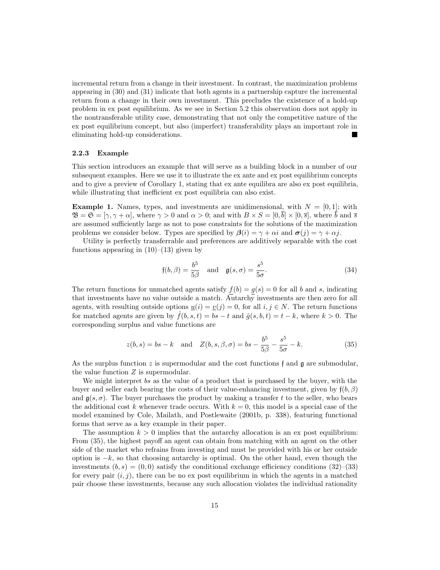incremental return from a change in their investment. In contrast, the maximization problems appearing in (30) and (31) indicate that both agents in a partnership capture the incremental return from a change in their own investment. This precludes the existence of a hold-up problem in ex post equilibrium. As we see in Section 5.2 this observation does not apply in the nontransferable utility case, demonstrating that not only the competitive nature of the ex post equilibrium concept, but also (imperfect) transferability plays an important role in eliminating hold-up considerations.  $\overline{\phantom{a}}$ 

#### 2.2.3 Example

This section introduces an example that will serve as a building block in a number of our subsequent examples. Here we use it to illustrate the ex ante and ex post equilibrium concepts and to give a preview of Corollary 1, stating that ex ante equilibra are also ex post equilibria, while illustrating that inefficient ex post equilibria can also exist.

**Example 1.** Names, types, and investments are unidimensional, with  $N = [0, 1]$ ; with  $\mathfrak{B} = \mathfrak{S} = [\gamma, \gamma + \alpha]$ , where  $\gamma > 0$  and  $\alpha > 0$ ; and with  $B \times S = [0, \overline{b}] \times [0, \overline{s}]$ , where  $\overline{b}$  and  $\overline{s}$ are assumed sufficiently large as not to pose constraints for the solutions of the maximization problems we consider below. Types are specified by  $\beta(i) = \gamma + \alpha i$  and  $\sigma(j) = \gamma + \alpha j$ .

Utility is perfectly transferrable and preferences are additively separable with the cost functions appearing in  $(10)–(13)$  given by

$$
\mathfrak{f}(b,\beta) = \frac{b^5}{5\beta} \quad \text{and} \quad \mathfrak{g}(s,\sigma) = \frac{s^5}{5\sigma}.
$$
 (34)

The return functions for unmatched agents satisfy  $f(b) = g(s) = 0$  for all b and s, indicating that investments have no value outside a match. Autarchy investments are then zero for all agents, with resulting outside options  $\underline{u}(i) = \underline{v}(j) = 0$ , for all  $i, j \in N$ . The return functions for matched agents are given by  $\hat{f}(b, s, t) = bs - t$  and  $\hat{g}(s, b, t) = t - k$ , where  $k > 0$ . The corresponding surplus and value functions are

$$
z(b, s) = bs - k
$$
 and  $Z(b, s, \beta, \sigma) = bs - \frac{b^5}{5\beta} - \frac{s^5}{5\sigma} - k.$  (35)

As the surplus function  $z$  is supermodular and the cost functions f and  $\mathfrak g$  are submodular, the value function  $Z$  is supermodular.

We might interpret bs as the value of a product that is purchased by the buyer, with the buyer and seller each bearing the costs of their value-enhancing investment, given by  $f(b, \beta)$ and  $g(s, \sigma)$ . The buyer purchases the product by making a transfer t to the seller, who bears the additional cost k whenever trade occurs. With  $k = 0$ , this model is a special case of the model examined by Cole, Mailath, and Postlewaite (2001b, p. 338), featuring functional forms that serve as a key example in their paper.

The assumption  $k > 0$  implies that the autarchy allocation is an ex post equilibrium: From (35), the highest payoff an agent can obtain from matching with an agent on the other side of the market who refrains from investing and must be provided with his or her outside option is  $-k$ , so that choosing autarchy is optimal. On the other hand, even though the investments  $(b, s) = (0, 0)$  satisfy the conditional exchange efficiency conditions  $(32)$ – $(33)$ for every pair  $(i, j)$ , there can be no ex post equilibrium in which the agents in a matched pair choose these investments, because any such allocation violates the individual rationality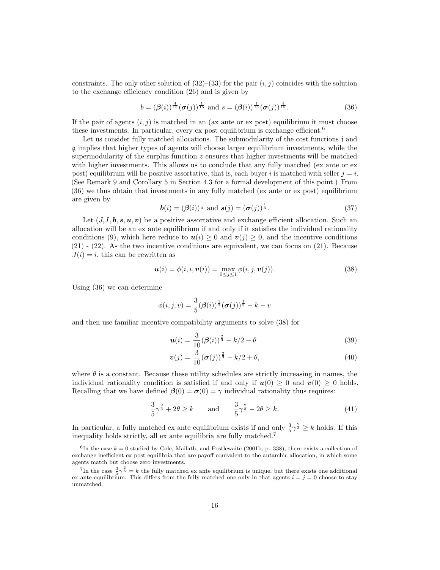constraints. The only other solution of  $(32)$ – $(33)$  for the pair  $(i, j)$  coincides with the solution to the exchange efficiency condition (26) and is given by

$$
b = (\beta(i))^{\frac{4}{15}} (\sigma(j))^{\frac{1}{15}} \text{ and } s = (\beta(i))^{\frac{1}{15}} (\sigma(j))^{\frac{4}{15}}.
$$
 (36)

If the pair of agents  $(i, j)$  is matched in an (ax ante or ex post) equilibrium it must choose these investments. In particular, every ex post equilibrium is exchange efficient.<sup>6</sup>

Let us consider fully matched allocations. The submodularity of the cost functions f and g implies that higher types of agents will choose larger equilibrium investments, while the supermodularity of the surplus function  $z$  ensures that higher investments will be matched with higher investments. This allows us to conclude that any fully matched (ex ante or ex post) equilibrium will be positive assortative, that is, each buyer i is matched with seller  $j = i$ . (See Remark 9 and Corollary 5 in Section 4.3 for a formal development of this point.) From (36) we thus obtain that investments in any fully matched (ex ante or ex post) equilibrium are given by

$$
\mathbf{b}(i) = (\beta(i))^{\frac{1}{3}} \text{ and } \mathbf{s}(j) = (\boldsymbol{\sigma}(j))^{\frac{1}{3}}.
$$
 (37)

Let  $(J, I, b, s, u, v)$  be a positive assortative and exchange efficient allocation. Such an allocation will be an ex ante equilibrium if and only if it satisfies the individual rationality conditions (9), which here reduce to  $u(i) \geq 0$  and  $v(j) \geq 0$ , and the incentive conditions (21) - (22). As the two incentive conditions are equivalent, we can focus on (21). Because  $J(i) = i$ , this can be rewritten as

$$
\mathbf{u}(i) = \phi(i, i, \mathbf{v}(i)) = \max_{0 \le j \le 1} \phi(i, j, \mathbf{v}(j)). \tag{38}
$$

Using (36) we can determine

$$
\phi(i,j,v) = \frac{3}{5}(\boldsymbol{\beta}(i))^{\frac{1}{3}}(\boldsymbol{\sigma}(j))^{\frac{1}{3}} - k - v
$$

and then use familiar incentive compatibility arguments to solve (38) for

$$
\boldsymbol{u}(i) = \frac{3}{10} (\beta(i))^{\frac{2}{3}} - k/2 - \theta \tag{39}
$$

$$
v(j) = \frac{3}{10} (\sigma(j))^{\frac{2}{3}} - k/2 + \theta,
$$
\n(40)

where  $\theta$  is a constant. Because these utility schedules are strictly increasing in names, the individual rationality condition is satisfied if and only if  $u(0) \geq 0$  and  $v(0) \geq 0$  holds. Recalling that we have defined  $\beta(0) = \sigma(0) = \gamma$  individual rationality thus requires:

$$
\frac{3}{5}\gamma^{\frac{2}{3}} + 2\theta \ge k \quad \text{and} \quad \frac{3}{5}\gamma^{\frac{2}{3}} - 2\theta \ge k. \tag{41}
$$

In particular, a fully matched ex ante equilibrium exists if and only  $\frac{3}{5}\gamma^{\frac{2}{3}} \geq k$  holds. If this inequality holds strictly, all ex ante equilibria are fully matched.<sup>7</sup>

 ${}^{6}$ In the case  $k = 0$  studied by Cole, Mailath, and Postlewaite (2001b, p. 338), there exists a collection of exchange inefficient ex post equilibria that are payoff equivalent to the autarchic allocation, in which some agents match but choose zero investments.

<sup>&</sup>lt;sup>7</sup>In the case  $\frac{3}{5}\gamma^{\frac{2}{3}}=k$  the fully matched ex ante equilibrium is unique, but there exists one additional ex ante equilibrium. This differs from the fully matched one only in that agents  $i = j = 0$  choose to stay unmatched.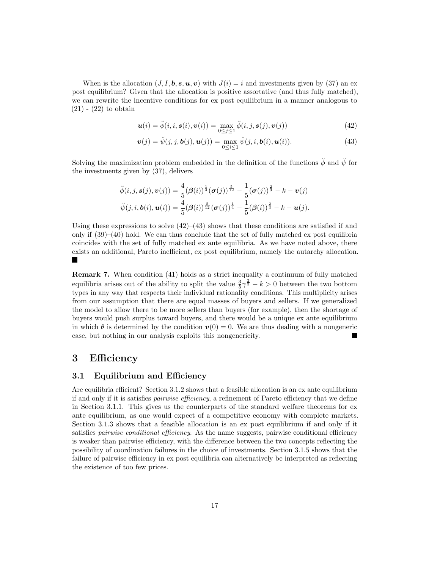When is the allocation  $(J, I, b, s, u, v)$  with  $J(i) = i$  and investments given by (37) an ex post equilibrium? Given that the allocation is positive assortative (and thus fully matched), we can rewrite the incentive conditions for ex post equilibrium in a manner analogous to  $(21)$  -  $(22)$  to obtain

$$
\boldsymbol{u}(i) = \breve{\phi}(i, i, \boldsymbol{s}(i), \boldsymbol{v}(i)) = \max_{0 \le j \le 1} \breve{\phi}(i, j, \boldsymbol{s}(j), \boldsymbol{v}(j)) \tag{42}
$$

$$
\boldsymbol{v}(j) = \check{\psi}(j, j, \boldsymbol{b}(j), \boldsymbol{u}(j)) = \max_{0 \leq i \leq 1} \check{\psi}(j, i, \boldsymbol{b}(i), \boldsymbol{u}(i)). \tag{43}
$$

Solving the maximization problem embedded in the definition of the functions  $\check{\phi}$  and  $\check{\psi}$  for the investments given by (37), delivers

$$
\breve{\phi}(i,j,\mathbf{s}(j),\mathbf{v}(j)) = \frac{4}{5}(\mathbf{\beta}(i))^{\frac{1}{4}}(\mathbf{\sigma}(j))^{\frac{5}{12}} - \frac{1}{5}(\mathbf{\sigma}(j))^{\frac{2}{3}} - k - \mathbf{v}(j) \n\breve{\psi}(j,i,\mathbf{b}(i),\mathbf{u}(i)) = \frac{4}{5}(\mathbf{\beta}(i))^{\frac{5}{12}}(\mathbf{\sigma}(j))^{\frac{1}{4}} - \frac{1}{5}(\mathbf{\beta}(i))^{\frac{2}{3}} - k - \mathbf{u}(j).
$$

Using these expressions to solve  $(42)$ – $(43)$  shows that these conditions are satisfied if and only if  $(39)–(40)$  hold. We can thus conclude that the set of fully matched ex post equilibria coincides with the set of fully matched ex ante equilibria. As we have noted above, there exists an additional, Pareto inefficient, ex post equilibrium, namely the autarchy allocation. П

Remark 7. When condition (41) holds as a strict inequality a continuum of fully matched equilibria arises out of the ability to split the value  $\frac{3}{5}\gamma^{\frac{2}{3}} - k > 0$  between the two bottom types in any way that respects their individual rationality conditions. This multiplicity arises from our assumption that there are equal masses of buyers and sellers. If we generalized the model to allow there to be more sellers than buyers (for example), then the shortage of buyers would push surplus toward buyers, and there would be a unique ex ante equilibrium in which  $\theta$  is determined by the condition  $v(0) = 0$ . We are thus dealing with a nongeneric case, but nothing in our analysis exploits this nongenericity.

### 3 Efficiency

#### 3.1 Equilibrium and Efficiency

Are equilibria efficient? Section 3.1.2 shows that a feasible allocation is an ex ante equilibrium if and only if it is satisfies pairwise efficiency, a refinement of Pareto efficiency that we define in Section 3.1.1. This gives us the counterparts of the standard welfare theorems for ex ante equilibrium, as one would expect of a competitive economy with complete markets. Section 3.1.3 shows that a feasible allocation is an ex post equilibrium if and only if it satisfies *pairwise conditional efficiency*. As the name suggests, pairwise conditional efficiency is weaker than pairwise efficiency, with the difference between the two concepts reflecting the possibility of coordination failures in the choice of investments. Section 3.1.5 shows that the failure of pairwise efficiency in ex post equilibria can alternatively be interpreted as reflecting the existence of too few prices.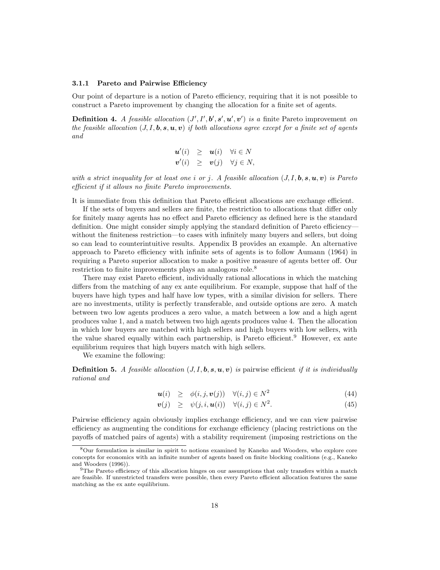#### 3.1.1 Pareto and Pairwise Efficiency

Our point of departure is a notion of Pareto efficiency, requiring that it is not possible to construct a Pareto improvement by changing the allocation for a finite set of agents.

**Definition 4.** A feasible allocation  $(J', I', b', s', u', v')$  is a finite Pareto improvement on the feasible allocation  $(J, I, b, s, u, v)$  if both allocations agree except for a finite set of agents and

$$
\begin{array}{rcl}\n\mathbf{u}'(i) & \geq & \mathbf{u}(i) & \forall i \in N \\
\mathbf{v}'(i) & \geq & \mathbf{v}(j) & \forall j \in N,\n\end{array}
$$

with a strict inequality for at least one i or j. A feasible allocation  $(J, I, \mathbf{b}, \mathbf{s}, \mathbf{u}, \mathbf{v})$  is Pareto efficient if it allows no finite Pareto improvements.

It is immediate from this definition that Pareto efficient allocations are exchange efficient.

If the sets of buyers and sellers are finite, the restriction to allocations that differ only for finitely many agents has no effect and Pareto efficiency as defined here is the standard definition. One might consider simply applying the standard definition of Pareto efficiency without the finiteness restriction—to cases with infinitely many buyers and sellers, but doing so can lead to counterintuitive results. Appendix B provides an example. An alternative approach to Pareto efficiency with infinite sets of agents is to follow Aumann (1964) in requiring a Pareto superior allocation to make a positive measure of agents better off. Our restriction to finite improvements plays an analogous role.<sup>8</sup>

There may exist Pareto efficient, individually rational allocations in which the matching differs from the matching of any ex ante equilibrium. For example, suppose that half of the buyers have high types and half have low types, with a similar division for sellers. There are no investments, utility is perfectly transferable, and outside options are zero. A match between two low agents produces a zero value, a match between a low and a high agent produces value 1, and a match between two high agents produces value 4. Then the allocation in which low buyers are matched with high sellers and high buyers with low sellers, with the value shared equally within each partnership, is Pareto efficient.<sup>9</sup> However, ex ante equilibrium requires that high buyers match with high sellers.

We examine the following:

**Definition 5.** A feasible allocation  $(J, I, b, s, u, v)$  is pairwise efficient if it is individually rational and

$$
\mathbf{u}(i) \quad \geq \quad \phi(i, j, \mathbf{v}(j)) \quad \forall (i, j) \in N^2 \tag{44}
$$

$$
\mathbf{v}(j) \quad \geq \quad \psi(j, i, \mathbf{u}(i)) \quad \forall (i, j) \in N^2. \tag{45}
$$

Pairwise efficiency again obviously implies exchange efficiency, and we can view pairwise efficiency as augmenting the conditions for exchange efficiency (placing restrictions on the payoffs of matched pairs of agents) with a stability requirement (imposing restrictions on the

<sup>8</sup>Our formulation is similar in spirit to notions examined by Kaneko and Wooders, who explore core concepts for economics with an infinite number of agents based on finite blocking coalitions (e.g., Kaneko and Wooders (1996)).

<sup>9</sup>The Pareto efficiency of this allocation hinges on our assumptions that only transfers within a match are feasible. If unrestricted transfers were possible, then every Pareto efficient allocation features the same matching as the ex ante equilibrium.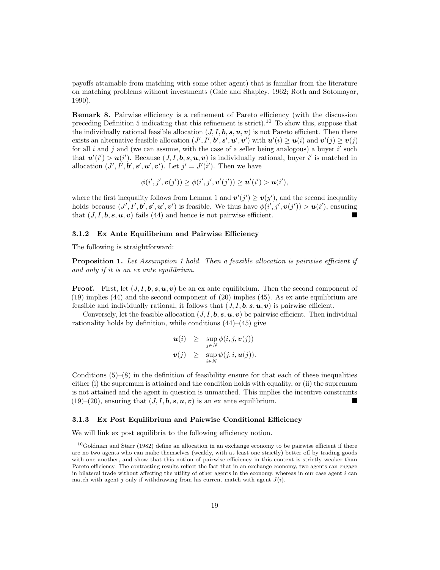payoffs attainable from matching with some other agent) that is familiar from the literature on matching problems without investments (Gale and Shapley, 1962; Roth and Sotomayor, 1990).

Remark 8. Pairwise efficiency is a refinement of Pareto efficiency (with the discussion preceding Definition 5 indicating that this refinement is strict).<sup>10</sup> To show this, suppose that the individually rational feasible allocation  $(J, I, b, s, u, v)$  is not Pareto efficient. Then there exists an alternative feasible allocation  $(J', I', b', s', u', v')$  with  $u'(i) \ge u(i)$  and  $v'(j) \ge v(j)$ for all  $i$  and  $j$  and (we can assume, with the case of a seller being analogous) a buyer  $i'$  such that  $u'(i') > u(i')$ . Because  $(J, I, b, s, u, v)$  is individually rational, buyer i' is matched in allocation  $(J', I', \mathbf{b}', \mathbf{s}', \mathbf{u}', \mathbf{v}')$ . Let  $j' = J'(i')$ . Then we have

$$
\phi(i',j',\mathbf{v}(j')) \geq \phi(i',j',\mathbf{v}'(j')) \geq \mathbf{u}'(i') > \mathbf{u}(i'),
$$

where the first inequality follows from Lemma 1 and  $v'(j') \ge v(y')$ , and the second inequality holds because  $(J', I', \mathbf{b}', \mathbf{s}', \mathbf{u}', \mathbf{v}')$  is feasible. We thus have  $\phi(i', j', \mathbf{v}(j')) > \mathbf{u}(i')$ , ensuring that  $(J, I, b, s, u, v)$  fails (44) and hence is not pairwise efficient.

#### 3.1.2 Ex Ante Equilibrium and Pairwise Efficiency

The following is straightforward:

Proposition 1. Let Assumption 1 hold. Then a feasible allocation is pairwise efficient if and only if it is an ex ante equilibrium.

**Proof.** First, let  $(J, I, b, s, u, v)$  be an ex ante equilibrium. Then the second component of (19) implies (44) and the second component of (20) implies (45). As ex ante equilibrium are feasible and individually rational, it follows that  $(J, I, b, s, u, v)$  is pairwise efficient.

Conversely, let the feasible allocation  $(J, I, b, s, u, v)$  be pairwise efficient. Then individual rationality holds by definition, while conditions (44)–(45) give

$$
\begin{array}{rcl}\n\mathbf{u}(i) & \geq & \sup_{j \in N} \phi(i, j, \mathbf{v}(j)) \\
\mathbf{v}(j) & \geq & \sup_{i \in N} \psi(j, i, \mathbf{u}(j)).\n\end{array}
$$

Conditions  $(5)-(8)$  in the definition of feasibility ensure for that each of these inequalities either (i) the supremum is attained and the condition holds with equality, or (ii) the supremum is not attained and the agent in question is unmatched. This implies the incentive constraints  $(19)$ – $(20)$ , ensuring that  $(J, I, b, s, u, v)$  is an ex ante equilibrium.

#### 3.1.3 Ex Post Equilibrium and Pairwise Conditional Efficiency

We will link ex post equilibria to the following efficiency notion.

<sup>10</sup>Goldman and Starr (1982) define an allocation in an exchange economy to be pairwise efficient if there are no two agents who can make themselves (weakly, with at least one strictly) better off by trading goods with one another, and show that this notion of pairwise efficiency in this context is strictly weaker than Pareto efficiency. The contrasting results reflect the fact that in an exchange economy, two agents can engage in bilateral trade without affecting the utility of other agents in the economy, whereas in our case agent  $i$  can match with agent j only if withdrawing from his current match with agent  $J(i)$ .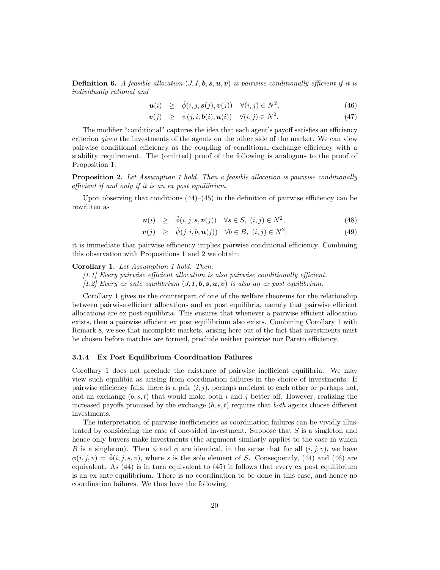**Definition 6.** A feasible allocation  $(J, I, b, s, u, v)$  is pairwise conditionally efficient if it is individually rational and

$$
\mathbf{u}(i) \quad \geq \quad \breve{\phi}(i,j,\mathbf{s}(j),\mathbf{v}(j)) \quad \forall (i,j) \in N^2,\tag{46}
$$

$$
\boldsymbol{v}(j) \quad \geq \quad \breve{\psi}(j, i, \boldsymbol{b}(i), \boldsymbol{u}(i)) \quad \forall (i, j) \in N^2. \tag{47}
$$

The modifier "conditional" captures the idea that each agent's payoff satisfies an efficiency criterion given the investments of the agents on the other side of the market. We can view pairwise conditional efficiency as the coupling of conditional exchange efficiency with a stability requirement. The (omitted) proof of the following is analogous to the proof of Proposition 1.

Proposition 2. Let Assumption 1 hold. Then a feasible allocation is pairwise conditionally efficient if and only if it is an ex post equilibrium.

Upon observing that conditions  $(44)$ – $(45)$  in the definition of pairwise efficiency can be rewritten as

$$
\mathbf{u}(i) \quad \geq \quad \breve{\phi}(i,j,s,\mathbf{v}(j)) \quad \forall s \in S, \ (i,j) \in N^2,\tag{48}
$$

$$
\boldsymbol{v}(j) \quad \geq \quad \breve{\psi}(j, i, b, \boldsymbol{u}(j)) \quad \forall b \in B, \ (i, j) \in N^2,\tag{49}
$$

it is immediate that pairwise efficiency implies pairwise conditional efficiency. Combining this observation with Propositions 1 and 2 we obtain:

Corollary 1. Let Assumption 1 hold. Then:

 $[1.1]$  Every pairwise efficient allocation is also pairwise conditionally efficient. [1.2] Every ex ante equilibrium  $(J, I, \mathbf{b}, \mathbf{s}, \mathbf{u}, \mathbf{v})$  is also an ex post equilibrium.

Corollary 1 gives us the counterpart of one of the welfare theorems for the relationship between pairwise efficient allocations and ex post equilibria, namely that pairwise efficient allocations are ex post equilibria. This ensures that whenever a pairwise efficient allocation exists, then a pairwise efficient ex post equilibrium also exists. Combining Corollary 1 with Remark 8, we see that incomplete markets, arising here out of the fact that investments must be chosen before matches are formed, preclude neither pairwise nor Pareto efficiency.

#### 3.1.4 Ex Post Equilibrium Coordination Failures

Corollary 1 does not preclude the existence of pairwise inefficient equilibria. We may view such equilibia as arising from coordination failures in the choice of investments: If pairwise efficiency fails, there is a pair  $(i, j)$ , perhaps matched to each other or perhaps not, and an exchange  $(b, s, t)$  that would make both i and j better off. However, realizing the increased payoffs promised by the exchange  $(b, s, t)$  requires that *both* agents choose different investments.

The interpretation of pairwise inefficiencies as coordination failures can be vividly illustrated by considering the case of one-sided investment. Suppose that S is a singleton and hence only buyers make investments (the argument similarly applies to the case in which B is a singleton). Then  $\phi$  and  $\phi$  are identical, in the sense that for all  $(i, j, v)$ , we have  $\phi(i, j, v) = \dot{\phi}(i, j, s, v)$ , where s is the sole element of S. Consequently, (44) and (46) are equivalent. As (44) is in turn equivalent to (45) it follows that every ex post equilibrium is an ex ante equilibrium. There is no coordination to be done in this case, and hence no coordination failures. We thus have the following: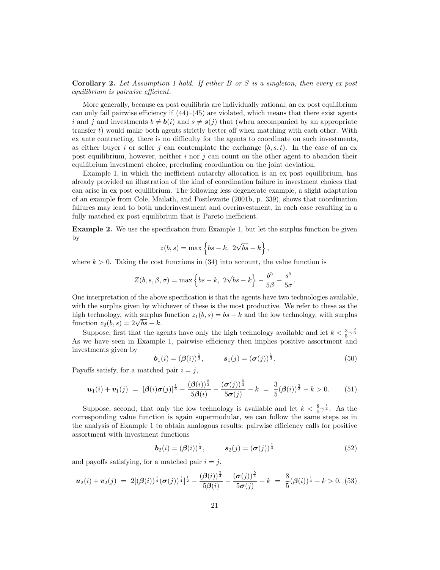**Corollary 2.** Let Assumption 1 hold. If either B or S is a singleton, then every ex post equilibrium is pairwise efficient.

More generally, because ex post equilibria are individually rational, an ex post equilibrium can only fail pairwise efficiency if  $(44)$ – $(45)$  are violated, which means that there exist agents i and j and investments  $b \neq b(i)$  and  $s \neq s(j)$  that (when accompanied by an appropriate transfer t) would make both agents strictly better off when matching with each other. With ex ante contracting, there is no difficulty for the agents to coordinate on such investments, as either buyer i or seller j can contemplate the exchange  $(b, s, t)$ . In the case of an ex post equilibrium, however, neither  $i$  nor  $j$  can count on the other agent to abandon their equilibrium investment choice, precluding coordination on the joint deviation.

Example 1, in which the inefficient autarchy allocation is an ex post equilibrium, has already provided an illustration of the kind of coordination failure in investment choices that can arise in ex post equilibrium. The following less degenerate example, a slight adaptation of an example from Cole, Mailath, and Postlewaite (2001b, p. 339), shows that coordination failures may lead to both underinvestment and overinvestment, in each case resulting in a fully matched ex post equilibrium that is Pareto inefficient.

Example 2. We use the specification from Example 1, but let the surplus function be given by

$$
z(b,s) = \max\left\{bs - k, \ 2\sqrt{bs} - k\right\},\
$$

where  $k > 0$ . Taking the cost functions in (34) into account, the value function is

$$
Z(b,s,\beta,\sigma) = \max \Big\{ b s - k,\ 2 \sqrt{b s} - k \Big\} - \frac{b^5}{5 \beta} - \frac{s^5}{5 \sigma}.
$$

One interpretation of the above specification is that the agents have two technologies available, with the surplus given by whichever of these is the most productive. We refer to these as the high technology, with surplus function  $z_1(b, s) = bs - k$  and the low technology, with surplus migh technology, with surplus<br>function  $z_2(b, s) = 2\sqrt{bs} - k$ .

Suppose, first that the agents have only the high technology available and let  $k < \frac{3}{5}\gamma^{\frac{2}{3}}$ As we have seen in Example 1, pairwise efficiency then implies positive assortment and investments given by

$$
\mathbf{b}_1(i) = (\beta(i))^{\frac{1}{3}}, \qquad \mathbf{s}_1(j) = (\boldsymbol{\sigma}(j))^{\frac{1}{3}}.
$$
 (50)

Payoffs satisfy, for a matched pair  $i = j$ ,

$$
\boldsymbol{u}_1(i) + \boldsymbol{v}_1(j) = [\beta(i)\boldsymbol{\sigma}(j)]^{\frac{1}{3}} - \frac{(\beta(i))^{\frac{5}{3}}}{5\beta(i)} - \frac{(\boldsymbol{\sigma}(j))^{\frac{5}{3}}}{5\boldsymbol{\sigma}(j)} - k = \frac{3}{5}(\beta(i))^{\frac{2}{3}} - k > 0. \tag{51}
$$

Suppose, second, that only the low technology is available and let  $k < \frac{8}{5}\gamma^{\frac{1}{4}}$ . As the corresponding value function is again supermodular, we can follow the same steps as in the analysis of Example 1 to obtain analogous results: pairwise efficiency calls for positive assortment with investment functions

$$
\mathbf{b}_2(i) = (\mathbf{\beta}(i))^{\frac{1}{4}}, \qquad \mathbf{s}_2(j) = (\boldsymbol{\sigma}(j))^{\frac{1}{4}}
$$
(52)

and payoffs satisfying, for a matched pair  $i = j$ ,

$$
\boldsymbol{u}_2(i) + \boldsymbol{v}_2(j) = 2[(\boldsymbol{\beta}(i))^{\frac{1}{4}}(\boldsymbol{\sigma}(j))^{\frac{1}{4}}]^{\frac{1}{2}} - \frac{(\boldsymbol{\beta}(i))^{\frac{5}{4}}}{5\boldsymbol{\beta}(i)} - \frac{(\boldsymbol{\sigma}(j))^{\frac{5}{4}}}{5\boldsymbol{\sigma}(j)} - k = \frac{8}{5}(\boldsymbol{\beta}(i))^{\frac{1}{4}} - k > 0. \tag{53}
$$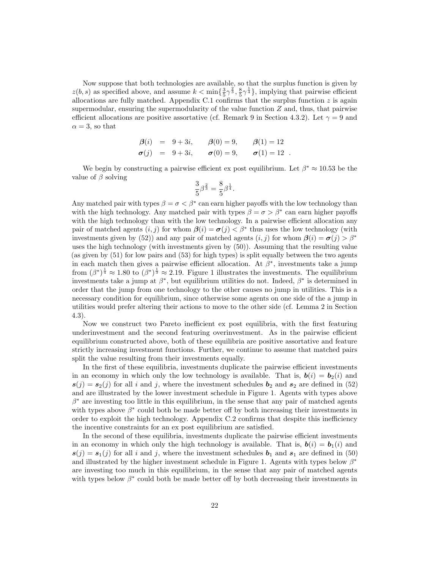Now suppose that both technologies are available, so that the surplus function is given by  $z(b, s)$  as specified above, and assume  $k < \min\{\frac{3}{5}\gamma^{\frac{2}{3}}, \frac{8}{5}\gamma^{\frac{1}{4}}\}\$ , implying that pairwise efficient allocations are fully matched. Appendix C.1 confirms that the surplus function  $z$  is again supermodular, ensuring the supermodularity of the value function  $Z$  and, thus, that pairwise efficient allocations are positive assortative (cf. Remark 9 in Section 4.3.2). Let  $\gamma = 9$  and  $\alpha = 3$ , so that

$$
\beta(i) = 9 + 3i,
$$
  $\beta(0) = 9,$   $\beta(1) = 12$   
\n $\sigma(j) = 9 + 3i,$   $\sigma(0) = 9,$   $\sigma(1) = 12$ .

We begin by constructing a pairwise efficient ex post equilibrium. Let  $\beta^* \approx 10.53$  be the value of  $\beta$  solving

$$
\frac{3}{5}\beta^{\frac{2}{3}}=\frac{8}{5}\beta^{\frac{1}{4}}.
$$

Any matched pair with types  $\beta = \sigma < \beta^*$  can earn higher payoffs with the low technology than with the high technology. Any matched pair with types  $\beta = \sigma > \beta^*$  can earn higher payoffs with the high technology than with the low technology. In a pairwise efficient allocation any pair of matched agents  $(i, j)$  for whom  $\beta(i) = \sigma(j) < \beta^*$  thus uses the low technology (with investments given by (52)) and any pair of matched agents  $(i, j)$  for whom  $\beta(i) = \sigma(j) > \beta^*$ uses the high technology (with investments given by (50)). Assuming that the resulting value (as given by (51) for low pairs and (53) for high types) is split equally between the two agents in each match then gives a pairwise efficient allocation. At  $\beta^*$ , investments take a jump from  $(\beta^*)^{\frac{1}{4}} \approx 1.80$  to  $(\beta^*)^{\frac{1}{3}} \approx 2.19$ . Figure 1 illustrates the investments. The equilibrium investments take a jump at  $\beta^*$ , but equilibrium utilities do not. Indeed,  $\beta^*$  is determined in order that the jump from one technology to the other causes no jump in utilities. This is a necessary condition for equilibrium, since otherwise some agents on one side of the a jump in utilities would prefer altering their actions to move to the other side (cf. Lemma 2 in Section 4.3).

Now we construct two Pareto inefficient ex post equilibria, with the first featuring underinvestment and the second featuring overinvestment. As in the pairwise efficient equilibrium constructed above, both of these equilibria are positive assortative and feature strictly increasing investment functions. Further, we continue to assume that matched pairs split the value resulting from their investments equally.

In the first of these equilibria, investments duplicate the pairwise efficient investments in an economy in which only the low technology is available. That is,  $\mathbf{b}(i) = \mathbf{b}_2(i)$  and  $s(j) = s_2(j)$  for all i and j, where the investment schedules  $b_2$  and  $s_2$  are defined in (52) and are illustrated by the lower investment schedule in Figure 1. Agents with types above  $\beta^*$  are investing too little in this equilibrium, in the sense that any pair of matched agents with types above  $\beta^*$  could both be made better off by both increasing their investments in order to exploit the high technology. Appendix C.2 confirms that despite this inefficiency the incentive constraints for an ex post equilibrium are satisfied.

In the second of these equilibria, investments duplicate the pairwise efficient investments in an economy in which only the high technology is available. That is,  $b(i) = b_1(i)$  and  $s(j) = s_1(j)$  for all i and j, where the investment schedules  $b_1$  and  $s_1$  are defined in (50) and illustrated by the higher investment schedule in Figure 1. Agents with types below  $\beta^*$ are investing too much in this equilibrium, in the sense that any pair of matched agents with types below  $\beta^*$  could both be made better off by both decreasing their investments in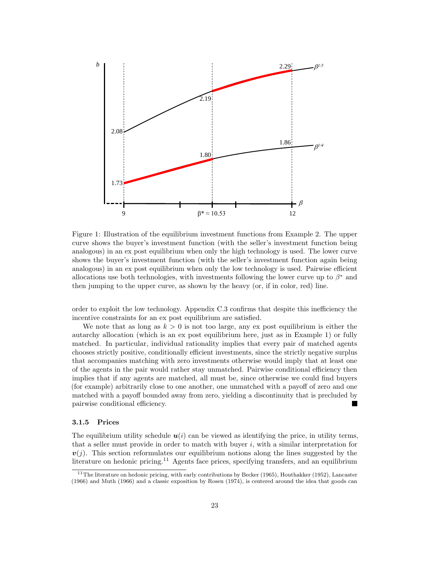

Figure 1: Illustration of the equilibrium investment functions from Example 2. The upper curve shows the buyer's investment function (with the seller's investment function being analogous) in an ex post equilibrium when only the high technology is used. The lower curve shows the buyer's investment function (with the seller's investment function again being analogous) in an ex post equilibrium when only the low technology is used. Pairwise efficient allocations use both technologies, with investments following the lower curve up to  $\beta^*$  and then jumping to the upper curve, as shown by the heavy (or, if in color, red) line.

order to exploit the low technology. Appendix C.3 confirms that despite this inefficiency the incentive constraints for an ex post equilibrium are satisfied.

We note that as long as  $k > 0$  is not too large, any ex post equilibrium is either the autarchy allocation (which is an ex post equilibrium here, just as in Example 1) or fully matched. In particular, individual rationality implies that every pair of matched agents chooses strictly positive, conditionally efficient investments, since the strictly negative surplus that accompanies matching with zero investments otherwise would imply that at least one of the agents in the pair would rather stay unmatched. Pairwise conditional efficiency then implies that if any agents are matched, all must be, since otherwise we could find buyers (for example) arbitrarily close to one another, one unmatched with a payoff of zero and one matched with a payoff bounded away from zero, yielding a discontinuity that is precluded by pairwise conditional efficiency.

#### 3.1.5 Prices

The equilibrium utility schedule  $u(i)$  can be viewed as identifying the price, in utility terms, that a seller must provide in order to match with buyer  $i$ , with a similar interpretation for  $v(j)$ . This section reformulates our equilibrium notions along the lines suggested by the literature on hedonic pricing.<sup>11</sup> Agents face prices, specifying transfers, and an equilibrium

<sup>&</sup>lt;sup>11</sup>The literature on hedonic pricing, with early contributions by Becker (1965), Houthakker (1952), Lancaster (1966) and Muth (1966) and a classic exposition by Rosen (1974), is centered around the idea that goods can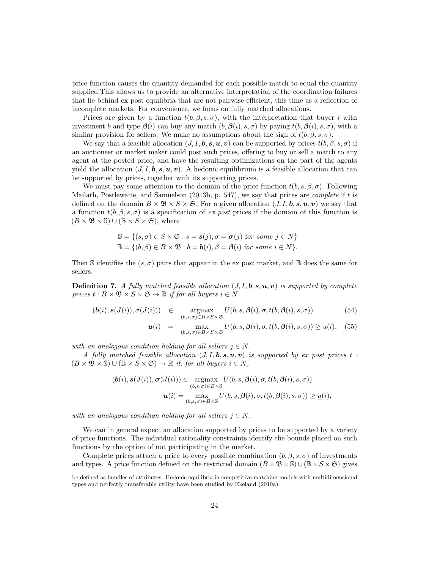price function causes the quantity demanded for each possible match to equal the quantity supplied.This allows us to provide an alternative interpretation of the coordination failures that lie behind ex post equilibria that are not pairwise efficient, this time as a reflection of incomplete markets. For convenience, we focus on fully matched allocations.

Prices are given by a function  $t(b, \beta, s, \sigma)$ , with the interpretation that buyer i with investment b and type  $\beta(i)$  can buy any match  $(b, \beta(i), s, \sigma)$  by paying  $t(b, \beta(i), s, \sigma)$ , with a similar provision for sellers. We make no assumptions about the sign of  $t(b, \beta, s, \sigma)$ .

We say that a feasible allocation  $(J, I, b, s, u, v)$  can be supported by prices  $t(b, \beta, s, \sigma)$  if an auctioneer or market maker could post such prices, offering to buy or sell a match to any agent at the posted price, and have the resulting optimizations on the part of the agents yield the allocation  $(J, I, b, s, u, v)$ . A hedonic equilibrium is a feasible allocation that can be supported by prices, together with its supporting prices.

We must pay some attention to the domain of the price function  $t(b, s, \beta, \sigma)$ . Following Mailath, Postlewaite, and Samuelson  $(2013b, p. 547)$ , we say that prices are *complete* if t is defined on the domain  $B \times \mathfrak{B} \times S \times \mathfrak{S}$ . For a given allocation  $(J, I, b, s, u, v)$  we say that a function  $t(b, \beta, s, \sigma)$  is a specification of ex post prices if the domain of this function is  $(B \times \mathfrak{B} \times \mathbb{S}) \cup (\mathbb{B} \times S \times \mathfrak{S})$ , where

$$
\mathbb{S} = \{(s, \sigma) \in S \times \mathfrak{S} : s = s(j), \sigma = \sigma(j) \text{ for some } j \in N\}
$$
  

$$
\mathbb{B} = \{(b, \beta) \in B \times \mathfrak{B} : b = b(i), \beta = \beta(i) \text{ for some } i \in N\}.
$$

Then S identifies the  $(s, \sigma)$  pairs that appear in the ex post market, and B does the same for sellers.

**Definition 7.** A fully matched feasible allocation  $(J, I, b, s, u, v)$  is supported by complete prices  $t : B \times B \times S \times \mathfrak{S} \to \mathbb{R}$  if for all buyers  $i \in N$ 

$$
(\boldsymbol{b}(i), \boldsymbol{s}(J(i)), \sigma(J(i))) \in \operatorname{argmax}_{(b,s,\sigma) \in B \times S \times \mathfrak{S}} U(b,s,\boldsymbol{\beta}(i),\sigma,t(b,\boldsymbol{\beta}(i),s,\sigma))
$$
(54)

$$
\mathbf{u}(i) = \max_{(b,s,\sigma)\in B\times S\times \mathfrak{S}} U(b,s,\boldsymbol{\beta}(i),\sigma,t(b,\boldsymbol{\beta}(i),s,\sigma)) \ge \underline{u}(i), \quad (55)
$$

with an analogous condition holding for all sellers  $j \in N$ .

A fully matched feasible allocation  $(J, I, \mathbf{b}, \mathbf{s}, \mathbf{u}, \mathbf{v})$  is supported by ex post prices t:  $(B \times \mathfrak{B} \times \mathbb{S}) \cup (\mathbb{B} \times S \times \mathfrak{S}) \rightarrow \mathbb{R}$  if, for all buyers  $i \in N$ ,

$$
(\boldsymbol{b}(i), \boldsymbol{s}(J(i)), \boldsymbol{\sigma}(J(i))) \in \operatorname*{argmax}_{(b,s,\sigma) \in B \times \mathbb{S}} U(b,s,\boldsymbol{\beta}(i),\sigma,t(b,\boldsymbol{\beta}(i),s,\sigma))
$$

$$
\boldsymbol{u}(i) = \max_{(b,s,\sigma) \in B \times \mathbb{S}} U(b,s,\boldsymbol{\beta}(i),\sigma,t(b,\boldsymbol{\beta}(i),s,\sigma)) \geq \underline{u}(i),
$$

with an analogous condition holding for all sellers  $j \in N$ .

We can in general expect an allocation supported by prices to be supported by a variety of price functions. The individual rationality constraints identify the bounds placed on such functions by the option of not participating in the market.

Complete prices attach a price to every possible combination  $(b, \beta, s, \sigma)$  of investments and types. A price function defined on the restricted domain  $(B \times \mathcal{B} \times \mathcal{S}) \cup (\mathbb{B} \times S \times \mathcal{S})$  gives

be defined as bundles of attributes. Hedonic equilibria in competitive matching models with multidimensional types and perfectly transferable utility have been studied by Ekeland (2010a).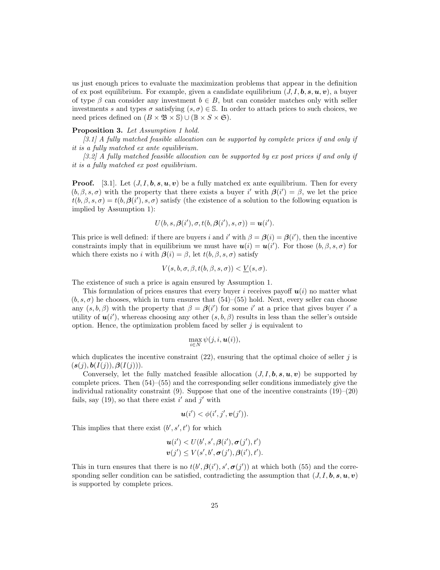us just enough prices to evaluate the maximization problems that appear in the definition of ex post equilibrium. For example, given a candidate equilibrium  $(J, I, \mathbf{b}, \mathbf{s}, \mathbf{u}, \mathbf{v})$ , a buyer of type  $\beta$  can consider any investment  $b \in B$ , but can consider matches only with seller investments s and types  $\sigma$  satisfying  $(s, \sigma) \in \mathbb{S}$ . In order to attach prices to such choices, we need prices defined on  $(B \times \mathfrak{B} \times \mathbb{S}) \cup (\mathbb{B} \times S \times \mathbb{S})$ .

#### Proposition 3. Let Assumption 1 hold.

 $[3.1]$  A fully matched feasible allocation can be supported by complete prices if and only if it is a fully matched ex ante equilibrium.

 $[3.2]$  A fully matched feasible allocation can be supported by ex post prices if and only if it is a fully matched ex post equilibrium.

**Proof.** [3.1]. Let  $(J, I, b, s, u, v)$  be a fully matched ex ante equilibrium. Then for every  $(b, \beta, s, \sigma)$  with the property that there exists a buyer i' with  $\beta(i') = \beta$ , we let the price  $t(b, \beta, s, \sigma) = t(b, \beta(i'), s, \sigma)$  satisfy (the existence of a solution to the following equation is implied by Assumption 1):

$$
U(b, s, \boldsymbol{\beta}(i'), \sigma, t(b, \boldsymbol{\beta}(i'), s, \sigma)) = \boldsymbol{u}(i').
$$

This price is well defined: if there are buyers i and i' with  $\beta = \beta(i) = \beta(i')$ , then the incentive constraints imply that in equilibrium we must have  $u(i) = u(i')$ . For those  $(b, \beta, s, \sigma)$  for which there exists no i with  $\beta(i) = \beta$ , let  $t(b, \beta, s, \sigma)$  satisfy

$$
V(s, b, \sigma, \beta, t(b, \beta, s, \sigma)) < \underline{V}(s, \sigma).
$$

The existence of such a price is again ensured by Assumption 1.

This formulation of prices ensures that every buyer i receives payoff  $u(i)$  no matter what  $(b, s, \sigma)$  he chooses, which in turn ensures that  $(54)$ – $(55)$  hold. Next, every seller can choose any  $(s, b, \beta)$  with the property that  $\beta = \beta(i')$  for some i' at a price that gives buyer i' a utility of  $u(i')$ , whereas choosing any other  $(s, b, \beta)$  results in less than the seller's outside option. Hence, the optimization problem faced by seller  $j$  is equivalent to

$$
\max_{i\in N}\psi(j,i,\boldsymbol{u}(i)),
$$

which duplicates the incentive constraint  $(22)$ , ensuring that the optimal choice of seller j is  $(\mathbf{s}(j), \mathbf{b}(I(j)), \mathbf{\beta}(I(j))).$ 

Conversely, let the fully matched feasible allocation  $(J, I, b, s, u, v)$  be supported by complete prices. Then (54)–(55) and the corresponding seller conditions immediately give the individual rationality constraint (9). Suppose that one of the incentive constraints  $(19)-(20)$ fails, say  $(19)$ , so that there exist i' and j' with

$$
\boldsymbol{u}(i') < \phi(i',j',\boldsymbol{v}(j')).
$$

This implies that there exist  $(b', s', t')$  for which

$$
\boldsymbol{u}(i') < U(b', s', \boldsymbol{\beta}(i'), \boldsymbol{\sigma}(j'), t')
$$
\n
$$
\boldsymbol{v}(j') \le V(s', b', \boldsymbol{\sigma}(j'), \boldsymbol{\beta}(i'), t').
$$

This in turn ensures that there is no  $t(b', \beta(i'), s', \sigma(j'))$  at which both (55) and the corresponding seller condition can be satisfied, contradicting the assumption that  $(J, I, b, s, u, v)$ is supported by complete prices.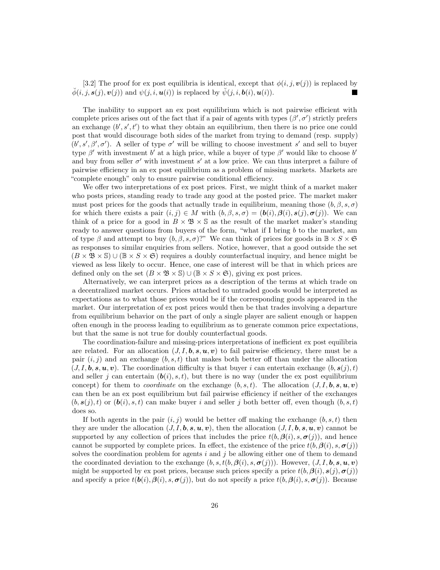[3.2] The proof for ex post equilibria is identical, except that  $\phi(i, j, v(j))$  is replaced by  $\check{\phi}(i, j, \mathbf{s}(j), \mathbf{v}(j))$  and  $\psi(j, i, \mathbf{u}(i))$  is replaced by  $\check{\psi}(j, i, \mathbf{b}(i), \mathbf{u}(i))$ .

The inability to support an ex post equilibrium which is not pairwise efficient with complete prices arises out of the fact that if a pair of agents with types  $(\beta', \sigma')$  strictly prefers an exchange  $(b', s', t')$  to what they obtain an equilibrium, then there is no price one could post that would discourage both sides of the market from trying to demand (resp. supply)  $(b', s', \beta', \sigma')$ . A seller of type  $\sigma'$  will be willing to choose investment s' and sell to buyer type  $\beta'$  with investment b' at a high price, while a buyer of type  $\beta'$  would like to choose b' and buy from seller  $\sigma'$  with investment s' at a low price. We can thus interpret a failure of pairwise efficiency in an ex post equilibrium as a problem of missing markets. Markets are "complete enough" only to ensure pairwise conditional efficiency.

We offer two interpretations of ex post prices. First, we might think of a market maker who posts prices, standing ready to trade any good at the posted price. The market maker must post prices for the goods that actually trade in equilibrium, meaning those  $(b, \beta, s, \sigma)$ for which there exists a pair  $(i, j) \in M$  with  $(b, \beta, s, \sigma) = (b(i), \beta(i), s(j), \sigma(j))$ . We can think of a price for a good in  $B \times \mathfrak{B} \times \mathbb{S}$  as the result of the market maker's standing ready to answer questions from buyers of the form, "what if I bring  $b$  to the market, am of type  $\beta$  and attempt to buy  $(b, \beta, s, \sigma)$ ?" We can think of prices for goods in  $\mathbb{B} \times S \times \mathfrak{S}$ as responses to similar enquiries from sellers. Notice, however, that a good outside the set  $(B \times \mathcal{B} \times \mathbb{S}) \cup (\mathbb{B} \times S \times \mathfrak{S})$  requires a doubly counterfactual inquiry, and hence might be viewed as less likely to occur. Hence, one case of interest will be that in which prices are defined only on the set  $(B \times \mathfrak{B} \times \mathbb{S}) \cup (\mathbb{B} \times S \times \mathfrak{S})$ , giving ex post prices.

Alternatively, we can interpret prices as a description of the terms at which trade on a decentralized market occurs. Prices attached to untraded goods would be interpreted as expectations as to what those prices would be if the corresponding goods appeared in the market. Our interpretation of ex post prices would then be that trades involving a departure from equilibrium behavior on the part of only a single player are salient enough or happen often enough in the process leading to equilibrium as to generate common price expectations, but that the same is not true for doubly counterfactual goods.

The coordination-failure and missing-prices interpretations of inefficient ex post equilibria are related. For an allocation  $(J, I, b, s, u, v)$  to fail pairwise efficiency, there must be a pair  $(i, j)$  and an exchange  $(b, s, t)$  that makes both better off than under the allocation  $(J, I, b, s, u, v)$ . The coordination difficulty is that buyer i can entertain exchange  $(b, s(j), t)$ and seller j can entertain  $(b(i), s, t)$ , but there is no way (under the ex post equilibrium concept) for them to *coordinate* on the exchange  $(b, s, t)$ . The allocation  $(J, I, b, s, u, v)$ can then be an ex post equilibrium but fail pairwise efficiency if neither of the exchanges  $(b, s(j), t)$  or  $(b(i), s, t)$  can make buyer i and seller j both better off, even though  $(b, s, t)$ does so.

If both agents in the pair  $(i, j)$  would be better off making the exchange  $(b, s, t)$  then they are under the allocation  $(J, I, b, s, u, v)$ , then the allocation  $(J, I, b, s, u, v)$  cannot be supported by any collection of prices that includes the price  $t(b, \beta(i), s, \sigma(i))$ , and hence cannot be supported by complete prices. In effect, the existence of the price  $t(b, \beta(i), s, \sigma(j))$ solves the coordination problem for agents  $i$  and  $j$  be allowing either one of them to demand the coordinated deviation to the exchange  $(b, s, t(b, \beta(i), s, \sigma(j)))$ . However,  $(J, I, b, s, u, v)$ might be supported by ex post prices, because such prices specify a price  $t(b, \beta(i), s(j), \sigma(j))$ and specify a price  $t(\boldsymbol{b}(i), \boldsymbol{\beta}(i), s, \boldsymbol{\sigma}(i))$ , but do not specify a price  $t(b, \boldsymbol{\beta}(i), s, \boldsymbol{\sigma}(i))$ . Because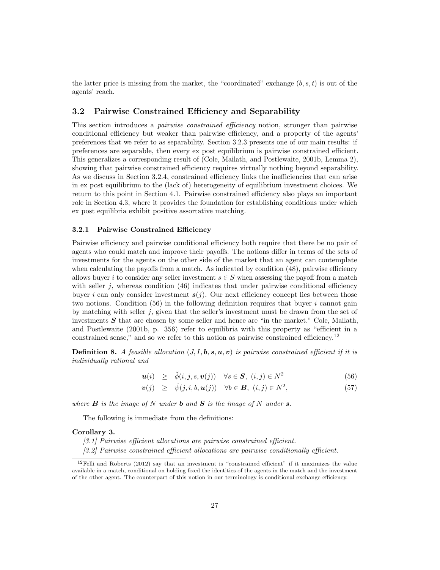the latter price is missing from the market, the "coordinated" exchange  $(b, s, t)$  is out of the agents' reach.

#### 3.2 Pairwise Constrained Efficiency and Separability

This section introduces a *pairwise constrained efficiency* notion, stronger than pairwise conditional efficiency but weaker than pairwise efficiency, and a property of the agents' preferences that we refer to as separability. Section 3.2.3 presents one of our main results: if preferences are separable, then every ex post equilibrium is pairwise constrained efficient. This generalizes a corresponding result of (Cole, Mailath, and Postlewaite, 2001b, Lemma 2), showing that pairwise constrained efficiency requires virtually nothing beyond separability. As we discuss in Section 3.2.4, constrained efficiency links the inefficiencies that can arise in ex post equilibrium to the (lack of) heterogeneity of equilibrium investment choices. We return to this point in Section 4.1. Pairwise constrained efficiency also plays an important role in Section 4.3, where it provides the foundation for establishing conditions under which ex post equilibria exhibit positive assortative matching.

#### 3.2.1 Pairwise Constrained Efficiency

Pairwise efficiency and pairwise conditional efficiency both require that there be no pair of agents who could match and improve their payoffs. The notions differ in terms of the sets of investments for the agents on the other side of the market that an agent can contemplate when calculating the payoffs from a match. As indicated by condition (48), pairwise efficiency allows buyer i to consider any seller investment  $s \in S$  when assessing the payoff from a match with seller  $i$ , whereas condition (46) indicates that under pairwise conditional efficiency buyer i can only consider investment  $s(j)$ . Our next efficiency concept lies between those two notions. Condition (56) in the following definition requires that buyer  $i$  cannot gain by matching with seller  $j$ , given that the seller's investment must be drawn from the set of investments  $S$  that are chosen by some seller and hence are "in the market." Cole, Mailath, and Postlewaite (2001b, p. 356) refer to equilibria with this property as "efficient in a constrained sense," and so we refer to this notion as pairwise constrained efficiency.<sup>12</sup>

**Definition 8.** A feasible allocation  $(J, I, b, s, u, v)$  is pairwise constrained efficient if it is individually rational and

$$
\mathbf{u}(i) \quad \geq \quad \breve{\phi}(i,j,s,\mathbf{v}(j)) \quad \forall s \in \mathbf{S}, \ (i,j) \in N^2 \tag{56}
$$

$$
\boldsymbol{v}(j) \quad \geq \quad \breve{\psi}(j, i, b, \boldsymbol{u}(j)) \quad \forall b \in \boldsymbol{B}, \ (i, j) \in N^2,\tag{57}
$$

where  $\bf{B}$  is the image of N under **b** and  $\bf{S}$  is the image of N under  $\bf{s}$ .

The following is immediate from the definitions:

#### Corollary 3.

[3.1] Pairwise efficient allocations are pairwise constrained efficient.

[3.2] Pairwise constrained efficient allocations are pairwise conditionally efficient.

 $12$ Felli and Roberts (2012) say that an investment is "constrained efficient" if it maximizes the value available in a match, conditional on holding fixed the identities of the agents in the match and the investment of the other agent. The counterpart of this notion in our terminology is conditional exchange efficiency.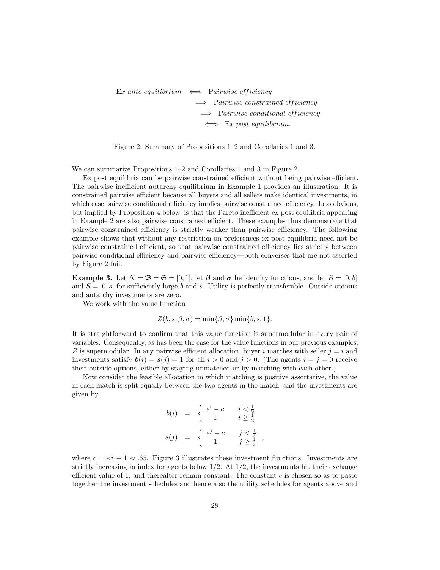Ex ante equilibrium  $\iff$  Pairwise efficiency  $\implies$  Pairwise constrained efficiency  $Pairwise conditional efficiency$  $\iff$  Ex post equilibrium.

Figure 2: Summary of Propositions 1–2 and Corollaries 1 and 3.

We can summarize Propositions 1–2 and Corollaries 1 and 3 in Figure 2.

Ex post equilibria can be pairwise constrained efficient without being pairwise efficient. The pairwise inefficient autarchy equilibrium in Example 1 provides an illustration. It is constrained pairwise efficient because all buyers and all sellers make identical investments, in which case pairwise conditional efficiency implies pairwise constrained efficiency. Less obvious, but implied by Proposition 4 below, is that the Pareto inefficient ex post equilibria appearing in Example 2 are also pairwise constrained efficient. These examples thus demonstrate that pairwise constrained efficiency is strictly weaker than pairwise efficiency. The following example shows that without any restriction on preferences ex post equilibria need not be pairwise constrained efficient, so that pairwise constrained efficiency lies strictly between pairwise conditional efficiency and pairwise efficiency—both converses that are not asserted by Figure 2 fail.

**Example 3.** Let  $N = \mathfrak{B} = \mathfrak{S} = [0, 1]$ , let  $\boldsymbol{\beta}$  and  $\boldsymbol{\sigma}$  be identity functions, and let  $B = [0, \overline{b}]$ and  $S = [0, \bar{s}]$  for sufficiently large  $\bar{b}$  and  $\bar{s}$ . Utility is perfectly transferable. Outside options and autarchy investments are zero.

We work with the value function

$$
Z(b, s, \beta, \sigma) = \min\{\beta, \sigma\} \min\{b, s, 1\}.
$$

It is straightforward to confirm that this value function is supermodular in every pair of variables. Consequently, as has been the case for the value functions in our previous examples, Z is supermodular. In any pairwise efficient allocation, buyer i matches with seller  $j = i$  and investments satisfy  $\mathbf{b}(i) = \mathbf{s}(j) = 1$  for all  $i > 0$  and  $j > 0$ . (The agents  $i = j = 0$  receive their outside options, either by staying unmatched or by matching with each other.)

Now consider the feasible allocation in which matching is positive assortative, the value in each match is split equally between the two agents in the match, and the investments are given by

$$
b(i) = \begin{cases} e^{i} - c & i < \frac{1}{2} \\ 1 & i \geq \frac{1}{2} \end{cases}
$$
  

$$
s(j) = \begin{cases} e^{j} - c & j < \frac{1}{2} \\ 1 & j \geq \frac{1}{2} \end{cases}
$$

,

where  $c = e^{\frac{1}{2}} - 1 \approx .65$ . Figure 3 illustrates these investment functions. Investments are strictly increasing in index for agents below  $1/2$ . At  $1/2$ , the investments hit their exchange efficient value of 1, and thereafter remain constant. The constant  $c$  is chosen so as to paste together the investment schedules and hence also the utility schedules for agents above and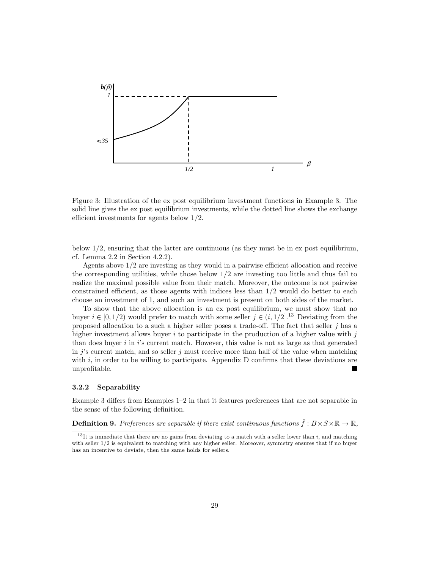

Figure 3: Illustration of the ex post equilibrium investment functions in Example 3. The solid line gives the ex post equilibrium investments, while the dotted line shows the exchange efficient investments for agents below 1/2.

below  $1/2$ , ensuring that the latter are continuous (as they must be in ex post equilibrium, cf. Lemma 2.2 in Section 4.2.2).

Agents above 1/2 are investing as they would in a pairwise efficient allocation and receive the corresponding utilities, while those below  $1/2$  are investing too little and thus fail to realize the maximal possible value from their match. Moreover, the outcome is not pairwise constrained efficient, as those agents with indices less than  $1/2$  would do better to each choose an investment of 1, and such an investment is present on both sides of the market.

To show that the above allocation is an ex post equilibrium, we must show that no buyer  $i \in [0, 1/2)$  would prefer to match with some seller  $j \in (i, 1/2]$ .<sup>13</sup> Deviating from the proposed allocation to a such a higher seller poses a trade-off. The fact that seller  $j$  has a higher investment allows buyer  $i$  to participate in the production of a higher value with  $j$ than does buyer  $i$  in  $i$ 's current match. However, this value is not as large as that generated in j's current match, and so seller j must receive more than half of the value when matching with  $i$ , in order to be willing to participate. Appendix D confirms that these deviations are unprofitable.

#### 3.2.2 Separability

Example 3 differs from Examples 1–2 in that it features preferences that are not separable in the sense of the following definition.

**Definition 9.** Preferences are separable if there exist continuous functions  $\hat{f}: B \times S \times \mathbb{R} \to \mathbb{R}$ ,

<sup>&</sup>lt;sup>13</sup>It is immediate that there are no gains from deviating to a match with a seller lower than  $i$ , and matching with seller 1/2 is equivalent to matching with any higher seller. Moreover, symmetry ensures that if no buyer has an incentive to deviate, then the same holds for sellers.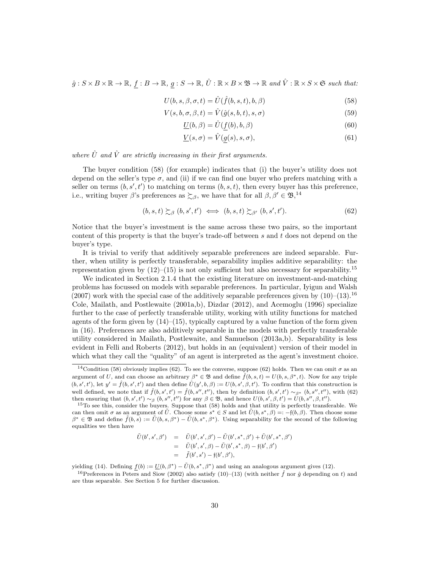$\hat{g}: S \times B \times \mathbb{R} \to \mathbb{R}, f: B \to \mathbb{R}, g: S \to \mathbb{R}, \hat{U}: \mathbb{R} \times B \times \mathfrak{B} \to \mathbb{R} \text{ and } \hat{V}: \mathbb{R} \times S \times \mathfrak{S} \text{ such that:}$ 

$$
U(b, s, \beta, \sigma, t) = \hat{U}(\hat{f}(b, s, t), b, \beta)
$$
\n(58)

$$
V(s, b, \sigma, \beta, t) = \hat{V}(\hat{g}(s, b, t), s, \sigma)
$$
\n(59)

$$
\underline{U}(b,\beta) = \hat{U}(f(b),b,\beta) \tag{60}
$$

$$
\underline{V}(s,\sigma) = \hat{V}(g(s),s,\sigma),\tag{61}
$$

where  $\hat{U}$  and  $\hat{V}$  are strictly increasing in their first arguments.

The buyer condition (58) (for example) indicates that (i) the buyer's utility does not depend on the seller's type  $\sigma$ , and (ii) if we can find one buyer who prefers matching with a seller on terms  $(b, s', t')$  to matching on terms  $(b, s, t)$ , then every buyer has this preference, i.e., writing buyer  $\beta$ 's preferences as  $\succsim_{\beta}$ , we have that for all  $\beta, \beta' \in \mathfrak{B}$ ,  $^{14}$ 

$$
(b, s, t) \succsim_{\beta} (b, s', t') \iff (b, s, t) \succsim_{\beta'} (b, s', t'). \tag{62}
$$

Notice that the buyer's investment is the same across these two pairs, so the important content of this property is that the buyer's trade-off between  $s$  and  $t$  does not depend on the buyer's type.

It is trivial to verify that additively separable preferences are indeed separable. Further, when utility is perfectly transferable, separability implies additive separability: the representation given by  $(12)$ – $(15)$  is not only sufficient but also necessary for separability.<sup>15</sup>

We indicated in Section 2.1.4 that the existing literature on investment-and-matching problems has focussed on models with separable preferences. In particular, Iyigun and Walsh (2007) work with the special case of the additively separable preferences given by  $(10)$ – $(13)$ .<sup>16</sup> Cole, Mailath, and Postlewaite (2001a,b), Dizdar (2012), and Acemoglu (1996) specialize further to the case of perfectly transferable utility, working with utility functions for matched agents of the form given by  $(14)$ – $(15)$ , typically captured by a value function of the form given in (16). Preferences are also additively separable in the models with perfectly transferable utility considered in Mailath, Postlewaite, and Samuelson (2013a,b). Separability is less evident in Felli and Roberts (2012), but holds in an (equivalent) version of their model in which what they call the "quality" of an agent is interpreted as the agent's investment choice.

$$
\tilde{U}(b', s', \beta') = \tilde{U}(b', s', \beta') - \tilde{U}(b', s^*, \beta') + \tilde{U}(b', s^*, \beta')
$$
\n
$$
= \tilde{U}(b', s', \beta) - \tilde{U}(b', s^*, \beta) - \tilde{J}(b', \beta')
$$
\n
$$
= \tilde{f}(b', s') - \tilde{J}(b', \beta'),
$$

yielding (14). Defining  $f(b) := U(b, \beta^*) - \tilde{U}(b, s^*, \beta^*)$  and using an analogous argument gives (12).

<sup>16</sup>Preferences in Peters and Siow (2002) also satisfy (10)–(13) (with neither  $\hat{f}$  nor  $\hat{g}$  depending on t) and are thus separable. See Section 5 for further discussion.

<sup>&</sup>lt;sup>14</sup>Condition (58) obviously implies (62). To see the converse, suppose (62) holds. Then we can omit  $\sigma$  as an argument of U, and can choose an arbitrary  $\beta^* \in \mathfrak{B}$  and define  $\hat{f}(b, s, t) = U(b, s, \beta^*, t)$ . Now for any triple  $(b, s', t')$ , let  $y' = \hat{f}(b, s', t')$  and then define  $\hat{U}(y', b, \beta) := U(b, s', \beta, t')$ . To confirm that this construction is well defined, we note that if  $\hat{f}(b, s', t') = \hat{f}(b, s'', t'')$ , then by definition  $(b, s', t') \sim_{\beta^*} (b, s'', t'')$ , with (62) then ensuring that  $(b, s', t') \sim_\beta (b, s'', t'')$  for any  $\beta \in \mathfrak{B}$ , and hence  $U(b, s', \beta, t') = U(b, s'', \beta, t'')$ .

<sup>&</sup>lt;sup>15</sup>To see this, consider the buyers. Suppose that (58) holds and that utility is perfectly transferable. We can then omit  $\sigma$  as an argument of  $\tilde{U}$ . Choose some  $s^* \in S$  and let  $\tilde{U}(b, s^*, \beta) = : -f(b, \beta)$ . Then choose some  $\beta^* \in \mathfrak{B}$  and define  $\tilde{f}(b,s) := \tilde{U}(b,s,\beta^*) - \tilde{U}(b,s^*,\beta^*)$ . Using separability for the second of the following equalities we then have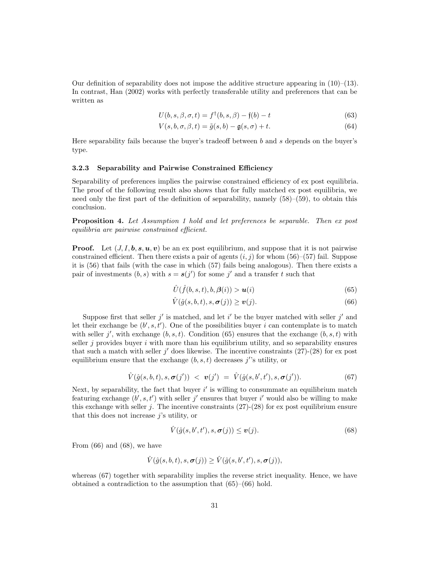Our definition of separability does not impose the additive structure appearing in  $(10)$ – $(13)$ . In contrast, Han (2002) works with perfectly transferable utility and preferences that can be written as

$$
U(b, s, \beta, \sigma, t) = f^{\dagger}(b, s, \beta) - f(b) - t \tag{63}
$$

$$
V(s, b, \sigma, \beta, t) = \tilde{g}(s, b) - g(s, \sigma) + t.
$$
\n(64)

Here separability fails because the buyer's tradeoff between b and s depends on the buyer's type.

#### 3.2.3 Separability and Pairwise Constrained Efficiency

Separability of preferences implies the pairwise constrained efficiency of ex post equilibria. The proof of the following result also shows that for fully matched ex post equilibria, we need only the first part of the definition of separability, namely (58)–(59), to obtain this conclusion.

Proposition 4. Let Assumption 1 hold and let preferences be separable. Then ex post equilibria are pairwise constrained efficient.

**Proof.** Let  $(J, I, b, s, u, v)$  be an expost equilibrium, and suppose that it is not pairwise constrained efficient. Then there exists a pair of agents  $(i, j)$  for whom (56)–(57) fail. Suppose it is (56) that fails (with the case in which (57) fails being analogous). Then there exists a pair of investments  $(b, s)$  with  $s = s(j')$  for some j' and a transfer t such that

$$
\hat{U}(\hat{f}(b,s,t),b,\boldsymbol{\beta}(i)) > \boldsymbol{u}(i) \tag{65}
$$

$$
\hat{V}(\hat{g}(s,b,t),s,\boldsymbol{\sigma}(j)) \ge \boldsymbol{v}(j). \tag{66}
$$

Suppose first that seller  $j'$  is matched, and let i' be the buyer matched with seller  $j'$  and let their exchange be  $(b', s, t')$ . One of the possibilities buyer i can contemplate is to match with seller j', with exchange  $(b, s, t)$ . Condition (65) ensures that the exchange  $(b, s, t)$  with seller  $j$  provides buyer  $i$  with more than his equilibrium utility, and so separability ensures that such a match with seller  $j'$  does likewise. The incentive constraints  $(27)-(28)$  for ex post equilibrium ensure that the exchange  $(b, s, t)$  decreases j''s utility, or

$$
\hat{V}(\hat{g}(s, b, t), s, \sigma(j')) < \mathbf{v}(j') = \hat{V}(\hat{g}(s, b', t'), s, \sigma(j')). \tag{67}
$$

Next, by separability, the fact that buyer  $i'$  is willing to consummate an equilibrium match featuring exchange  $(b', s, t')$  with seller j' ensures that buyer i' would also be willing to make this exchange with seller j. The incentive constraints  $(27)-(28)$  for ex post equilibrium ensure that this does not increase  $j$ 's utility, or

$$
\hat{V}(\hat{g}(s,b',t'),s,\sigma(j)) \le v(j). \tag{68}
$$

From (66) and (68), we have

$$
\hat{V}(\hat{g}(s,b,t),s,\boldsymbol{\sigma}(j)) \geq \hat{V}(\hat{g}(s,b',t'),s,\boldsymbol{\sigma}(j)),
$$

whereas  $(67)$  together with separability implies the reverse strict inequality. Hence, we have obtained a contradiction to the assumption that (65)–(66) hold.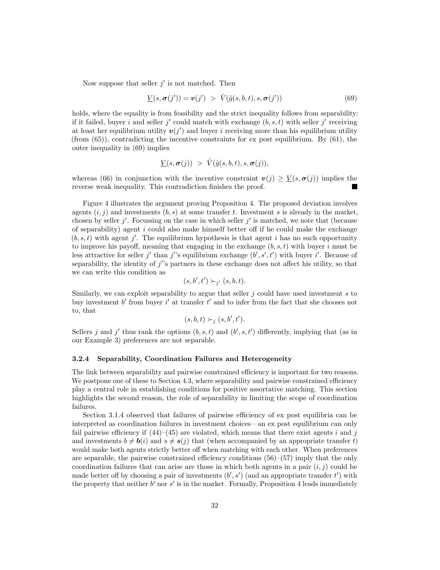Now suppose that seller  $j'$  is not matched. Then

$$
\underline{V}(s,\sigma(j')) = \mathbf{v}(j') > \hat{V}(\hat{g}(s,b,t),s,\sigma(j')) \tag{69}
$$

holds, where the equality is from feasibility and the strict inequality follows from separability: if it failed, buyer i and seller j' could match with exchange  $(b, s, t)$  with seller j' receiving at least her equilibrium utility  $v(j')$  and buyer i receiving more than his equilibrium utility (from  $(65)$ ), contradicting the incentive constraints for ex post equilibrium. By  $(61)$ , the outer inequality in (69) implies

$$
\underline{V}(s,\sigma(j)) \geq \hat{V}(\hat{g}(s,b,t),s,\sigma(j)),
$$

whereas (66) in conjunction with the incentive constraint  $v(j) \geq V(s, \sigma(j))$  implies the reverse weak inequality. This contradiction finishes the proof.

Figure 4 illustrates the argument proving Proposition 4. The proposed deviation involves agents  $(i, j)$  and investments  $(b, s)$  at some transfer t. Investment s is already in the market, chosen by seller  $j'$ . Focussing on the case in which seller  $j'$  is matched, we note that (because of separability) agent  $i$  could also make himself better off if he could make the exchange  $(b, s, t)$  with agent j'. The equilibrium hypothesis is that agent i has no such opportunity to improve his payoff, meaning that engaging in the exchange  $(b, s, t)$  with buyer i must be less attractive for seller j' than j''s equilibrium exchange  $(b', s', t')$  with buyer i'. Because of separability, the identity of  $j$ 's partners in these exchange does not affect his utility, so that we can write this condition as

$$
(s, b', t') \succ_{j'} (s, b, t).
$$

Similarly, we can exploit separability to argue that seller  $j$  could have used investment  $s$  to buy investment  $b'$  from buyer i' at transfer  $t'$  and to infer from the fact that she chooses not to, that

$$
(s,b,t) \succ_j (s,b',t').
$$

Sellers j and j' thus rank the options  $(b, s, t)$  and  $(b', s, t')$  differently, implying that (as in our Example 3) preferences are not separable.

#### 3.2.4 Separability, Coordination Failures and Heterogeneity

The link between separability and pairwise constrained efficiency is important for two reasons. We postpone one of these to Section 4.3, where separability and pairwise constrained efficiency play a central role in establishing conditions for positive assortative matching. This section highlights the second reason, the role of separability in limiting the scope of coordination failures.

Section 3.1.4 observed that failures of pairwise efficiency of ex post equilibria can be interpreted as coordination failures in investment choices—an ex post equilibrium can only fail pairwise efficiency if  $(44)$ – $(45)$  are violated, which means that there exist agents i and j and investments  $b \neq b(i)$  and  $s \neq s(j)$  that (when accompanied by an appropriate transfer t) would make both agents strictly better off when matching with each other. When preferences are separable, the pairwise constrained efficiency conditions (56)–(57) imply that the only coordination failures that can arise are those in which both agents in a pair  $(i, j)$  could be made better off by choosing a pair of investments  $(b', s')$  (and an appropriate transfer  $t'$ ) with the property that neither  $b'$  nor  $s'$  is in the market. Formally, Proposition 4 leads immediately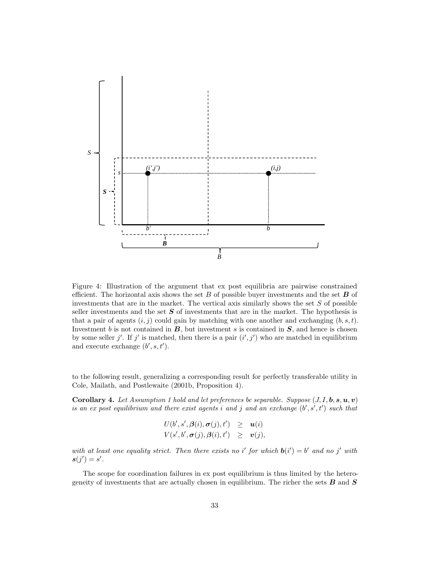

Figure 4: Illustration of the argument that ex post equilibria are pairwise constrained efficient. The horizontal axis shows the set B of possible buyer investments and the set  $\bf{B}$  of investments that are in the market. The vertical axis similarly shows the set  $S$  of possible seller investments and the set  $S$  of investments that are in the market. The hypothesis is that a pair of agents  $(i, j)$  could gain by matching with one another and exchanging  $(b, s, t)$ . Investment b is not contained in  $B$ , but investment s is contained in  $S$ , and hence is chosen by some seller j'. If j' is matched, then there is a pair  $(i', j')$  who are matched in equilibrium and execute exchange  $(b', s, t')$ .

to the following result, generalizing a corresponding result for perfectly transferable utility in Cole, Mailath, and Postlewaite (2001b, Proposition 4).

Corollary 4. Let Assumption 1 hold and let preferences be separable. Suppose  $(J, I, \mathbf{b}, s, \mathbf{u}, \mathbf{v})$ is an expost equilibrium and there exist agents i and j and an exchange  $(b', s', t')$  such that

$$
U(b', s', \beta(i), \sigma(j), t') \geq u(i)
$$
  

$$
V(s', b', \sigma(j), \beta(i), t') \geq v(j),
$$

with at least one equality strict. Then there exists no i' for which  $\mathbf{b}(i') = b'$  and no j' with  $s(j') = s'.$ 

The scope for coordination failures in ex post equilibrium is thus limited by the heterogeneity of investments that are actually chosen in equilibrium. The richer the sets  $\boldsymbol{B}$  and  $\boldsymbol{S}$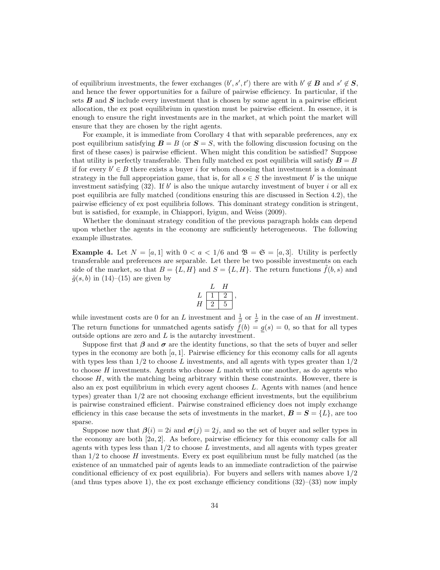of equilibrium investments, the fewer exchanges  $(b', s', t')$  there are with  $b' \notin \mathbf{B}$  and  $s' \notin \mathbf{S}$ , and hence the fewer opportunities for a failure of pairwise efficiency. In particular, if the sets  $\bm{B}$  and  $\bm{S}$  include every investment that is chosen by some agent in a pairwise efficient allocation, the ex post equilibrium in question must be pairwise efficient. In essence, it is enough to ensure the right investments are in the market, at which point the market will ensure that they are chosen by the right agents.

For example, it is immediate from Corollary 4 that with separable preferences, any ex post equilibrium satisfying  $\mathbf{B} = B$  (or  $\mathbf{S} = S$ , with the following discussion focusing on the first of these cases) is pairwise efficient. When might this condition be satisfied? Suppose that utility is perfectly transferable. Then fully matched ex post equilibria will satisfy  $\mathbf{B} = B$ if for every  $b' \in B$  there exists a buyer i for whom choosing that investment is a dominant strategy in the full appropriation game, that is, for all  $s \in S$  the investment b' is the unique investment satisfying  $(32)$ . If b' is also the unique autarchy investment of buyer i or all ex post equilibria are fully matched (conditions ensuring this are discussed in Section 4.2), the pairwise efficiency of ex post equilibria follows. This dominant strategy condition is stringent, but is satisfied, for example, in Chiappori, Iyigun, and Weiss (2009).

Whether the dominant strategy condition of the previous paragraph holds can depend upon whether the agents in the economy are sufficiently heterogeneous. The following example illustrates.

**Example 4.** Let  $N = [a, 1]$  with  $0 < a < 1/6$  and  $\mathfrak{B} = \mathfrak{S} = [a, 3]$ . Utility is perfectly transferable and preferences are separable. Let there be two possible investments on each side of the market, so that  $B = \{L, H\}$  and  $S = \{L, H\}$ . The return functions  $f(b, s)$  and  $\tilde{g}(s, b)$  in  $(14)$ – $(15)$  are given by



while investment costs are 0 for an L investment and  $\frac{1}{\beta}$  or  $\frac{1}{\sigma}$  in the case of an H investment. The return functions for unmatched agents satisfy  $f(b) = g(s) = 0$ , so that for all types outside options are zero and  $L$  is the autarchy investment.

Suppose first that  $\beta$  and  $\sigma$  are the identity functions, so that the sets of buyer and seller types in the economy are both  $[a, 1]$ . Pairwise efficiency for this economy calls for all agents with types less than  $1/2$  to choose L investments, and all agents with types greater than  $1/2$ to choose  $H$  investments. Agents who choose  $L$  match with one another, as do agents who choose  $H$ , with the matching being arbitrary within these constraints. However, there is also an ex post equilibrium in which every agent chooses  $L$ . Agents with names (and hence types) greater than 1/2 are not choosing exchange efficient investments, but the equilibrium is pairwise constrained efficient. Pairwise constrained efficiency does not imply exchange efficiency in this case because the sets of investments in the market,  $\mathbf{B} = \mathbf{S} = \{L\}$ , are too sparse.

Suppose now that  $\beta(i) = 2i$  and  $\sigma(j) = 2j$ , and so the set of buyer and seller types in the economy are both  $[2a, 2]$ . As before, pairwise efficiency for this economy calls for all agents with types less than  $1/2$  to choose L investments, and all agents with types greater than  $1/2$  to choose H investments. Every ex post equilibrium must be fully matched (as the existence of an unmatched pair of agents leads to an immediate contradiction of the pairwise conditional efficiency of ex post equilibria). For buyers and sellers with names above  $1/2$ (and thus types above 1), the ex post exchange efficiency conditions  $(32)$ – $(33)$  now imply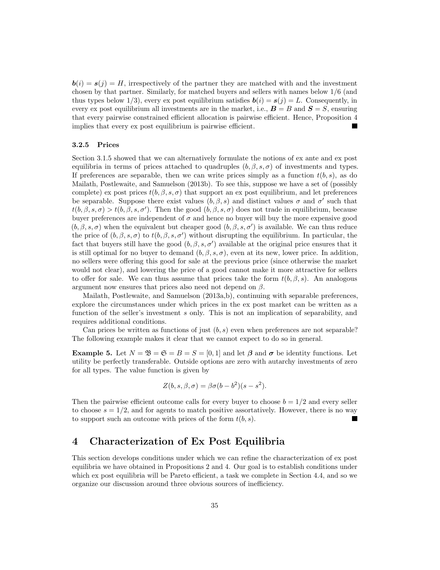$\mathbf{b}(i) = \mathbf{s}(j) = H$ , irrespectively of the partner they are matched with and the investment chosen by that partner. Similarly, for matched buyers and sellers with names below 1/6 (and thus types below 1/3), every ex post equilibrium satisfies  $\mathbf{b}(i) = \mathbf{s}(i) = L$ . Consequently, in every ex post equilibrium all investments are in the market, i.e.,  $\mathbf{B} = B$  and  $\mathbf{S} = S$ , ensuring that every pairwise constrained efficient allocation is pairwise efficient. Hence, Proposition 4 implies that every ex post equilibrium is pairwise efficient.

#### 3.2.5 Prices

Section 3.1.5 showed that we can alternatively formulate the notions of ex ante and ex post equilibria in terms of prices attached to quadruples  $(b, \beta, s, \sigma)$  of investments and types. If preferences are separable, then we can write prices simply as a function  $t(b, s)$ , as do Mailath, Postlewaite, and Samuelson (2013b). To see this, suppose we have a set of (possibly complete) ex post prices  $t(b, \beta, s, \sigma)$  that support an ex post equilibrium, and let preferences be separable. Suppose there exist values  $(b, \beta, s)$  and distinct values  $\sigma$  and  $\sigma'$  such that  $t(b, \beta, s, \sigma) > t(b, \beta, s, \sigma')$ . Then the good  $(b, \beta, s, \sigma)$  does not trade in equilibrium, because buyer preferences are independent of  $\sigma$  and hence no buyer will buy the more expensive good  $(b, \beta, s, \sigma)$  when the equivalent but cheaper good  $(b, \beta, s, \sigma')$  is available. We can thus reduce the price of  $(b, \beta, s, \sigma)$  to  $t(b, \beta, s, \sigma')$  without disrupting the equilibrium. In particular, the fact that buyers still have the good  $(b, \beta, s, \sigma')$  available at the original price ensures that it is still optimal for no buyer to demand  $(b, \beta, s, \sigma)$ , even at its new, lower price. In addition, no sellers were offering this good for sale at the previous price (since otherwise the market would not clear), and lowering the price of a good cannot make it more attractive for sellers to offer for sale. We can thus assume that prices take the form  $t(b, \beta, s)$ . An analogous argument now ensures that prices also need not depend on  $\beta$ .

Mailath, Postlewaite, and Samuelson (2013a,b), continuing with separable preferences, explore the circumstances under which prices in the ex post market can be written as a function of the seller's investment s only. This is not an implication of separability, and requires additional conditions.

Can prices be written as functions of just  $(b, s)$  even when preferences are not separable? The following example makes it clear that we cannot expect to do so in general.

**Example 5.** Let  $N = \mathfrak{B} = \mathfrak{S} = B = S = [0, 1]$  and let  $\beta$  and  $\sigma$  be identity functions. Let utility be perfectly transferable. Outside options are zero with autarchy investments of zero for all types. The value function is given by

$$
Z(b, s, \beta, \sigma) = \beta \sigma (b - b^2)(s - s^2).
$$

Then the pairwise efficient outcome calls for every buyer to choose  $b = 1/2$  and every seller to choose  $s = 1/2$ , and for agents to match positive assortatively. However, there is no way to support such an outcome with prices of the form  $t(b, s)$ .

### 4 Characterization of Ex Post Equilibria

This section develops conditions under which we can refine the characterization of ex post equilibria we have obtained in Propositions 2 and 4. Our goal is to establish conditions under which ex post equilibria will be Pareto efficient, a task we complete in Section 4.4, and so we organize our discussion around three obvious sources of inefficiency.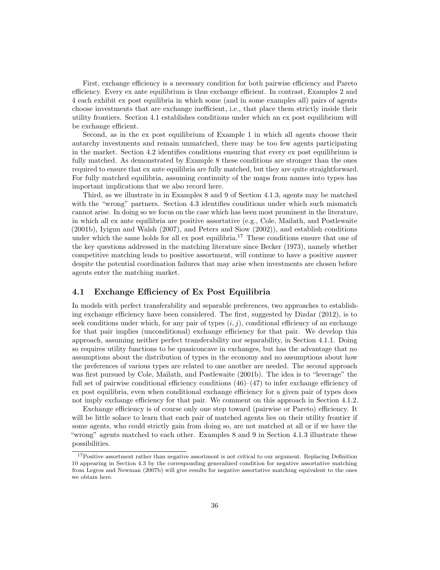First, exchange efficiency is a necessary condition for both pairwise efficiency and Pareto efficiency. Every ex ante equilibrium is thus exchange efficient. In contrast, Examples 2 and 4 each exhibit ex post equilibria in which some (and in some examples all) pairs of agents choose investments that are exchange inefficient, i.e., that place them strictly inside their utility frontiers. Section 4.1 establishes conditions under which an ex post equilibrium will be exchange efficient.

Second, as in the ex post equilibrium of Example 1 in which all agents choose their autarchy investments and remain unmatched, there may be too few agents participating in the market. Section 4.2 identifies conditions ensuring that every ex post equilibrium is fully matched. As demonstrated by Example 8 these conditions are stronger than the ones required to ensure that ex ante equilibria are fully matched, but they are quite straightforward. For fully matched equilibria, assuming continuity of the maps from names into types has important implications that we also record here.

Third, as we illustrate in in Examples 8 and 9 of Section 4.1.3, agents may be matched with the "wrong" partners. Section 4.3 identifies conditions under which such mismatch cannot arise. In doing so we focus on the case which has been most prominent in the literature, in which all ex ante equilibria are positive assortative (e.g., Cole, Mailath, and Postlewaite (2001b), Iyigun and Walsh (2007), and Peters and Siow (2002)), and establish conditions under which the same holds for all  $ex$  post equilibria.<sup>17</sup> These conditions ensure that one of the key questions addressed in the matching literature since Becker (1973), namely whether competitive matching leads to positive assortment, will continue to have a positive answer despite the potential coordination failures that may arise when investments are chosen before agents enter the matching market.

#### 4.1 Exchange Efficiency of Ex Post Equilibria

In models with perfect transferability and separable preferences, two approaches to establishing exchange efficiency have been considered. The first, suggested by Dizdar (2012), is to seek conditions under which, for any pair of types  $(i, j)$ , conditional efficiency of an exchange for that pair implies (unconditional) exchange efficiency for that pair. We develop this approach, assuming neither perfect transferability nor separability, in Section 4.1.1. Doing so requires utility functions to be quasiconcave in exchanges, but has the advantage that no assumptions about the distribution of types in the economy and no assumptions about how the preferences of various types are related to one another are needed. The second approach was first pursued by Cole, Mailath, and Postlewaite (2001b). The idea is to "leverage" the full set of pairwise conditional efficiency conditions  $(46)$ – $(47)$  to infer exchange efficiency of ex post equilibria, even when conditional exchange efficiency for a given pair of types does not imply exchange efficiency for that pair. We comment on this approach in Section 4.1.2.

Exchange efficiency is of course only one step toward (pairwise or Pareto) efficiency. It will be little solace to learn that each pair of matched agents lies on their utility frontier if some agents, who could strictly gain from doing so, are not matched at all or if we have the "wrong" agents matched to each other. Examples 8 and 9 in Section 4.1.3 illustrate these possibilities.

 $17$ Positive assortment rather than negative assortment is not critical to our argument. Replacing Definition 10 appearing in Section 4.3 by the corresponding generalized condition for negative assortative matching from Legros and Newman (2007b) will give results for negative assortative matching equivalent to the ones we obtain here.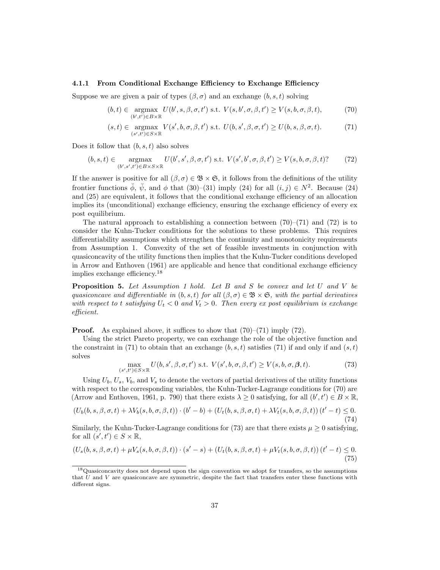#### 4.1.1 From Conditional Exchange Efficiency to Exchange Efficiency

Suppose we are given a pair of types  $(\beta, \sigma)$  and an exchange  $(b, s, t)$  solving

$$
(b, t) \in \underset{(b', t') \in B \times \mathbb{R}}{\operatorname{argmax}} U(b', s, \beta, \sigma, t') \text{ s.t. } V(s, b', \sigma, \beta, t') \ge V(s, b, \sigma, \beta, t),\tag{70}
$$

$$
(s,t) \in \underset{(s',t') \in S \times \mathbb{R}}{\operatorname{argmax}} V(s',b,\sigma,\beta,t') \text{ s.t. } U(b,s',\beta,\sigma,t') \ge U(b,s,\beta,\sigma,t). \tag{71}
$$

Does it follow that  $(b, s, t)$  also solves

$$
(b, s, t) \in \underset{(b', s', t') \in B \times S \times \mathbb{R}}{\operatorname{argmax}} U(b', s', \beta, \sigma, t') \text{ s.t. } V(s', b', \sigma, \beta, t') \ge V(s, b, \sigma, \beta, t) ? \tag{72}
$$

If the answer is positive for all  $(\beta, \sigma) \in \mathfrak{B} \times \mathfrak{S}$ , it follows from the definitions of the utility frontier functions  $\check{\phi}$ ,  $\check{\psi}$ , and  $\phi$  that (30)–(31) imply (24) for all  $(i, j) \in N^2$ . Because (24) and (25) are equivalent, it follows that the conditional exchange efficiency of an allocation implies its (unconditional) exchange efficiency, ensuring the exchange efficiency of every ex post equilibrium.

The natural approach to establishing a connection between  $(70)$ – $(71)$  and  $(72)$  is to consider the Kuhn-Tucker conditions for the solutions to these problems. This requires differentiability assumptions which strengthen the continuity and monotonicity requirements from Assumption 1. Convexity of the set of feasible investments in conjunction with quasiconcavity of the utility functions then implies that the Kuhn-Tucker conditions developed in Arrow and Enthoven (1961) are applicable and hence that conditional exchange efficiency implies exchange efficiency.<sup>18</sup>

Proposition 5. Let Assumption 1 hold. Let B and S be convex and let U and V be quasiconcave and differentiable in  $(b, s, t)$  for all  $(\beta, \sigma) \in \mathfrak{B} \times \mathfrak{S}$ , with the partial derivatives with respect to t satisfying  $U_t < 0$  and  $V_t > 0$ . Then every ex post equilibrium is exchange efficient.

**Proof.** As explained above, it suffices to show that  $(70)$ – $(71)$  imply  $(72)$ .

Using the strict Pareto property, we can exchange the role of the objective function and the constraint in (71) to obtain that an exchange  $(b, s, t)$  satisfies (71) if and only if and  $(s, t)$ solves

$$
\max_{(s',t') \in S \times \mathbb{R}} U(b,s',\beta,\sigma,t') \text{ s.t. } V(s',b,\sigma,\beta,t') \ge V(s,b,\sigma,\beta,t). \tag{73}
$$

Using  $U_b, U_s, V_b$ , and  $V_s$  to denote the vectors of partial derivatives of the utility functions with respect to the corresponding variables, the Kuhn-Tucker-Lagrange conditions for  $(70)$  are (Arrow and Enthoven, 1961, p. 790) that there exists  $\lambda \geq 0$  satisfying, for all  $(b', t') \in B \times \mathbb{R}$ ,

$$
\left(U_b(b,s,\beta,\sigma,t) + \lambda V_b(s,b,\sigma,\beta,t)\right) \cdot (b'-b) + \left(U_t(b,s,\beta,\sigma,t) + \lambda V_t(s,b,\sigma,\beta,t)\right) (t'-t) \le 0.
$$
\n(74)

Similarly, the Kuhn-Tucker-Lagrange conditions for (73) are that there exists  $\mu \geq 0$  satisfying, for all  $(s', t') \in S \times \mathbb{R}$ ,

$$
\left(U_s(b,s,\beta,\sigma,t)+\mu V_s(s,b,\sigma,\beta,t)\right)\cdot\left(s'-s\right)+\left(U_t(b,s,\beta,\sigma,t)+\mu V_t(s,b,\sigma,\beta,t)\right)\left(t'-t\right)\leq 0.\tag{75}
$$

<sup>18</sup>Quasiconcavity does not depend upon the sign convention we adopt for transfers, so the assumptions that  $U$  and  $V$  are quasiconcave are symmetric, despite the fact that transfers enter these functions with different signs.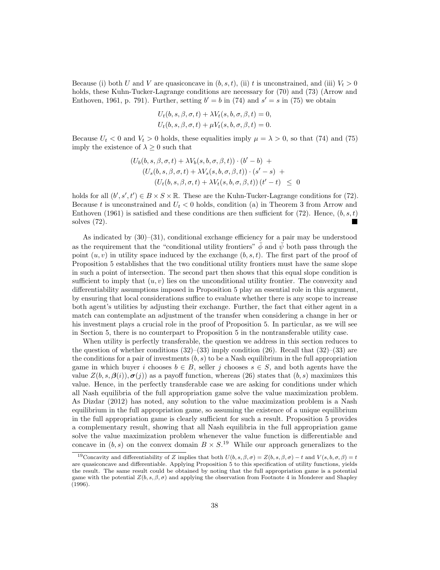Because (i) both U and V are quasiconcave in  $(b, s, t)$ , (ii) t is unconstrained, and (iii)  $V_t > 0$ holds, these Kuhn-Tucker-Lagrange conditions are necessary for  $(70)$  and  $(73)$  (Arrow and Enthoven, 1961, p. 791). Further, setting  $b' = b$  in (74) and  $s' = s$  in (75) we obtain

$$
U_t(b, s, \beta, \sigma, t) + \lambda V_t(s, b, \sigma, \beta, t) = 0,
$$
  

$$
U_t(b, s, \beta, \sigma, t) + \mu V_t(s, b, \sigma, \beta, t) = 0.
$$

Because  $U_t < 0$  and  $V_t > 0$  holds, these equalities imply  $\mu = \lambda > 0$ , so that (74) and (75) imply the existence of  $\lambda \geq 0$  such that

$$
(U_b(b, s, \beta, \sigma, t) + \lambda V_b(s, b, \sigma, \beta, t)) \cdot (b' - b) +
$$
  

$$
(U_s(b, s, \beta, \sigma, t) + \lambda V_s(s, b, \sigma, \beta, t)) \cdot (s' - s) +
$$
  

$$
(U_t(b, s, \beta, \sigma, t) + \lambda V_t(s, b, \sigma, \beta, t)) (t' - t) \leq 0
$$

holds for all  $(b', s', t') \in B \times S \times \mathbb{R}$ . These are the Kuhn-Tucker-Lagrange conditions for (72). Because t is unconstrained and  $U_t < 0$  holds, condition (a) in Theorem 3 from Arrow and Enthoven (1961) is satisfied and these conditions are then sufficient for (72). Hence,  $(b, s, t)$ solves (72).

As indicated by  $(30)$ – $(31)$ , conditional exchange efficiency for a pair may be understood as the requirement that the "conditional utility frontiers"  $\phi$  and  $\bar{\psi}$  both pass through the point  $(u, v)$  in utility space induced by the exchange  $(b, s, t)$ . The first part of the proof of Proposition 5 establishes that the two conditional utility frontiers must have the same slope in such a point of intersection. The second part then shows that this equal slope condition is sufficient to imply that  $(u, v)$  lies on the unconditional utility frontier. The convexity and differentiability assumptions imposed in Proposition 5 play an essential role in this argument, by ensuring that local considerations suffice to evaluate whether there is any scope to increase both agent's utilities by adjusting their exchange. Further, the fact that either agent in a match can contemplate an adjustment of the transfer when considering a change in her or his investment plays a crucial role in the proof of Proposition 5. In particular, as we will see in Section 5, there is no counterpart to Proposition 5 in the nontransferable utility case.

When utility is perfectly transferable, the question we address in this section reduces to the question of whether conditions  $(32)$ – $(33)$  imply condition  $(26)$ . Recall that  $(32)$ – $(33)$  are the conditions for a pair of investments  $(b, s)$  to be a Nash equilibrium in the full appropriation game in which buyer i chooses  $b \in B$ , seller j chooses  $s \in S$ , and both agents have the value  $Z(b, s, \beta(i)), \sigma(j))$  as a payoff function, whereas (26) states that  $(b, s)$  maximizes this value. Hence, in the perfectly transferable case we are asking for conditions under which all Nash equilibria of the full appropriation game solve the value maximization problem. As Dizdar (2012) has noted, any solution to the value maximization problem is a Nash equilibrium in the full appropriation game, so assuming the existence of a unique equilibrium in the full appropriation game is clearly sufficient for such a result. Proposition 5 provides a complementary result, showing that all Nash equilibria in the full appropriation game solve the value maximization problem whenever the value function is differentiable and concave in  $(b, s)$  on the convex domain  $B \times S$ .<sup>19</sup> While our approach generalizes to the

<sup>&</sup>lt;sup>19</sup>Concavity and differentiability of Z implies that both  $U(b, s, \beta, \sigma) = Z(b, s, \beta, \sigma) - t$  and  $V(s, b, \sigma, \beta) = t$ are quasiconcave and differentiable. Applying Proposition 5 to this specification of utility functions, yields the result. The same result could be obtained by noting that the full appropriation game is a potential game with the potential  $Z(b, s, \beta, \sigma)$  and applying the observation from Footnote 4 in Monderer and Shapley (1996).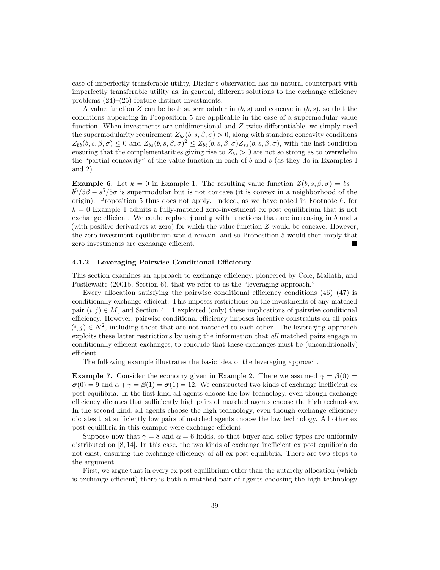case of imperfectly transferable utility, Dizdar's observation has no natural counterpart with imperfectly transferable utility as, in general, different solutions to the exchange efficiency problems (24)–(25) feature distinct investments.

A value function Z can be both supermodular in  $(b, s)$  and concave in  $(b, s)$ , so that the conditions appearing in Proposition 5 are applicable in the case of a supermodular value function. When investments are unidimensional and  $Z$  twice differentiable, we simply need the supermodularity requirement  $Z_{bs}(b, s, \beta, \sigma) > 0$ , along with standard concavity conditions  $Z_{bb}(b,s,\beta,\sigma) \leq 0$  and  $Z_{bs}(b,s,\beta,\sigma)^2 \leq Z_{bb}(b,s,\beta,\sigma)Z_{ss}(b,s,\beta,\sigma)$ , with the last condition ensuring that the complementarities giving rise to  $Z_{bs} > 0$  are not so strong as to overwhelm the "partial concavity" of the value function in each of b and s (as they do in Examples 1) and 2).

**Example 6.** Let  $k = 0$  in Example 1. The resulting value function  $Z(b, s, \beta, \sigma) = bs$  $b^5/5\beta - s^5/5\sigma$  is supermodular but is not concave (it is convex in a neighborhood of the origin). Proposition 5 thus does not apply. Indeed, as we have noted in Footnote 6, for  $k = 0$  Example 1 admits a fully-matched zero-investment ex post equilibrium that is not exchange efficient. We could replace f and  $g$  with functions that are increasing in b and s (with positive derivatives at zero) for which the value function Z would be concave. However, the zero-investment equilibrium would remain, and so Proposition 5 would then imply that zero investments are exchange efficient.

#### 4.1.2 Leveraging Pairwise Conditional Efficiency

This section examines an approach to exchange efficiency, pioneered by Cole, Mailath, and Postlewaite (2001b, Section 6), that we refer to as the "leveraging approach."

Every allocation satisfying the pairwise conditional efficiency conditions  $(46)$ – $(47)$  is conditionally exchange efficient. This imposes restrictions on the investments of any matched pair  $(i, j) \in M$ , and Section 4.1.1 exploited (only) these implications of pairwise conditional efficiency. However, pairwise conditional efficiency imposes incentive constraints on all pairs  $(i, j) \in N^2$ , including those that are not matched to each other. The leveraging approach exploits these latter restrictions by using the information that all matched pairs engage in conditionally efficient exchanges, to conclude that these exchanges must be (unconditionally) efficient.

The following example illustrates the basic idea of the leveraging approach.

**Example 7.** Consider the economy given in Example 2. There we assumed  $\gamma = \beta(0)$  $\sigma(0) = 9$  and  $\alpha + \gamma = \beta(1) = \sigma(1) = 12$ . We constructed two kinds of exchange inefficient ex post equilibria. In the first kind all agents choose the low technology, even though exchange efficiency dictates that sufficiently high pairs of matched agents choose the high technology. In the second kind, all agents choose the high technology, even though exchange efficiency dictates that sufficiently low pairs of matched agents choose the low technology. All other ex post equilibria in this example were exchange efficient.

Suppose now that  $\gamma = 8$  and  $\alpha = 6$  holds, so that buyer and seller types are uniformly distributed on [8, 14]. In this case, the two kinds of exchange inefficient ex post equilibria do not exist, ensuring the exchange efficiency of all ex post equilibria. There are two steps to the argument.

First, we argue that in every ex post equilibrium other than the autarchy allocation (which is exchange efficient) there is both a matched pair of agents choosing the high technology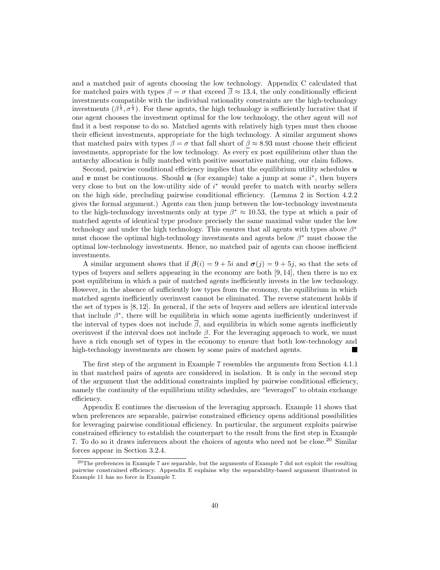and a matched pair of agents choosing the low technology. Appendix C calculated that for matched pairs with types  $\beta = \sigma$  that exceed  $\overline{\beta} \approx 13.4$ , the only conditionally efficient investments compatible with the individual rationality constraints are the high-technology investments  $(\beta^{\frac{1}{3}}, \sigma^{\frac{1}{3}})$ . For these agents, the high technology is sufficiently lucrative that if one agent chooses the investment optimal for the low technology, the other agent will not find it a best response to do so. Matched agents with relatively high types must then choose their efficient investments, appropriate for the high technology. A similar argument shows that matched pairs with types  $\beta = \sigma$  that fall short of  $\beta \approx 8.93$  must choose their efficient investments, appropriate for the low technology. As every ex post equilibrium other than the autarchy allocation is fully matched with positive assortative matching, our claim follows.

Second, pairwise conditional efficiency implies that the equilibrium utility schedules  $\boldsymbol{u}$ and v must be continuous. Should  $\boldsymbol{u}$  (for example) take a jump at some  $i^*$ , then buyers very close to but on the low-utility side of  $i^*$  would prefer to match with nearby sellers on the high side, precluding pairwise conditional efficiency. (Lemma 2 in Section 4.2.2 gives the formal argument.) Agents can then jump between the low-technology investments to the high-technology investments only at type  $\beta^* \approx 10.53$ , the type at which a pair of matched agents of identical type produce precisely the same maximal value under the low technology and under the high technology. This ensures that all agents with types above  $\beta^*$ must choose the optimal high-technology investments and agents below  $\beta^*$  must choose the optimal low-technology investments. Hence, no matched pair of agents can choose inefficient investments.

A similar argument shows that if  $\beta(i) = 9 + 5i$  and  $\sigma(j) = 9 + 5j$ , so that the sets of types of buyers and sellers appearing in the economy are both [9, 14], then there is no ex post equilibrium in which a pair of matched agents inefficiently invests in the low technology. However, in the absence of sufficiently low types from the economy, the equilibrium in which matched agents inefficiently overinvest cannot be eliminated. The reverse statement holds if the set of types is [8, 12]. In general, if the sets of buyers and sellers are identical intervals that include  $\beta^*$ , there will be equilibria in which some agents inefficiently underinvest if the interval of types does not include  $\overline{\beta}$ , and equilibria in which some agents inefficiently overinvest if the interval does not include  $\beta$ . For the leveraging approach to work, we must have a rich enough set of types in the economy to ensure that both low-technology and high-technology investments are chosen by some pairs of matched agents.

The first step of the argument in Example 7 resembles the arguments from Section 4.1.1 in that matched pairs of agents are considered in isolation. It is only in the second step of the argument that the additional constraints implied by pairwise conditional efficiency, namely the continuity of the equilibrium utility schedules, are "leveraged" to obtain exchange efficiency.

Appendix E continues the discussion of the leveraging approach. Example 11 shows that when preferences are separable, pairwise constrained efficiency opens additional possibilities for leveraging pairwise conditional efficiency. In particular, the argument exploits pairwise constrained efficiency to establish the counterpart to the result from the first step in Example 7. To do so it draws inferences about the choices of agents who need not be close.<sup>20</sup> Similar forces appear in Section 3.2.4.

<sup>&</sup>lt;sup>20</sup>The preferences in Example 7 are separable, but the arguments of Example 7 did not exploit the resulting pairwise constrained efficiency. Appendix E explains why the separability-based argument illustrated in Example 11 has no force in Example 7.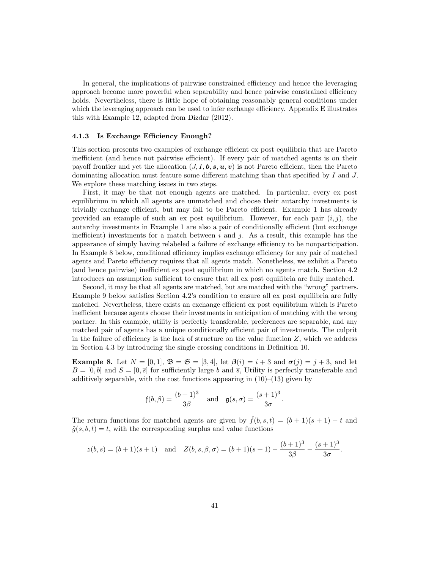In general, the implications of pairwise constrained efficiency and hence the leveraging approach become more powerful when separability and hence pairwise constrained efficiency holds. Nevertheless, there is little hope of obtaining reasonably general conditions under which the leveraging approach can be used to infer exchange efficiency. Appendix E illustrates this with Example 12, adapted from Dizdar (2012).

#### 4.1.3 Is Exchange Efficiency Enough?

This section presents two examples of exchange efficient ex post equilibria that are Pareto inefficient (and hence not pairwise efficient). If every pair of matched agents is on their payoff frontier and yet the allocation  $(J, I, b, s, u, v)$  is not Pareto efficient, then the Pareto dominating allocation must feature some different matching than that specified by I and J. We explore these matching issues in two steps.

First, it may be that not enough agents are matched. In particular, every ex post equilibrium in which all agents are unmatched and choose their autarchy investments is trivially exchange efficient, but may fail to be Pareto efficient. Example 1 has already provided an example of such an ex post equilibrium. However, for each pair  $(i, j)$ , the autarchy investments in Example 1 are also a pair of conditionally efficient (but exchange inefficient) investments for a match between  $i$  and  $j$ . As a result, this example has the appearance of simply having relabeled a failure of exchange efficiency to be nonparticipation. In Example 8 below, conditional efficiency implies exchange efficiency for any pair of matched agents and Pareto efficiency requires that all agents match. Nonetheless, we exhibit a Pareto (and hence pairwise) inefficient ex post equilibrium in which no agents match. Section 4.2 introduces an assumption sufficient to ensure that all ex post equilibria are fully matched.

Second, it may be that all agents are matched, but are matched with the "wrong" partners. Example 9 below satisfies Section 4.2's condition to ensure all ex post equilibria are fully matched. Nevertheless, there exists an exchange efficient ex post equilibrium which is Pareto inefficient because agents choose their investments in anticipation of matching with the wrong partner. In this example, utility is perfectly transferable, preferences are separable, and any matched pair of agents has a unique conditionally efficient pair of investments. The culprit in the failure of efficiency is the lack of structure on the value function  $Z$ , which we address in Section 4.3 by introducing the single crossing conditions in Definition 10.

**Example 8.** Let  $N = [0, 1]$ ,  $\mathfrak{B} = \mathfrak{S} = [3, 4]$ , let  $\mathfrak{B}(i) = i + 3$  and  $\sigma(j) = j + 3$ , and let  $B = [0, \bar{b}]$  and  $S = [0, \bar{s}]$  for sufficiently large  $\bar{b}$  and  $\bar{s}$ , Utility is perfectly transferable and additively separable, with the cost functions appearing in  $(10)$ – $(13)$  given by

$$
f(b, \beta) = \frac{(b+1)^3}{3\beta}
$$
 and  $\mathfrak{g}(s, \sigma) = \frac{(s+1)^3}{3\sigma}$ .

The return functions for matched agents are given by  $\hat{f}(b, s, t) = (b + 1)(s + 1) - t$  and  $\hat{q}(s, b, t) = t$ , with the corresponding surplus and value functions

$$
z(b,s) = (b+1)(s+1) \quad \text{and} \quad Z(b,s,\beta,\sigma) = (b+1)(s+1) - \frac{(b+1)^3}{3\beta} - \frac{(s+1)^3}{3\sigma}.
$$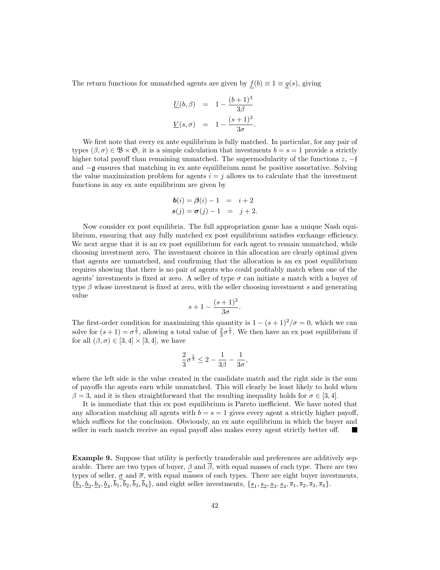The return functions for unmatched agents are given by  $f(b) \equiv 1 \equiv g(s)$ , giving

$$
\underline{U}(b,\beta) = 1 - \frac{(b+1)^3}{3\beta}
$$

$$
\underline{V}(s,\sigma) = 1 - \frac{(s+1)^3}{3\sigma}.
$$

We first note that every ex ante equilibrium is fully matched. In particular, for any pair of types  $(\beta, \sigma) \in \mathfrak{B} \times \mathfrak{S}$ , it is a simple calculation that investments  $b = s = 1$  provide a strictly higher total payoff than remaining unmatched. The supermodularity of the functions z, −f and −g ensures that matching in ex ante equilibrium must be positive assortative. Solving the value maximization problem for agents  $i = j$  allows us to calculate that the investment functions in any ex ante equilibrium are given by

$$
b(i) = \beta(i) - 1 = i + 2 s(j) = \sigma(j) - 1 = j + 2.
$$

Now consider ex post equilibria. The full appropriation game has a unique Nash equilibrium, ensuring that any fully matched ex post equilibrium satisfies exchange efficiency. We next argue that it is an ex post equilibrium for each agent to remain unmatched, while choosing investment zero. The investment choices in this allocation are clearly optimal given that agents are unmatched, and confirming that the allocation is an ex post equilibrium requires showing that there is no pair of agents who could profitably match when one of the agents' investments is fixed at zero. A seller of type  $\sigma$  can initiate a match with a buyer of type  $\beta$  whose investment is fixed at zero, with the seller choosing investment s and generating value

$$
s+1-\frac{(s+1)^3}{3\sigma}.
$$

The first-order condition for maximizing this quantity is  $1 - (s + 1)^2/\sigma = 0$ , which we can solve for  $(s+1) = \sigma^{\frac{1}{2}}$ , allowing a total value of  $\frac{2}{3}\sigma^{\frac{1}{2}}$ . We then have an ex post equilibrium if for all  $(\beta, \sigma) \in [3, 4] \times [3, 4]$ , we have

$$
\frac{2}{3}\sigma^{\frac{1}{2}} \leq 2 - \frac{1}{3\beta} - \frac{1}{3\sigma},
$$

where the left side is the value created in the candidate match and the right side is the sum of payoffs the agents earn while unmatched. This will clearly be least likely to hold when  $\beta = 3$ , and it is then straightforward that the resulting inequality holds for  $\sigma \in [3, 4]$ .

It is immediate that this ex post equilibrium is Pareto inefficient. We have noted that any allocation matching all agents with  $b = s = 1$  gives every agent a strictly higher payoff, which suffices for the conclusion. Obviously, an ex ante equilibrium in which the buyer and seller in each match receive an equal payoff also makes every agent strictly better off.

Example 9. Suppose that utility is perfectly transferable and preferences are additively separable. There are two types of buyer,  $\beta$  and  $\overline{\beta}$ , with equal masses of each type. There are two types of seller,  $\sigma$  and  $\bar{\sigma}$ , with equal masses of each types. There are eight buyer investments,  $\{\underline{b}_1, \underline{b}_2, \underline{b}_3, \underline{b}_4, b_1, b_2, b_3, b_4\}$ , and eight seller investments,  $\{\underline{s}_1, \underline{s}_2, \underline{s}_3, \underline{s}_4, \overline{s}_1, \overline{s}_2, \overline{s}_3, \overline{s}_4\}$ .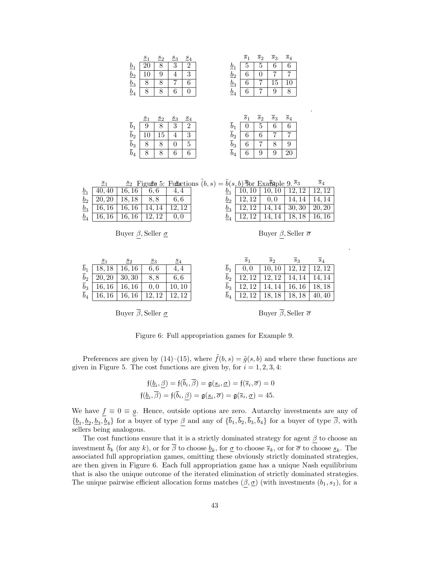| $S_2$    | $S_3$          | $\mathfrak{S}_4$ |                                      | $\overline{s}_1$                                | $\overline{s}_2$ | $\overline{s}_3$ | $\overline{s}_4$ |
|----------|----------------|------------------|--------------------------------------|-------------------------------------------------|------------------|------------------|------------------|
| 8        | 3              | 2                | $_{\underline{b}_1}$                 | 5                                               | 5                | 6                | 6                |
| 9        | 4              | $\bar{3}$        |                                      | 6                                               | $\overline{0}$   | 7                | 7                |
| 8        | 7              | 6                |                                      | 6                                               | 7                | 15               | 10               |
| 8        | 6              | 0                |                                      | 6                                               | 7                | 9                | 8                |
|          |                |                  |                                      |                                                 |                  |                  |                  |
|          |                |                  |                                      |                                                 |                  |                  |                  |
| $S_2$    | $S_3$          | $\mathfrak{S}_4$ |                                      | $\overline{s}_1$                                | $\overline{s}_2$ | $\overline{s}_3$ | $\overline{s}_4$ |
| 8        | 3              | 2                | $\overline{b}_1$                     | 0                                               | $\overline{5}$   | 6                | 6                |
| 15       | 4              | 3                | $\overline{b}_2$                     | 6                                               | 6                | 7                | 7                |
| 8        | $\overline{0}$ | 5                | $\overline{b}_3$<br>$\overline{b}_4$ | 6                                               | 7                | 8                | 9                |
| 20<br>10 |                |                  |                                      | $\underline{b}_2$<br>$b_3$<br>$\underline{b}_4$ |                  |                  |                  |

|       |                                                     |  | <u><math>s_2</math> Figure 5: Functions</u> $(b, s) = b(s, b)$ <sup>T</sup> for Example 9. <sup>3</sup> <sub>3</sub> |       |                                                               |                            |
|-------|-----------------------------------------------------|--|----------------------------------------------------------------------------------------------------------------------|-------|---------------------------------------------------------------|----------------------------|
| $b_1$ | $\boxed{40, 40 \mid 16, 16 \mid 6, 6 \mid 4, 4}$    |  |                                                                                                                      |       | $\lfloor \underline{b_1} \rfloor$ 10, 10 10, 10 12, 12 12, 12 |                            |
|       | $b_2$ 20, 20 18, 18 8, 8 6, 6                       |  |                                                                                                                      |       | $b_2$   12, 12   0, 0   14, 14   14, 14                       |                            |
|       | $b_3$   16, 16   16, 16   14, 14   12, 12           |  |                                                                                                                      |       | $b_3$   12, 12   14, 14   30, 30   20, 20                     |                            |
|       | $\underline{b}_4$   16, 16   16, 16   12, 12   0, 0 |  |                                                                                                                      | 12.12 |                                                               | $14, 14$   18, 18   16, 16 |

| Buyer $\beta$ , Seller $\underline{\sigma}$ |  | Buyer $\beta$ , Seller $\overline{\sigma}$ |  |
|---------------------------------------------|--|--------------------------------------------|--|
|                                             |  |                                            |  |

|  | $S_1$ $S_2$                         | $S_3$                                        | $\frac{S}{24}$ |  | $\overline{s}_2$ $\overline{s}_3$                    | $\overline{s}_4$ |
|--|-------------------------------------|----------------------------------------------|----------------|--|------------------------------------------------------|------------------|
|  | $\overline{b}_1$ 18, 18 16, 16 6, 6 |                                              | 4.4            |  | $\overline{b}_1$   0,0   10,10   12,12   12,12       |                  |
|  |                                     | $\overline{b}_2$ 20, 20 30, 30 8, 8 6, 6     |                |  | $\overline{b}_2$ 12, 12 12, 12 14, 14 14, 14         |                  |
|  | $\overline{b}_3$ 16, 16 16, 16 0, 0 |                                              | 10, 10         |  | $\overline{b}_3$ 12, 12 14, 14 16, 16 18, 18         |                  |
|  |                                     | $\overline{b}_4$ 16, 16 16, 16 12, 12 12, 12 |                |  | $\overline{b}_4$   12, 12   18, 18   18, 18   40, 40 |                  |

Buyer  $\overline{\beta}$ , Seller  $\sigma$  Buyer  $\overline{\beta}$ , Seller  $\overline{\sigma}$ 

| Buver $\beta$ . Seller $\bar{\sigma}$ |  |  |
|---------------------------------------|--|--|
|                                       |  |  |

.

.

|                  | S <sub>1</sub> | $\overline{s}$ | $\overline{S}$ 3 | $\overline{S}_A$ |
|------------------|----------------|----------------|------------------|------------------|
| $b_{1}$          | 0.0            | 10.10          | 12, 12           | 12.12            |
| $\bar{b}_2$      | 12, 12         | 12, 12         | 14.14            | 14, 14           |
| $\bar{b}_3$      | 12, 12         | 14, 14         | 16, 16           | 18, 18           |
| $\overline{b}_4$ | 12, 12         | 18, 18         | 18, 18           | 40, 40           |

Figure 6: Full appropriation games for Example 9.

Preferences are given by (14)–(15), where  $\tilde{f}(b, s) = \tilde{g}(s, b)$  and where these functions are given in Figure 5. The cost functions are given by, for  $i = 1, 2, 3, 4$ :

$$
\mathfrak{f}(\underline{b}_i, \underline{\beta}) = \mathfrak{f}(\overline{b}_i, \overline{\beta}) = \mathfrak{g}(\underline{s}_i, \underline{\sigma}) = \mathfrak{f}(\overline{s}_i, \overline{\sigma}) = 0
$$
  

$$
\mathfrak{f}(\underline{b}_i, \overline{\beta}) = \mathfrak{f}(\overline{b}_i, \underline{\beta}) = \mathfrak{g}(\underline{s}_i, \overline{\sigma}) = \mathfrak{g}(\overline{s}_i, \underline{\sigma}) = 45.
$$

We have  $f \equiv 0 \equiv g$ . Hence, outside options are zero. Autarchy investments are any of  $\{\underline{b}_1,\underline{b}_2,\underline{b}_3,\underline{b}_4\}$  for a buyer of type  $\underline{\beta}$  and any of  $\{b_1,b_2,b_3,b_4\}$  for a buyer of type  $\beta$ , with sellers being analogous.

The cost functions ensure that it is a strictly dominated strategy for agent  $\beta$  to choose an investment  $b_k$  (for any k), or for  $\beta$  to choose  $\underline{b}_k$ , for  $\underline{\sigma}$  to choose  $\overline{s}_k$ , or for  $\overline{\sigma}$  to choose  $\underline{s}_k$ . The associated full appropriation games, omitting these obviously strictly dominated strategies, are then given in Figure 6. Each full appropriation game has a unique Nash equilibrium that is also the unique outcome of the iterated elimination of strictly dominated strategies. The unique pairwise efficient allocation forms matches  $(\beta, \underline{\sigma})$  (with investments  $(b_1, s_1)$ , for a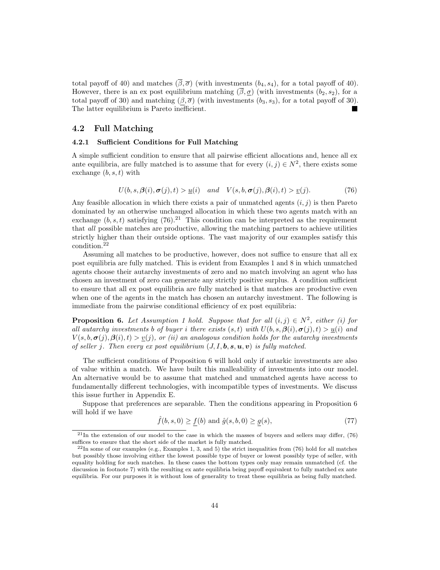total payoff of 40) and matches  $(\overline{\beta}, \overline{\sigma})$  (with investments  $(b_4, s_4)$ , for a total payoff of 40). However, there is an ex post equilibrium matching  $(\bar{\beta}, \sigma)$  (with investments  $(b_2, s_2)$ , for a total payoff of 30) and matching  $(\beta, \overline{\sigma})$  (with investments  $(b_3, s_3)$ , for a total payoff of 30). The latter equilibrium is Pareto inefficient.

#### 4.2 Full Matching

#### 4.2.1 Sufficient Conditions for Full Matching

A simple sufficient condition to ensure that all pairwise efficient allocations and, hence all ex ante equilibria, are fully matched is to assume that for every  $(i, j) \in N^2$ , there exists some exchange  $(b, s, t)$  with

$$
U(b, s, \beta(i), \sigma(j), t) > \underline{u}(i) \quad and \quad V(s, b, \sigma(j), \beta(i), t) > \underline{v}(j).
$$
 (76)

Any feasible allocation in which there exists a pair of unmatched agents  $(i, j)$  is then Pareto dominated by an otherwise unchanged allocation in which these two agents match with an exchange  $(b, s, t)$  satisfying  $(76).^{21}$  This condition can be interpreted as the requirement that all possible matches are productive, allowing the matching partners to achieve utilities strictly higher than their outside options. The vast majority of our examples satisfy this condition.<sup>22</sup>

Assuming all matches to be productive, however, does not suffice to ensure that all ex post equilibria are fully matched. This is evident from Examples 1 and 8 in which unmatched agents choose their autarchy investments of zero and no match involving an agent who has chosen an investment of zero can generate any strictly positive surplus. A condition sufficient to ensure that all ex post equilibria are fully matched is that matches are productive even when one of the agents in the match has chosen an autarchy investment. The following is immediate from the pairwise conditional efficiency of ex post equilibria:

**Proposition 6.** Let Assumption 1 hold. Suppose that for all  $(i, j) \in N^2$ , either (i) for all autarchy investments b of buyer i there exists  $(s, t)$  with  $U(b, s, \beta(i), \sigma(j), t) > u(i)$  and  $V(s, b, \sigma(i), \beta(i), t) > v(i)$ , or (ii) an analogous condition holds for the autarchy investments of seller j. Then every ex post equilibrium  $(J, I, \mathbf{b}, \mathbf{s}, \mathbf{u}, \mathbf{v})$  is fully matched.

The sufficient conditions of Proposition 6 will hold only if autarkic investments are also of value within a match. We have built this malleability of investments into our model. An alternative would be to assume that matched and unmatched agents have access to fundamentally different technologies, with incompatible types of investments. We discuss this issue further in Appendix E.

Suppose that preferences are separable. Then the conditions appearing in Proposition 6 will hold if we have

$$
\hat{f}(b, s, 0) \ge f(b)
$$
 and  $\hat{g}(s, b, 0) \ge g(s)$ , (77)

<sup>&</sup>lt;sup>21</sup>In the extension of our model to the case in which the masses of buyers and sellers may differ,  $(76)$ suffices to ensure that the short side of the market is fully matched.

 $^{22}$ In some of our examples (e.g., Examples 1, 3, and 5) the strict inequalities from (76) hold for all matches but possibly those involving either the lowest possible type of buyer or lowest possibly type of seller, with equality holding for such matches. In these cases the bottom types only may remain unmatched (cf. the discussion in footnote 7) with the resulting ex ante equilibria being payoff equivalent to fully matched ex ante equilibria. For our purposes it is without loss of generality to treat these equilibria as being fully matched.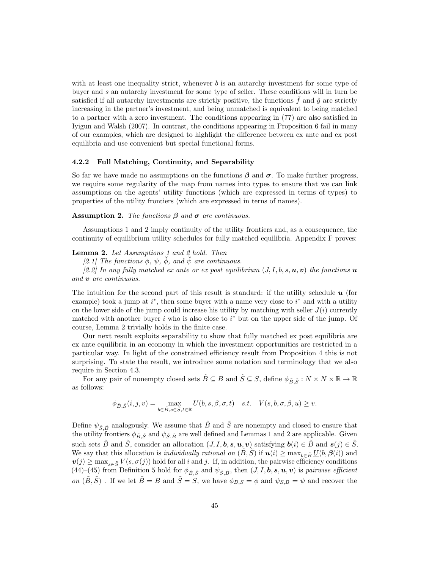with at least one inequality strict, whenever b is an autarchy investment for some type of buyer and s an autarchy investment for some type of seller. These conditions will in turn be satisfied if all autarchy investments are strictly positive, the functions  $\hat{f}$  and  $\hat{q}$  are strictly increasing in the partner's investment, and being unmatched is equivalent to being matched to a partner with a zero investment. The conditions appearing in (77) are also satisfied in Iyigun and Walsh (2007). In contrast, the conditions appearing in Proposition 6 fail in many of our examples, which are designed to highlight the difference between ex ante and ex post equilibria and use convenient but special functional forms.

#### 4.2.2 Full Matching, Continuity, and Separability

So far we have made no assumptions on the functions  $\beta$  and  $\sigma$ . To make further progress, we require some regularity of the map from names into types to ensure that we can link assumptions on the agents' utility functions (which are expressed in terms of types) to properties of the utility frontiers (which are expressed in terns of names).

#### **Assumption 2.** The functions  $\beta$  and  $\sigma$  are continuous.

Assumptions 1 and 2 imply continuity of the utility frontiers and, as a consequence, the continuity of equilibrium utility schedules for fully matched equilibria. Appendix F proves:

#### Lemma 2. Let Assumptions 1 and 2 hold. Then

[2.1] The functions  $\phi$ ,  $\psi$ ,  $\phi$ , and  $\psi$  are continuous.

[2.2] In any fully matched ex ante or ex post equilibrium  $(J, I, b, s, u, v)$  the functions  $u$ and **v** are continuous.

The intuition for the second part of this result is standard: if the utility schedule  $\boldsymbol{u}$  (for example) took a jump at  $i^*$ , then some buyer with a name very close to  $i^*$  and with a utility on the lower side of the jump could increase his utility by matching with seller  $J(i)$  currently matched with another buyer  $i$  who is also close to  $i^*$  but on the upper side of the jump. Of course, Lemma 2 trivially holds in the finite case.

Our next result exploits separability to show that fully matched ex post equilibria are ex ante equilibria in an economy in which the investment opportunities are restricted in a particular way. In light of the constrained efficiency result from Proposition 4 this is not surprising. To state the result, we introduce some notation and terminology that we also require in Section 4.3.

For any pair of nonempty closed sets  $\tilde{B} \subseteq B$  and  $\tilde{S} \subseteq S$ , define  $\phi_{\tilde{B}, \tilde{S}} : N \times N \times \mathbb{R} \to \mathbb{R}$ as follows:

$$
\phi_{\tilde{B},\tilde{S}}(i,j,v)=\max_{b\in \tilde{B},s\in \tilde{S},t\in \mathbb{R}}U(b,s,\beta,\sigma,t)\quad s.t. \quad V(s,b,\sigma,\beta,u)\geq v.
$$

Define  $\psi_{\tilde{S}, \tilde{B}}$  analogously. We assume that  $\tilde{B}$  and  $\tilde{S}$  are nonempty and closed to ensure that the utility frontiers  $\phi_{\tilde{B}, \tilde{S}}$  and  $\psi_{\tilde{S}, \tilde{B}}$  are well defined and Lemmas 1 and 2 are applicable. Given such sets  $\tilde{B}$  and  $\tilde{S}$ , consider an allocation  $(J, I, b, s, u, v)$  satisfying  $b(i) \in \tilde{B}$  and  $s(j) \in \tilde{S}$ . We say that this allocation is *individually rational on*  $(\tilde{B}, \tilde{S})$  if  $u(i) \geq \max_{b \in \tilde{B}} U(b, \beta(i))$  and  $v(j) \geq \max_{s \in \tilde{S}} V(s, \sigma(j))$  hold for all i and j. If, in addition, the pairwise efficiency conditions (44)–(45) from Definition 5 hold for  $\phi_{\tilde{B}, \tilde{S}}$  and  $\psi_{\tilde{S}, \tilde{B}}$ , then  $(J, I, b, s, u, v)$  is pairwise efficient on  $(\tilde{B}, \tilde{S})$ . If we let  $\tilde{B} = B$  and  $\tilde{S} = S$ , we have  $\phi_{B,S} = \phi$  and  $\psi_{S,B} = \psi$  and recover the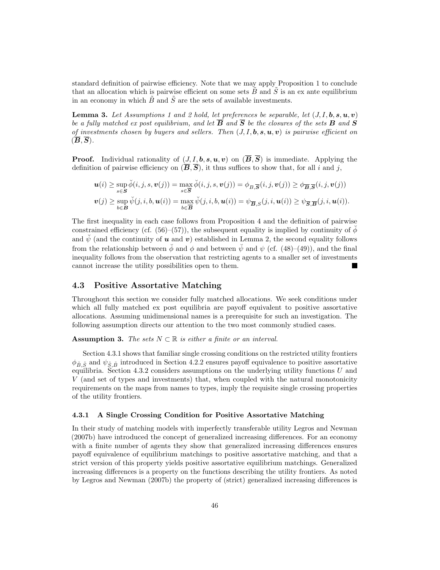standard definition of pairwise efficiency. Note that we may apply Proposition 1 to conclude that an allocation which is pairwise efficient on some sets  $\tilde{B}$  and  $\tilde{S}$  is an ex ante equilibrium in an economy in which  $\tilde{B}$  and  $\tilde{S}$  are the sets of available investments.

**Lemma 3.** Let Assumptions 1 and 2 hold, let preferences be separable, let  $(J, I, b, s, u, v)$ be a fully matched ex post equilibrium, and let  $\overline{B}$  and  $\overline{S}$  be the closures of the sets  $\overline{B}$  and  $\overline{S}$ of investments chosen by buyers and sellers. Then  $(J, I, b, s, u, v)$  is pairwise efficient on  $(B, S)$ .

**Proof.** Individual rationality of  $(J, I, b, s, u, v)$  on  $(\overline{B}, \overline{S})$  is immediate. Applying the definition of pairwise efficiency on  $(\overline{B},\overline{S})$ , it thus suffices to show that, for all i and j,

$$
\mathbf{u}(i) \geq \sup_{s \in \mathbf{S}} \breve{\phi}(i, j, s, \mathbf{v}(j)) = \max_{s \in \overline{\mathbf{S}}} \breve{\phi}(i, j, s, \mathbf{v}(j)) = \phi_{B, \overline{\mathbf{S}}}(i, j, \mathbf{v}(j)) \geq \phi_{\overline{\mathbf{B}}, \overline{\mathbf{S}}}(i, j, \mathbf{v}(j))
$$
  

$$
\mathbf{v}(j) \geq \sup_{b \in \mathbf{B}} \breve{\psi}(j, i, b, \mathbf{u}(i)) = \max_{b \in \overline{\mathbf{B}}} \breve{\psi}(j, i, b, \mathbf{u}(i)) = \psi_{\overline{\mathbf{B}}, S}(j, i, \mathbf{u}(i)) \geq \psi_{\overline{\mathbf{S}}, \overline{\mathbf{B}}}(j, i, \mathbf{u}(i)).
$$

The first inequality in each case follows from Proposition 4 and the definition of pairwise constrained efficiency (cf. (56)–(57)), the subsequent equality is implied by continuity of  $\dot{\phi}$ and  $\dot{\psi}$  (and the continuity of **u** and **v**) established in Lemma 2, the second equality follows from the relationship between  $\check{\phi}$  and  $\phi$  and between  $\check{\psi}$  and  $\psi$  (cf. (48)–(49)), and the final inequality follows from the observation that restricting agents to a smaller set of investments cannot increase the utility possibilities open to them.

#### 4.3 Positive Assortative Matching

Throughout this section we consider fully matched allocations. We seek conditions under which all fully matched ex post equilibria are payoff equivalent to positive assortative allocations. Assuming unidimensional names is a prerequisite for such an investigation. The following assumption directs our attention to the two most commonly studied cases.

Assumption 3. The sets  $N \subset \mathbb{R}$  is either a finite or an interval.

Section 4.3.1 shows that familiar single crossing conditions on the restricted utility frontiers  $\phi_{\tilde{B}, \tilde{S}}$  and  $\psi_{\tilde{S}, \tilde{B}}$  introduced in Section 4.2.2 ensures payoff equivalence to positive assortative equilibria. Section 4.3.2 considers assumptions on the underlying utility functions  $U$  and V (and set of types and investments) that, when coupled with the natural monotonicity requirements on the maps from names to types, imply the requisite single crossing properties of the utility frontiers.

#### 4.3.1 A Single Crossing Condition for Positive Assortative Matching

In their study of matching models with imperfectly transferable utility Legros and Newman (2007b) have introduced the concept of generalized increasing differences. For an economy with a finite number of agents they show that generalized increasing differences ensures payoff equivalence of equilibrium matchings to positive assortative matching, and that a strict version of this property yields positive assortative equilibrium matchings. Generalized increasing differences is a property on the functions describing the utility frontiers. As noted by Legros and Newman (2007b) the property of (strict) generalized increasing differences is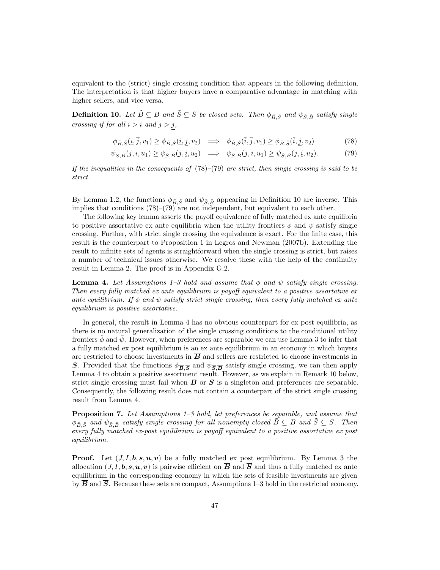equivalent to the (strict) single crossing condition that appears in the following definition. The interpretation is that higher buyers have a comparative advantage in matching with higher sellers, and vice versa.

**Definition 10.** Let  $\tilde{B} \subseteq B$  and  $\tilde{S} \subseteq S$  be closed sets. Then  $\phi_{\tilde{B}, \tilde{S}}$  and  $\psi_{\tilde{S}, \tilde{B}}$  satisfy single crossing if for all  $\overline{i} > i$  and  $\overline{j} > j$ ,

$$
\phi_{\tilde{B}, \tilde{S}}(\underline{i}, \overline{j}, v_1) \ge \phi_{\tilde{B}, \tilde{S}}(\underline{i}, \underline{j}, v_2) \implies \phi_{\tilde{B}, \tilde{S}}(\overline{i}, \overline{j}, v_1) \ge \phi_{\tilde{B}, \tilde{S}}(\overline{i}, \underline{j}, v_2) \tag{78}
$$

$$
\psi_{\tilde{S},\tilde{B}}(\underline{j},\overline{i},u_1) \ge \psi_{\tilde{S},\tilde{B}}(\underline{j},\underline{i},u_2) \implies \psi_{\tilde{S},\tilde{B}}(\overline{j},\overline{i},u_1) \ge \psi_{\tilde{S},\tilde{B}}(\overline{j},\underline{i},u_2). \tag{79}
$$

If the inequalities in the consequents of  $(78)$ – $(79)$  are strict, then single crossing is said to be strict.

By Lemma 1.2, the functions  $\phi_{\tilde{B}, \tilde{S}}$  and  $\psi_{\tilde{S}, \tilde{B}}$  appearing in Definition 10 are inverse. This implies that conditions (78)–(79) are not independent, but equivalent to each other.

The following key lemma asserts the payoff equivalence of fully matched ex ante equilibria to positive assortative ex ante equilibria when the utility frontiers  $\phi$  and  $\psi$  satisfy single crossing. Further, with strict single crossing the equivalence is exact. For the finite case, this result is the counterpart to Proposition 1 in Legros and Newman (2007b). Extending the result to infinite sets of agents is straightforward when the single crossing is strict, but raises a number of technical issues otherwise. We resolve these with the help of the continuity result in Lemma 2. The proof is in Appendix G.2.

**Lemma 4.** Let Assumptions 1–3 hold and assume that  $\phi$  and  $\psi$  satisfy single crossing. Then every fully matched ex ante equilibrium is payoff equivalent to a positive assortative ex ante equilibrium. If  $\phi$  and  $\psi$  satisfy strict single crossing, then every fully matched ex ante equilibrium is positive assortative.

In general, the result in Lemma 4 has no obvious counterpart for ex post equilibria, as there is no natural generalization of the single crossing conditions to the conditional utility frontiers  $\check{\phi}$  and  $\check{\psi}$ . However, when preferences are separable we can use Lemma 3 to infer that a fully matched ex post equilibrium is an ex ante equilibrium in an economy in which buyers are restricted to choose investments in  $\overline{B}$  and sellers are restricted to choose investments in S. Provided that the functions  $\phi_{\overline{B},\overline{S}}$  and  $\psi_{\overline{S},\overline{B}}$  satisfy single crossing, we can then apply Lemma 4 to obtain a positive assortment result. However, as we explain in Remark 10 below, strict single crossing must fail when  $\bm{B}$  or  $\bm{S}$  is a singleton and preferences are separable. Consequently, the following result does not contain a counterpart of the strict single crossing result from Lemma 4.

**Proposition 7.** Let Assumptions  $1-3$  hold, let preferences be separable, and assume that  $\phi_{\tilde{B}, \tilde{S}}$  and  $\psi_{\tilde{S}, \tilde{B}}$  satisfy single crossing for all nonempty closed  $\tilde{B} \subseteq B$  and  $\tilde{S} \subseteq S$ . Then every fully matched ex-post equilibrium is payoff equivalent to a positive assortative ex post equilibrium.

**Proof.** Let  $(J, I, b, s, u, v)$  be a fully matched ex post equilibrium. By Lemma 3 the allocation  $(J, I, b, s, u, v)$  is pairwise efficient on  $\overline{B}$  and  $\overline{S}$  and thus a fully matched ex ante equilibrium in the corresponding economy in which the sets of feasible investments are given by  $\overline{B}$  and  $\overline{S}$ . Because these sets are compact, Assumptions 1–3 hold in the restricted economy.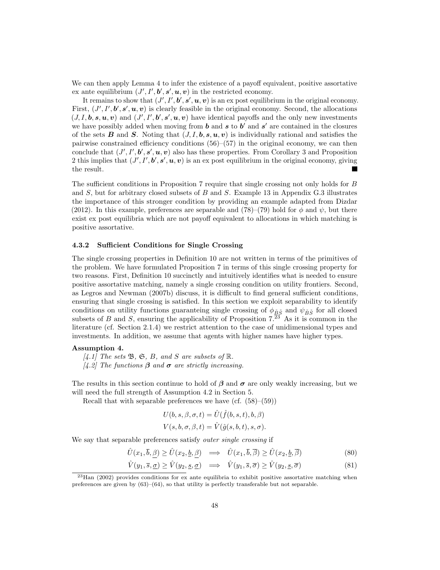We can then apply Lemma 4 to infer the existence of a payoff equivalent, positive assortative ex ante equilibrium  $(J', I', b', s', u, v)$  in the restricted economy.

It remains to show that  $(J', I', b', s', u, v)$  is an ex post equilibrium in the original economy. First,  $(J', I', b', s', u, v)$  is clearly feasible in the original economy. Second, the allocations  $(J, I, b, s, u, v)$  and  $(J', I', b', s', u, v)$  have identical payoffs and the only new investments we have possibly added when moving from  $b$  and  $s$  to  $b'$  and  $s'$  are contained in the closures of the sets **B** and **S**. Noting that  $(J, I, b, s, u, v)$  is individually rational and satisfies the pairwise constrained efficiency conditions  $(56)$ – $(57)$  in the original economy, we can then conclude that  $(J', I', b', s', u, v)$  also has these properties. From Corollary 3 and Proposition 2 this implies that  $(J', I', \mathbf{b}', \mathbf{s}', \mathbf{u}, \mathbf{v})$  is an expost equilibrium in the original economy, giving the result.

The sufficient conditions in Proposition 7 require that single crossing not only holds for B and  $S$ , but for arbitrary closed subsets of  $B$  and  $S$ . Example 13 in Appendix G.3 illustrates the importance of this stronger condition by providing an example adapted from Dizdar (2012). In this example, preferences are separable and (78)–(79) hold for  $\phi$  and  $\psi$ , but there exist ex post equilibria which are not payoff equivalent to allocations in which matching is positive assortative.

#### 4.3.2 Sufficient Conditions for Single Crossing

The single crossing properties in Definition 10 are not written in terms of the primitives of the problem. We have formulated Proposition 7 in terms of this single crossing property for two reasons. First, Definition 10 succinctly and intuitively identifies what is needed to ensure positive assortative matching, namely a single crossing condition on utility frontiers. Second, as Legros and Newman (2007b) discuss, it is difficult to find general sufficient conditions, ensuring that single crossing is satisfied. In this section we exploit separability to identify conditions on utility functions guaranteing single crossing of  $\phi_{\tilde{B}\tilde{S}}$  and  $\psi_{\tilde{B}\tilde{S}}$  for all closed subsets of B and S, ensuring the applicability of Proposition  $7.\overline{^{23}}$  As it is common in the literature (cf. Section 2.1.4) we restrict attention to the case of unidimensional types and investments. In addition, we assume that agents with higher names have higher types.

#### Assumption 4.

[4.1] The sets  $\mathfrak{B}, \mathfrak{S}, B$ , and S are subsets of  $\mathbb{R}$ . [4.2] The functions  $\beta$  and  $\sigma$  are strictly increasing.

The results in this section continue to hold of  $\beta$  and  $\sigma$  are only weakly increasing, but we will need the full strength of Assumption 4.2 in Section 5.

Recall that with separable preferences we have (cf. (58)–(59))

$$
U(b, s, \beta, \sigma, t) = \hat{U}(\hat{f}(b, s, t), b, \beta)
$$
  

$$
V(s, b, \sigma, \beta, t) = \hat{V}(\hat{g}(s, b, t), s, \sigma).
$$

We say that separable preferences satisfy *outer single crossing* if

$$
\hat{U}(x_1, \overline{b}, \beta) \ge \hat{U}(x_2, \underline{b}, \beta) \implies \hat{U}(x_1, \overline{b}, \overline{\beta}) \ge \hat{U}(x_2, \underline{b}, \overline{\beta})
$$
\n(80)

$$
\hat{V}(y_1, \overline{s}, \underline{\sigma}) \ge \hat{V}(y_2, \underline{s}, \underline{\sigma}) \implies \hat{V}(y_1, \overline{s}, \overline{\sigma}) \ge \hat{V}(y_2, \underline{s}, \overline{\sigma})
$$
\n(81)

 $^{23}$ Han (2002) provides conditions for ex ante equilibria to exhibit positive assortative matching when preferences are given by (63)–(64), so that utility is perfectly transferable but not separable.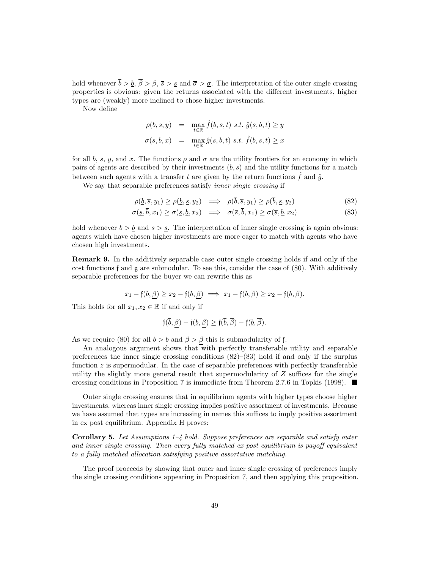hold whenever  $\bar{b} > b$ ,  $\bar{\beta} > \beta$ ,  $\bar{s} > s$  and  $\bar{\sigma} > \underline{\sigma}$ . The interpretation of the outer single crossing properties is obvious: given the returns associated with the different investments, higher types are (weakly) more inclined to chose higher investments.

Now define

$$
\begin{array}{rcl} \rho(b,s,y) & = & \max_{t\in\mathbb{R}} \hat{f}(b,s,t) \ s.t. \ \hat{g}(s,b,t) \geq y \\ \sigma(s,b,x) & = & \max_{t\in\mathbb{R}} \hat{g}(s,b,t) \ s.t. \ \hat{f}(b,s,t) \geq x \end{array}
$$

for all b, s, y, and x. The functions  $\rho$  and  $\sigma$  are the utility frontiers for an economy in which pairs of agents are described by their investments  $(b, s)$  and the utility functions for a match between such agents with a transfer t are given by the return functions  $\hat{f}$  and  $\hat{q}$ .

We say that separable preferences satisfy inner single crossing if

$$
\rho(\underline{b}, \overline{s}, y_1) \ge \rho(\underline{b}, \underline{s}, y_2) \implies \rho(\overline{b}, \overline{s}, y_1) \ge \rho(\overline{b}, \underline{s}, y_2) \tag{82}
$$

$$
\sigma(\underline{s}, \overline{b}, x_1) \ge \sigma(\underline{s}, \underline{b}, x_2) \implies \sigma(\overline{s}, \overline{b}, x_1) \ge \sigma(\overline{s}, \underline{b}, x_2) \tag{83}
$$

hold whenever  $\overline{b} > b$  and  $\overline{s} > s$ . The interpretation of inner single crossing is again obvious: agents which have chosen higher investments are more eager to match with agents who have chosen high investments.

Remark 9. In the additively separable case outer single crossing holds if and only if the cost functions f and  $\mathfrak g$  are submodular. To see this, consider the case of (80). With additively separable preferences for the buyer we can rewrite this as

$$
x_1 - \mathfrak{f}(\overline{b}, \underline{\beta}) \ge x_2 - \mathfrak{f}(\underline{b}, \underline{\beta}) \implies x_1 - \mathfrak{f}(\overline{b}, \overline{\beta}) \ge x_2 - \mathfrak{f}(\underline{b}, \overline{\beta}).
$$

This holds for all  $x_1, x_2 \in \mathbb{R}$  if and only if

$$
\mathfrak{f}(\overline{b}, \underline{\beta}) - \mathfrak{f}(\underline{b}, \underline{\beta}) \geq \mathfrak{f}(\overline{b}, \overline{\beta}) - \mathfrak{f}(\underline{b}, \overline{\beta}).
$$

As we require (80) for all  $\bar{b} > b$  and  $\bar{\beta} > \beta$  this is submodularity of f.

An analogous argument shows that with perfectly transferable utility and separable preferences the inner single crossing conditions  $(82)$ – $(83)$  hold if and only if the surplus function  $z$  is supermodular. In the case of separable preferences with perfectly transferable utility the slightly more general result that supermodularity of  $Z$  suffices for the single crossing conditions in Proposition 7 is immediate from Theorem 2.7.6 in Topkis (1998).  $\blacksquare$ 

Outer single crossing ensures that in equilibrium agents with higher types choose higher investments, whereas inner single crossing implies positive assortment of investments. Because we have assumed that types are increasing in names this suffices to imply positive assortment in ex post equilibrium. Appendix H proves:

**Corollary 5.** Let Assumptions  $1-4$  hold. Suppose preferences are separable and satisfy outer and inner single crossing. Then every fully matched ex post equilibrium is payoff equivalent to a fully matched allocation satisfying positive assortative matching.

The proof proceeds by showing that outer and inner single crossing of preferences imply the single crossing conditions appearing in Proposition 7, and then applying this proposition.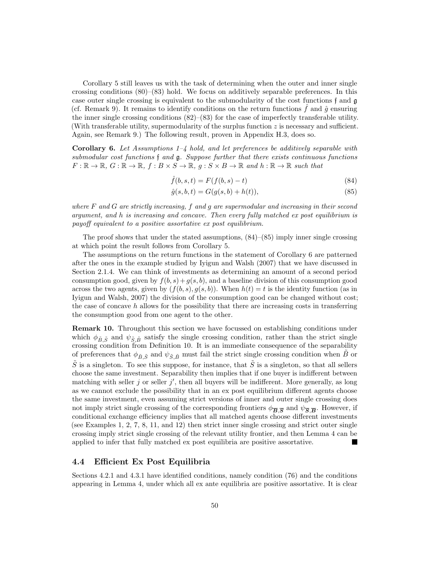Corollary 5 still leaves us with the task of determining when the outer and inner single crossing conditions (80)–(83) hold. We focus on additively separable preferences. In this case outer single crossing is equivalent to the submodularity of the cost functions f and g (cf. Remark 9). It remains to identify conditions on the return functions  $\hat{f}$  and  $\hat{q}$  ensuring the inner single crossing conditions  $(82)$ – $(83)$  for the case of imperfectly transferable utility. (With transferable utility, supermodularity of the surplus function  $z$  is necessary and sufficient. Again, see Remark 9.) The following result, proven in Appendix H.3, does so.

**Corollary 6.** Let Assumptions  $1-4$  hold, and let preferences be additively separable with submodular cost functions f and g. Suppose further that there exists continuous functions  $F: \mathbb{R} \to \mathbb{R}, G: \mathbb{R} \to \mathbb{R}, f: B \times S \to \mathbb{R}, g: S \times B \to \mathbb{R} \text{ and } h: \mathbb{R} \to \mathbb{R} \text{ such that }$ 

$$
\hat{f}(b, s, t) = F(f(b, s) - t)
$$
\n(84)

$$
\hat{g}(s, b, t) = G(g(s, b) + h(t)),\tag{85}
$$

where  $F$  and  $G$  are strictly increasing,  $f$  and  $g$  are supermodular and increasing in their second argument, and h is increasing and concave. Then every fully matched ex post equilibrium is payoff equivalent to a positive assortative ex post equilibrium.

The proof shows that under the stated assumptions, (84)–(85) imply inner single crossing at which point the result follows from Corollary 5.

The assumptions on the return functions in the statement of Corollary 6 are patterned after the ones in the example studied by Iyigun and Walsh (2007) that we have discussed in Section 2.1.4. We can think of investments as determining an amount of a second period consumption good, given by  $f(b, s) + g(s, b)$ , and a baseline division of this consumption good across the two agents, given by  $(f(b, s), g(s, b))$ . When  $h(t) = t$  is the identity function (as in Iyigun and Walsh, 2007) the division of the consumption good can be changed without cost; the case of concave  $h$  allows for the possibility that there are increasing costs in transferring the consumption good from one agent to the other.

Remark 10. Throughout this section we have focussed on establishing conditions under which  $\phi_{\tilde{B}, \tilde{S}}$  and  $\psi_{\tilde{S}, \tilde{B}}$  satisfy the single crossing condition, rather than the strict single crossing condition from Definition 10. It is an immediate consequence of the separability of preferences that  $\phi_{\tilde{B}, \tilde{S}}$  and  $\psi_{\tilde{S}, \tilde{B}}$  must fail the strict single crossing condition when B or  $\tilde{S}$  is a singleton. To see this suppose, for instance, that  $\tilde{S}$  is a singleton, so that all sellers choose the same investment. Separability then implies that if one buyer is indifferent between matching with seller  $j$  or seller  $j'$ , then all buyers will be indifferent. More generally, as long as we cannot exclude the possibility that in an ex post equilibrium different agents choose the same investment, even assuming strict versions of inner and outer single crossing does not imply strict single crossing of the corresponding frontiers  $\phi_{\overline{B},\overline{S}}$  and  $\psi_{\overline{S},\overline{B}}$ . However, if conditional exchange efficiency implies that all matched agents choose different investments (see Examples 1, 2, 7, 8, 11, and 12) then strict inner single crossing and strict outer single crossing imply strict single crossing of the relevant utility frontier, and then Lemma 4 can be applied to infer that fully matched ex post equilibria are positive assortative.

#### 4.4 Efficient Ex Post Equilibria

Sections 4.2.1 and 4.3.1 have identified conditions, namely condition (76) and the conditions appearing in Lemma 4, under which all ex ante equilibria are positive assortative. It is clear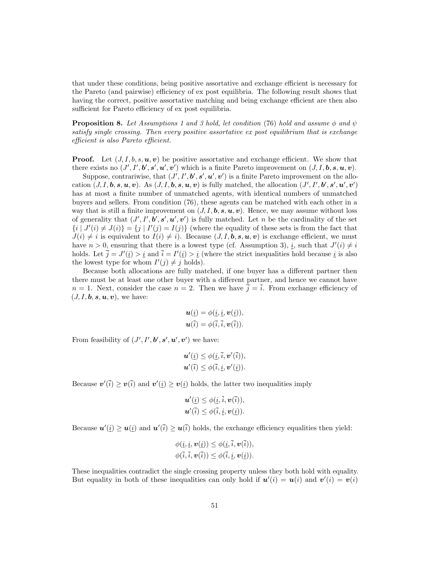that under these conditions, being positive assortative and exchange efficient is necessary for the Pareto (and pairwise) efficiency of ex post equilibria. The following result shows that having the correct, positive assortative matching and being exchange efficient are then also sufficient for Pareto efficiency of ex post equilibria.

**Proposition 8.** Let Assumptions 1 and 3 hold, let condition (76) hold and assume  $\phi$  and  $\psi$ satisfy single crossing. Then every positive assortative ex post equilibrium that is exchange efficient is also Pareto efficient.

**Proof.** Let  $(J, I, b, s, u, v)$  be positive assortative and exchange efficient. We show that there exists no  $(J', I', b', s', u', v')$  which is a finite Pareto improvement on  $(J, I, b, s, u, v)$ .

Suppose, contrariwise, that  $(J', I', b', s', u', v')$  is a finite Pareto improvement on the allocation  $(J, I, b, s, u, v)$ . As  $(J, I, b, s, u, v)$  is fully matched, the allocation  $(J', I', b', s', u', v')$ has at most a finite number of unmatched agents, with identical numbers of unmatched buyers and sellers. From condition (76), these agents can be matched with each other in a way that is still a finite improvement on  $(J, I, b, s, u, v)$ . Hence, we may assume without loss of generality that  $(J', I', \mathbf{b}', \mathbf{s}', \mathbf{u}', \mathbf{v}')$  is fully matched. Let n be the cardinality of the set  $\{i \mid J'(i) \neq J(i)\} = \{j \mid I'(j) = I(j)\}\$  (where the equality of these sets is from the fact that  $J(i) \neq i$  is equivalent to  $I(i) \neq i$ . Because  $(J, I, b, s, u, v)$  is exchange efficient, we must have  $n > 0$ , ensuring that there is a lowest type (cf. Assumption 3), <u>*i*</u>, such that  $J'(i) \neq i$ holds. Let  $\bar{j} = J'(\underline{i}) > \underline{i}$  and  $\bar{i} = I'(\underline{i}) > \underline{i}$  (where the strict inequalities hold because  $\underline{i}$  is also the lowest type for whom  $I'(j) \neq j$  holds).

Because both allocations are fully matched, if one buyer has a different partner then there must be at least one other buyer with a different partner, and hence we cannot have  $n = 1$ . Next, consider the case  $n = 2$ . Then we have  $\overline{j} = \overline{i}$ . From exchange efficiency of  $(J, I, b, s, u, v)$ , we have:

$$
\mathbf{u}(\underline{i}) = \phi(\underline{i}, \underline{i}, \mathbf{v}(\underline{i})), \mathbf{u}(\overline{i}) = \phi(\overline{i}, \overline{i}, \mathbf{v}(\overline{i})).
$$

From feasibility of  $(J', I', \boldsymbol{b}', \boldsymbol{s}', \boldsymbol{u}', \boldsymbol{v}')$  we have:

$$
\boldsymbol{u}'(\underline{i}) \leq \phi(\underline{i}, \overline{i}, \boldsymbol{v}'(\overline{i})), \boldsymbol{u}'(\overline{i}) \leq \phi(\overline{i}, \underline{i}, \boldsymbol{v}'(\underline{i})).
$$

Because  $\mathbf{v}'(\overline{i}) \ge \mathbf{v}(\overline{i})$  and  $\mathbf{v}'(\underline{i}) \ge \mathbf{v}(\underline{i})$  holds, the latter two inequalities imply

$$
\mathbf{u}'(\underline{i}) \leq \phi(\underline{i}, \overline{i}, \mathbf{v}(\overline{i})), \mathbf{u}'(\overline{i}) \leq \phi(\overline{i}, \underline{i}, \mathbf{v}(\underline{i})).
$$

Because  $u'(\underline{i}) \geq u(\underline{i})$  and  $u'(\overline{i}) \geq u(\overline{i})$  holds, the exchange efficiency equalities then yield:

$$
\begin{aligned} &\phi(\underline{i},\underline{i},\boldsymbol{v}(\underline{i}))\leq \phi(\underline{i},\overline{i},\boldsymbol{v}(\overline{i})),\\ &\phi(\overline{i},\overline{i},\boldsymbol{v}(\overline{i}))\leq \phi(\overline{i},\underline{i},\boldsymbol{v}(\underline{i})). \end{aligned}
$$

These inequalities contradict the single crossing property unless they both hold with equality. But equality in both of these inequalities can only hold if  $u'(i) = u(i)$  and  $v'(i) = v(i)$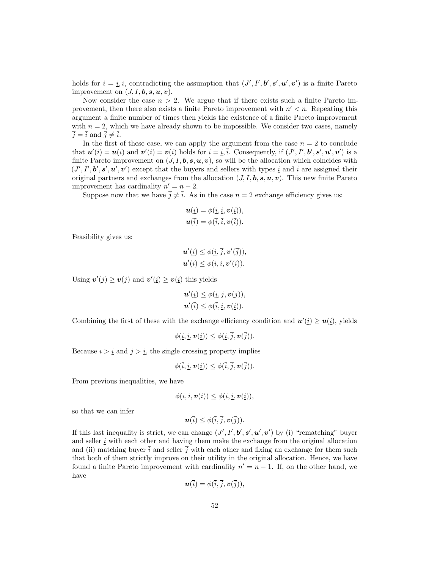holds for  $i = \underline{i}, \overline{i}$ , contradicting the assumption that  $(J', I', \boldsymbol{b}', \boldsymbol{s}', \boldsymbol{u}', \boldsymbol{v}')$  is a finite Pareto improvement on  $(J, I, b, s, u, v)$ .

Now consider the case  $n > 2$ . We argue that if there exists such a finite Pareto improvement, then there also exists a finite Pareto improvement with  $n' < n$ . Repeating this argument a finite number of times then yields the existence of a finite Pareto improvement with  $n = 2$ , which we have already shown to be impossible. We consider two cases, namely  $\overline{j} = \overline{i}$  and  $\overline{j} \neq \overline{i}$ .

In the first of these case, we can apply the argument from the case  $n = 2$  to conclude that  $u'(i) = u(i)$  and  $v'(i) = v(i)$  holds for  $i = \underline{i}, \overline{i}$ . Consequently, if  $(J', I', b', s', u', v')$  is a finite Pareto improvement on  $(J, I, b, s, u, v)$ , so will be the allocation which coincides with  $(J', I', b', s', u', v')$  except that the buyers and sellers with types i and  $\overline{i}$  are assigned their original partners and exchanges from the allocation  $(J, I, b, s, u, v)$ . This new finite Pareto improvement has cardinality  $n' = n - 2$ .

Suppose now that we have  $\bar{j} \neq \bar{i}$ . As in the case  $n = 2$  exchange efficiency gives us:

$$
\begin{aligned} \boldsymbol{u}(\underline{i}) &= \phi(\underline{i},\underline{i},\boldsymbol{v}(\underline{i})), \\ \boldsymbol{u}(\overline{i}) &= \phi(\overline{i},\overline{i},\boldsymbol{v}(\overline{i})). \end{aligned}
$$

Feasibility gives us:

$$
\mathbf{u}'(\underline{i}) \leq \phi(\underline{i}, \overline{j}, \mathbf{v}'(\overline{j})), \mathbf{u}'(\overline{i}) \leq \phi(\overline{i}, \underline{i}, \mathbf{v}'(\underline{i})).
$$

Using  $\mathbf{v}'(\overline{j}) \ge \mathbf{v}(\overline{j})$  and  $\mathbf{v}'(\underline{i}) \ge \mathbf{v}(\underline{i})$  this yields

$$
\mathbf{u}'(\underline{i}) \leq \phi(\underline{i}, \overline{j}, \mathbf{v}(\overline{j})), \mathbf{u}'(\overline{i}) \leq \phi(\overline{i}, \underline{i}, \mathbf{v}(\underline{i})).
$$

Combining the first of these with the exchange efficiency condition and  $u'(i) \ge u(i)$ , yields

$$
\phi(\underline{i}, \underline{i}, \mathbf{v}(\underline{i})) \leq \phi(\underline{i}, \overline{j}, \mathbf{v}(\overline{j})).
$$

Because  $\bar{i} > \underline{i}$  and  $\bar{j} > \underline{i}$ , the single crossing property implies

$$
\phi(\overline{i},\underline{i},\boldsymbol{v}(\underline{i}))\leq \phi(\overline{i},\overline{j},\boldsymbol{v}(\overline{j})).
$$

From previous inequalities, we have

$$
\phi(\overline{i},\overline{i},\boldsymbol{v}(\overline{i})) \leq \phi(\overline{i},\underline{i},\boldsymbol{v}(\underline{i})),
$$

so that we can infer

$$
\boldsymbol{u}(\bar{i})\leq \phi(\bar{i},\bar{j},\boldsymbol{v}(\bar{j})).
$$

If this last inequality is strict, we can change  $(J', I', b', s', u', v')$  by (i) "rematching" buyer and seller  $i$  with each other and having them make the exchange from the original allocation and (ii) matching buyer  $\bar{i}$  and seller  $\bar{j}$  with each other and fixing an exchange for them such that both of them strictly improve on their utility in the original allocation. Hence, we have found a finite Pareto improvement with cardinality  $n' = n - 1$ . If, on the other hand, we have

$$
\boldsymbol{u}(\bar{i})=\phi(\bar{i},\bar{j},\boldsymbol{v}(\bar{j})),
$$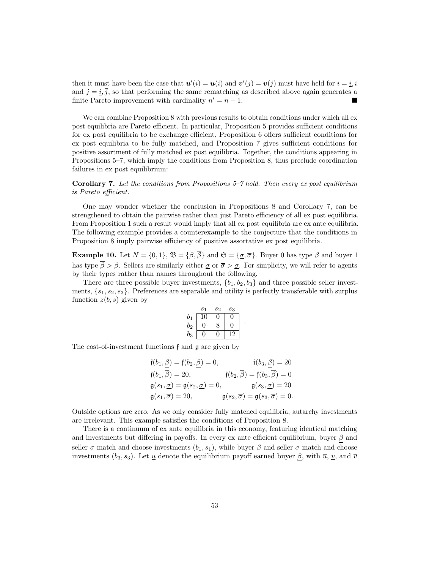then it must have been the case that  $u'(i) = u(i)$  and  $v'(j) = v(j)$  must have held for  $i = i, \bar{i}$ and  $j = i, \overline{j}$ , so that performing the same rematching as described above again generates a finite Pareto improvement with cardinality  $n' = n - 1$ .

We can combine Proposition 8 with previous results to obtain conditions under which all ex post equilibria are Pareto efficient. In particular, Proposition 5 provides sufficient conditions for ex post equilibria to be exchange efficient, Proposition 6 offers sufficient conditions for ex post equilibria to be fully matched, and Proposition 7 gives sufficient conditions for positive assortment of fully matched ex post equilibria. Together, the conditions appearing in Propositions 5–7, which imply the conditions from Proposition 8, thus preclude coordination failures in ex post equilibrium:

**Corollary 7.** Let the conditions from Propositions  $5-7$  hold. Then every ex post equilibrium is Pareto efficient.

One may wonder whether the conclusion in Propositions 8 and Corollary 7, can be strengthened to obtain the pairwise rather than just Pareto efficiency of all ex post equilibria. From Proposition 1 such a result would imply that all ex post equilibria are ex ante equilibria. The following example provides a counterexample to the conjecture that the conditions in Proposition 8 imply pairwise efficiency of positive assortative ex post equilibria.

**Example 10.** Let  $N = \{0, 1\}$ ,  $\mathfrak{B} = \{\beta, \overline{\beta}\}\$ and  $\mathfrak{S} = \{\underline{\sigma}, \overline{\sigma}\}\$ . Buyer 0 has type  $\beta$  and buyer 1 has type  $\overline{\beta} > \beta$ . Sellers are similarly either  $\underline{\sigma}$  or  $\overline{\sigma} > \underline{\sigma}$ . For simplicity, we will refer to agents by their types rather than names throughout the following.

There are three possible buyer investments,  $\{b_1, b_2, b_3\}$  and three possible seller investments,  $\{s_1, s_2, s_3\}$ . Preferences are separable and utility is perfectly transferable with surplus function  $z(b, s)$  given by

$$
\begin{array}{ccc|ccc}\n & s_1 & s_2 & s_3 \\
b_1 & 10 & 0 & 0 \\
b_2 & 0 & 8 & 0 \\
b_3 & 0 & 0 & 12\n\end{array}
$$

.

The cost-of-investment functions f and g are given by

$$
\begin{aligned}\n\mathfrak{f}(b_1, \underline{\beta}) &= \mathfrak{f}(b_2, \underline{\beta}) = 0, & \mathfrak{f}(b_3, \underline{\beta}) &= 20 \\
\mathfrak{f}(b_1, \overline{\beta}) &= 20, & \mathfrak{f}(b_2, \overline{\beta}) &= \mathfrak{f}(b_3, \overline{\beta}) = 0 \\
\mathfrak{g}(s_1, \underline{\sigma}) &= \mathfrak{g}(s_2, \underline{\sigma}) = 0, & \mathfrak{g}(s_3, \underline{\sigma}) &= 20 \\
\mathfrak{g}(s_1, \overline{\sigma}) &= 20, & \mathfrak{g}(s_2, \overline{\sigma}) &= \mathfrak{g}(s_3, \overline{\sigma}) = 0.\n\end{aligned}
$$

Outside options are zero. As we only consider fully matched equilibria, autarchy investments are irrelevant. This example satisfies the conditions of Proposition 8.

There is a continuum of ex ante equilibria in this economy, featuring identical matching and investments but differing in payoffs. In every ex ante efficient equilibrium, buyer  $\beta$  and seller  $\sigma$  match and choose investments  $(b_1, s_1)$ , while buyer  $\overline{\beta}$  and seller  $\overline{\sigma}$  match and choose investments ( $b_3, s_3$ ). Let  $\underline{u}$  denote the equilibrium payoff earned buyer  $\beta$ , with  $\overline{u}$ ,  $\underline{v}$ , and  $\overline{v}$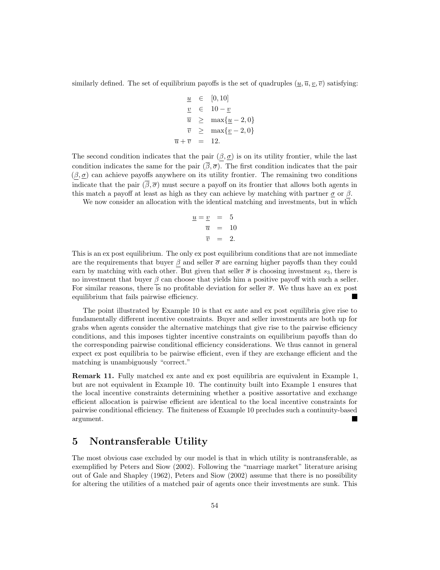similarly defined. The set of equilibrium payoffs is the set of quadruples  $(u, \overline{u}, \underline{v}, \overline{v})$  satisfying:

$$
\begin{array}{rcl}\n\underline{u} & \in & [0, 10] \\
\underline{v} & \in & 10 - \underline{v} \\
\overline{u} & \geq & \max\{\underline{u} - 2, 0\} \\
\overline{v} & \geq & \max\{\underline{v} - 2, 0\} \\
\overline{u} + \overline{v} & = & 12.\n\end{array}
$$

The second condition indicates that the pair  $(\beta, \underline{\sigma})$  is on its utility frontier, while the last condition indicates the same for the pair  $(\overline{\beta}, \overline{\sigma})$ . The first condition indicates that the pair  $(\beta, \sigma)$  can achieve payoffs anywhere on its utility frontier. The remaining two conditions indicate that the pair  $(\bar{\beta}, \bar{\sigma})$  must secure a payoff on its frontier that allows both agents in this match a payoff at least as high as they can achieve by matching with partner  $\sigma$  or  $\beta$ .

We now consider an allocation with the identical matching and investments, but in which

$$
\frac{u}{u} = \frac{v}{u} = 5
$$
  

$$
\overline{u} = 10
$$
  

$$
\overline{v} = 2.
$$

This is an ex post equilibrium. The only ex post equilibrium conditions that are not immediate are the requirements that buyer  $\beta$  and seller  $\bar{\sigma}$  are earning higher payoffs than they could earn by matching with each other. But given that seller  $\bar{\sigma}$  is choosing investment  $s_3$ , there is no investment that buyer  $\beta$  can choose that yields him a positive payoff with such a seller. For similar reasons, there is no profitable deviation for seller  $\bar{\sigma}$ . We thus have an ex post equilibrium that fails pairwise efficiency.

The point illustrated by Example 10 is that ex ante and ex post equilibria give rise to fundamentally different incentive constraints. Buyer and seller investments are both up for grabs when agents consider the alternative matchings that give rise to the pairwise efficiency conditions, and this imposes tighter incentive constraints on equilibrium payoffs than do the corresponding pairwise conditional efficiency considerations. We thus cannot in general expect ex post equilibria to be pairwise efficient, even if they are exchange efficient and the matching is unambiguously "correct."

Remark 11. Fully matched ex ante and ex post equilibria are equivalent in Example 1, but are not equivalent in Example 10. The continuity built into Example 1 ensures that the local incentive constraints determining whether a positive assortative and exchange efficient allocation is pairwise efficient are identical to the local incentive constraints for pairwise conditional efficiency. The finiteness of Example 10 precludes such a continuity-based argument. 

### 5 Nontransferable Utility

The most obvious case excluded by our model is that in which utility is nontransferable, as exemplified by Peters and Siow (2002). Following the "marriage market" literature arising out of Gale and Shapley (1962), Peters and Siow (2002) assume that there is no possibility for altering the utilities of a matched pair of agents once their investments are sunk. This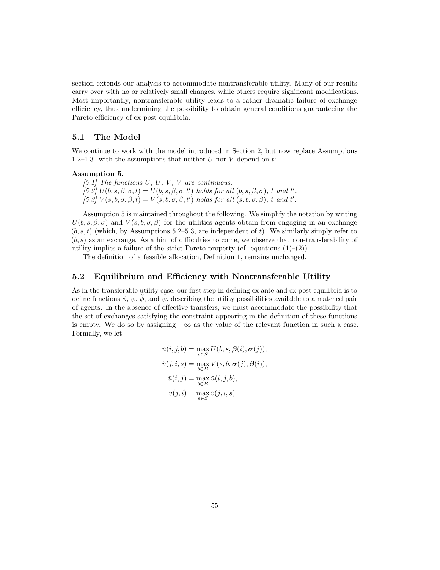section extends our analysis to accommodate nontransferable utility. Many of our results carry over with no or relatively small changes, while others require significant modifications. Most importantly, nontransferable utility leads to a rather dramatic failure of exchange efficiency, thus undermining the possibility to obtain general conditions guaranteeing the Pareto efficiency of ex post equilibria.

#### 5.1 The Model

We continue to work with the model introduced in Section 2, but now replace Assumptions 1.2–1.3. with the assumptions that neither  $U$  nor  $V$  depend on  $t$ :

#### Assumption 5.

[5.1] The functions  $U, U, V, V$  are continuous. [5.2]  $U(b, s, \beta, \sigma, t) = U(b, s, \beta, \sigma, t')$  holds for all  $(b, s, \beta, \sigma)$ , t and t'. [5.3]  $V(s, b, \sigma, \beta, t) = V(s, b, \sigma, \beta, t')$  holds for all  $(s, b, \sigma, \beta)$ , t and t'.

Assumption 5 is maintained throughout the following. We simplify the notation by writing  $U(b, s, \beta, \sigma)$  and  $V(s, b, \sigma, \beta)$  for the utilities agents obtain from engaging in an exchange  $(b, s, t)$  (which, by Assumptions 5.2–5.3, are independent of t). We similarly simply refer to  $(b, s)$  as an exchange. As a hint of difficulties to come, we observe that non-transferability of utility implies a failure of the strict Pareto property (cf. equations  $(1)-(2)$ ).

The definition of a feasible allocation, Definition 1, remains unchanged.

#### 5.2 Equilibrium and Efficiency with Nontransferable Utility

As in the transferable utility case, our first step in defining ex ante and ex post equilibria is to define functions  $\phi$ ,  $\psi$ ,  $\dot{\phi}$ , and  $\dot{\psi}$ , describing the utility possibilities available to a matched pair of agents. In the absence of effective transfers, we must accommodate the possibility that the set of exchanges satisfying the constraint appearing in the definition of these functions is empty. We do so by assigning  $-\infty$  as the value of the relevant function in such a case. Formally, we let

$$
\tilde{u}(i, j, b) = \max_{s \in S} U(b, s, \beta(i), \sigma(j)),
$$
  
\n
$$
\tilde{v}(j, i, s) = \max_{b \in B} V(s, b, \sigma(j), \beta(i)),
$$
  
\n
$$
\bar{u}(i, j) = \max_{b \in B} \tilde{u}(i, j, b),
$$
  
\n
$$
\bar{v}(j, i) = \max_{s \in S} \tilde{v}(j, i, s)
$$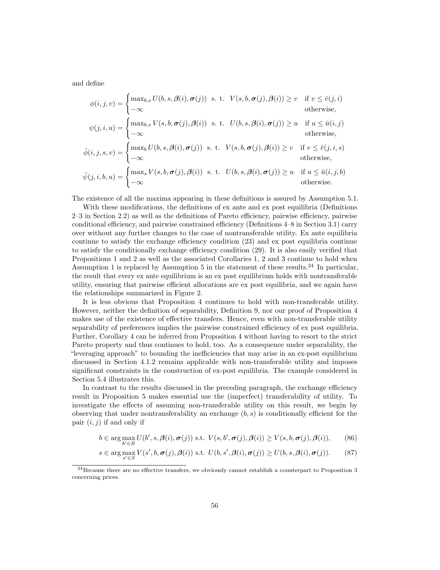and define

$$
\phi(i,j,v) = \begin{cases}\n\max_{b,s} U(b,s,\beta(i),\sigma(j)) & \text{s. t.} \quad V(s,b,\sigma(j),\beta(i)) \ge v & \text{if } v \le \bar{v}(j,i) \\
-\infty & \text{otherwise,} \\
\psi(j,i,u) = \begin{cases}\n\max_{b,s} V(s,b,\sigma(j),\beta(i)) & \text{s. t.} \quad U(b,s,\beta(i),\sigma(j)) \ge u & \text{if } u \le \bar{u}(i,j) \\
-\infty & \text{otherwise,} \\
\phi(i,j,s,v) = \begin{cases}\n\max_{b} U(b,s,\beta(i),\sigma(j)) & \text{s. t.} \quad V(s,b,\sigma(j),\beta(i)) \ge v & \text{if } v \le \check{v}(j,i,s) \\
-\infty & \text{otherwise,} \\
\end{cases}\n\end{cases}
$$

$$
\breve{\psi}(j,i,b,u) = \begin{cases} \max_{s} V(s,b,\sigma(j),\beta(i)) & \text{s. t.} \quad U(b,s,\beta(i),\sigma(j)) \ge u & \text{if } u \le \breve{u}(i,j,b) \\ -\infty & \text{otherwise.} \end{cases}
$$

The existence of all the maxima appearing in these definitions is assured by Assumption 5.1.

With these modifications, the definitions of ex ante and ex post equilibria (Definitions 2–3 in Section 2.2) as well as the definitions of Pareto efficiency, pairwise efficiency, pairwise conditional efficiency, and pairwise constrained efficiency (Definitions 4–8 in Section 3.1) carry over without any further changes to the case of nontransferable utility. Ex ante equilibria continue to satisfy the exchange efficiency condition (23) and ex post equilibria continue to satisfy the conditionally exchange efficiency condition (29). It is also easily verified that Propositions 1 and 2 as well as the associated Corollaries 1, 2 and 3 continue to hold when Assumption 1 is replaced by Assumption 5 in the statement of these results.<sup>24</sup> In particular, the result that every ex ante equilibrium is an ex post equilibrium holds with nontransferable utility, ensuring that pairwise efficient allocations are ex post equilibria, and we again have the relationships summarized in Figure 2.

It is less obvious that Proposition 4 continues to hold with non-transferable utility. However, neither the definition of separability, Definition 9, nor our proof of Proposition 4 makes use of the existence of effective transfers. Hence, even with non-transferable utility separability of preferences implies the pairwise constrained efficiency of ex post equilibria. Further, Corollary 4 can be inferred from Proposition 4 without having to resort to the strict Pareto property and thus continues to hold, too. As a consequence under separability, the "leveraging approach" to bounding the inefficiencies that may arise in an ex-post equilibrium discussed in Section 4.1.2 remains applicable with non-transferable utility and imposes significant constraints in the construction of ex-post equilibria. The example considered in Section 5.4 illustrates this.

In contrast to the results discussed in the preceding paragraph, the exchange efficiency result in Proposition 5 makes essential use the (imperfect) transferability of utility. To investigate the effects of assuming non-transferable utility on this result, we begin by observing that under nontransferability an exchange  $(b, s)$  is conditionally efficient for the pair  $(i, j)$  if and only if

$$
b \in \arg\max_{b' \in B} U(b', s, \beta(i), \sigma(j)) \text{ s.t. } V(s, b', \sigma(j), \beta(i)) \ge V(s, b, \sigma(j), \beta(i)), \qquad (86)
$$

$$
s \in \arg\max_{s' \in S} V(s', b, \sigma(j), \beta(i)) \text{ s.t. } U(b, s', \beta(i), \sigma(j)) \ge U(b, s, \beta(i), \sigma(j)).
$$
 (87)

 $24$ Because there are no effective transfers, we obviously cannot establish a counterpart to Proposition 3 concerning prices.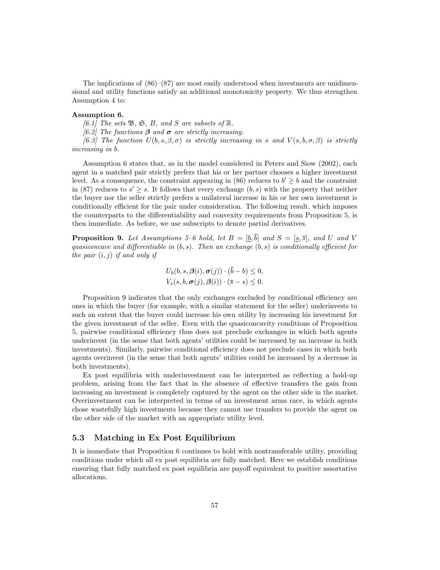The implications of  $(86)$ – $(87)$  are most easily understood when investments are unidimensional and utility functions satisfy an additional monotonicity property. We thus strengthen Assumption 4 to:

#### Assumption 6.

[6.1] The sets  $\mathfrak{B}, \mathfrak{S}, B$ , and S are subsets of  $\mathbb{R}$ .

[6.2] The functions  $\beta$  and  $\sigma$  are strictly increasing.

[6.3] The function  $U(b, s, \beta, \sigma)$  is strictly increasing in s and  $V(s, b, \sigma, \beta)$  is strictly increasing in b.

Assumption 6 states that, as in the model considered in Peters and Siow (2002), each agent in a matched pair strictly prefers that his or her partner chooses a higher investment level. As a consequence, the constraint appearing in (86) reduces to  $b' \geq b$  and the constraint in (87) reduces to  $s' \geq s$ . It follows that every exchange  $(b, s)$  with the property that neither the buyer nor the seller strictly prefers a unilateral increase in his or her own investment is conditionally efficient for the pair under consideration. The following result, which imposes the counterparts to the differentiability and convexity requirements from Proposition 5, is then immediate. As before, we use subscripts to denote partial derivatives.

**Proposition 9.** Let Assumptions 5–6 hold, let  $B = [b, \overline{b}]$  and  $S = [s, \overline{s}]$ , and U and V quasiconcave and differentiable in  $(b, s)$ . Then an exchange  $(b, s)$  is conditionally efficient for the pair  $(i, j)$  if and only if

$$
U_b(b, s, \boldsymbol{\beta}(i), \boldsymbol{\sigma}(j)) \cdot (\overline{b} - b) \le 0,
$$
  
\n
$$
V_s(s, b, \boldsymbol{\sigma}(j), \boldsymbol{\beta}(i)) \cdot (\overline{s} - s) \le 0.
$$

Proposition 9 indicates that the only exchanges excluded by conditional efficiency are ones in which the buyer (for example, with a similar statement for the seller) underinvests to such an extent that the buyer could increase his own utility by increasing his investment for the given investment of the seller. Even with the quasiconcavity conditions of Proposition 5, pairwise conditional efficiency thus does not preclude exchanges in which both agents underinvest (in the sense that both agents' utilities could be increased by an increase in both investments). Similarly, pairwise conditional efficiency does not preclude cases in which both agents overinvest (in the sense that both agents' utilities could be increased by a decrease in both investments).

Ex post equilibria with underinvestment can be interpreted as reflecting a hold-up problem, arising from the fact that in the absence of effective transfers the gain from increasing an investment is completely captured by the agent on the other side in the market. Overinvestment can be interpreted in terms of an investment arms race, in which agents chose wastefully high investments because they cannot use transfers to provide the agent on the other side of the market with an appropriate utility level.

#### 5.3 Matching in Ex Post Equilibrium

It is immediate that Proposition 6 continues to hold with nontransferable utility, providing conditions under which all ex post equilibria are fully matched. Here we establish conditions ensuring that fully matched ex post equilibria are payoff equivalent to positive assortative allocations.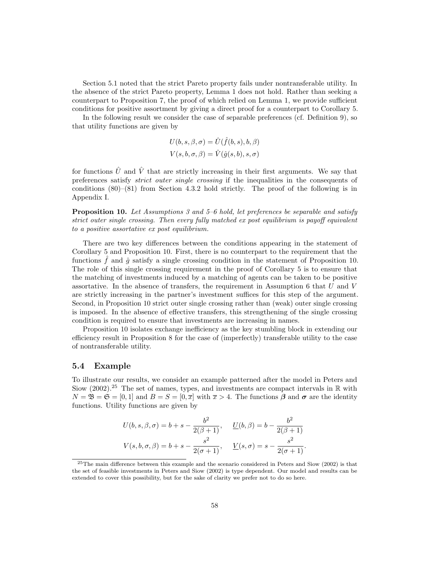Section 5.1 noted that the strict Pareto property fails under nontransferable utility. In the absence of the strict Pareto property, Lemma 1 does not hold. Rather than seeking a counterpart to Proposition 7, the proof of which relied on Lemma 1, we provide sufficient conditions for positive assortment by giving a direct proof for a counterpart to Corollary 5.

In the following result we consider the case of separable preferences (cf. Definition 9), so that utility functions are given by

$$
\begin{aligned} U(b,s,\beta,\sigma) &= \hat{U}(\hat{f}(b,s),b,\beta)\\ V(s,b,\sigma,\beta) &= \hat{V}(\hat{g}(s,b),s,\sigma) \end{aligned}
$$

for functions  $\hat{U}$  and  $\hat{V}$  that are strictly increasing in their first arguments. We say that preferences satisfy strict outer single crossing if the inequalities in the consequents of conditions  $(80)$ – $(81)$  from Section 4.3.2 hold strictly. The proof of the following is in Appendix I.

Proposition 10. Let Assumptions 3 and 5–6 hold, let preferences be separable and satisfy strict outer single crossing. Then every fully matched ex post equilibrium is payoff equivalent to a positive assortative ex post equilibrium.

There are two key differences between the conditions appearing in the statement of Corollary 5 and Proposition 10. First, there is no counterpart to the requirement that the functions f and  $\hat{q}$  satisfy a single crossing condition in the statement of Proposition 10. The role of this single crossing requirement in the proof of Corollary 5 is to ensure that the matching of investments induced by a matching of agents can be taken to be positive assortative. In the absence of transfers, the requirement in Assumption 6 that  $U$  and  $V$ are strictly increasing in the partner's investment suffices for this step of the argument. Second, in Proposition 10 strict outer single crossing rather than (weak) outer single crossing is imposed. In the absence of effective transfers, this strengthening of the single crossing condition is required to ensure that investments are increasing in names.

Proposition 10 isolates exchange inefficiency as the key stumbling block in extending our efficiency result in Proposition 8 for the case of (imperfectly) transferable utility to the case of nontransferable utility.

#### 5.4 Example

To illustrate our results, we consider an example patterned after the model in Peters and Siow (2002).<sup>25</sup> The set of names, types, and investments are compact intervals in  $\mathbb R$  with  $N = \mathfrak{B} = \mathfrak{S} = [0, 1]$  and  $B = S = [0, \overline{x}]$  with  $\overline{x} > 4$ . The functions  $\beta$  and  $\sigma$  are the identity functions. Utility functions are given by

$$
U(b, s, \beta, \sigma) = b + s - \frac{b^2}{2(\beta + 1)}, \quad \underline{U}(b, \beta) = b - \frac{b^2}{2(\beta + 1)},
$$

$$
V(s, b, \sigma, \beta) = b + s - \frac{s^2}{2(\sigma + 1)}, \quad \underline{V}(s, \sigma) = s - \frac{s^2}{2(\sigma + 1)}.
$$

<sup>25</sup>The main difference between this example and the scenario considered in Peters and Siow (2002) is that the set of feasible investments in Peters and Siow (2002) is type dependent. Our model and results can be extended to cover this possibility, but for the sake of clarity we prefer not to do so here.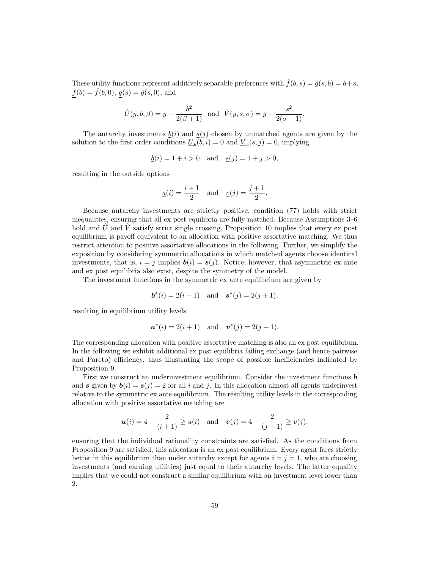These utility functions represent additively separable preferences with  $\hat{f}(b, s) = \hat{g}(s, b) = b + s$ ,  $f(b) = \hat{f}(b, 0), g(s) = \hat{g}(s, 0),$  and

$$
\hat{U}(y, b, \beta) = y - \frac{b^2}{2(\beta + 1)}
$$
 and  $\hat{V}(y, s, \sigma) = y - \frac{s^2}{2(\sigma + 1)}$ .

The autarchy investments  $\underline{b}(i)$  and  $\underline{s}(j)$  chosen by unmatched agents are given by the solution to the first order conditions  $\underline{U}_b(b, i) = 0$  and  $\underline{V}_s(s, j) = 0$ , implying

$$
\underline{b}(i) = 1 + i > 0
$$
 and  $\underline{s}(j) = 1 + j > 0$ ,

resulting in the outside options

$$
\underline{u}(i) = \frac{i+1}{2} \quad \text{and} \quad \underline{v}(j) = \frac{j+1}{2}.
$$

Because autarchy investments are strictly positive, condition (77) holds with strict inequalities, ensuring that all ex post equilibria are fully matched. Because Assumptions 3–6 hold and  $\hat{U}$  and  $\hat{V}$  satisfy strict single crossing, Proposition 10 implies that every ex post equilibrium is payoff equivalent to an allocation with positive assortative matching. We thus restrict attention to positive assortative allocations in the following. Further, we simplify the exposition by considering symmetric allocations in which matched agents choose identical investments, that is,  $i = j$  implies  $\mathbf{b}(i) = \mathbf{s}(j)$ . Notice, however, that asymmetric ex ante and ex post equilibria also exist, despite the symmetry of the model.

The investment functions in the symmetric ex ante equilibrium are given by

$$
\mathbf{b}^*(i) = 2(i+1) \quad \text{and} \quad \mathbf{s}^*(j) = 2(j+1),
$$

resulting in equilibrium utility levels

$$
u^*(i) = 2(i+1)
$$
 and  $v^*(j) = 2(j+1)$ .

The corresponding allocation with positive assortative matching is also an ex post equilibrium. In the following we exhibit additional ex post equilibria failing exchange (and hence pairwise and Pareto) efficiency, thus illustrating the scope of possible inefficiencies indicated by Proposition 9.

First we construct an underinvestment equilibrium. Consider the investment functions  $\boldsymbol{b}$ and s given by  $\mathbf{b}(i) = \mathbf{s}(j) = 2$  for all i and j. In this allocation almost all agents underinvest relative to the symmetric ex ante equilibrium. The resulting utility levels in the corresponding allocation with positive assortative matching are

$$
u(i) = 4 - \frac{2}{(i+1)} \ge \underline{u}(i)
$$
 and  $v(j) = 4 - \frac{2}{(j+1)} \ge \underline{v}(j)$ ,

ensuring that the individual rationality constraints are satisfied. As the conditions from Proposition 9 are satisfied, this allocation is an ex post equilibrium. Every agent fares strictly better in this equilibrium than under autarchy except for agents  $i = j = 1$ , who are choosing investments (and earning utilities) just equal to their autarchy levels. The latter equality implies that we could not construct a similar equilibrium with an investment level lower than 2.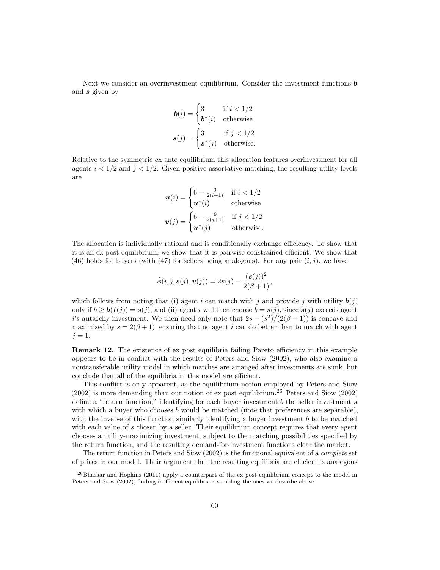Next we consider an overinvestment equilibrium. Consider the investment functions  $\boldsymbol{b}$ and s given by

$$
\mathbf{b}(i) = \begin{cases} 3 & \text{if } i < 1/2 \\ \mathbf{b}^*(i) & \text{otherwise} \end{cases}
$$
\n
$$
\mathbf{s}(j) = \begin{cases} 3 & \text{if } j < 1/2 \\ \mathbf{s}^*(j) & \text{otherwise.} \end{cases}
$$

Relative to the symmetric ex ante equilibrium this allocation features overinvestment for all agents  $i < 1/2$  and  $j < 1/2$ . Given positive assortative matching, the resulting utility levels are

$$
\mathbf{u}(i) = \begin{cases} 6 - \frac{9}{2(i+1)} & \text{if } i < 1/2 \\ \mathbf{u}^*(i) & \text{otherwise} \end{cases}
$$
\n
$$
\mathbf{v}(j) = \begin{cases} 6 - \frac{9}{2(j+1)} & \text{if } j < 1/2 \\ \mathbf{u}^*(j) & \text{otherwise.} \end{cases}
$$

The allocation is individually rational and is conditionally exchange efficiency. To show that it is an ex post equilibrium, we show that it is pairwise constrained efficient. We show that (46) holds for buyers (with (47) for sellers being analogous). For any pair  $(i, j)$ , we have

$$
\breve{\phi}(i,j,{\boldsymbol{s}}(j),{\boldsymbol{v}}(j))=2{\boldsymbol{s}}(j)-\frac{({\boldsymbol{s}}(j))^2}{2(\beta+1)},
$$

which follows from noting that (i) agent i can match with j and provide j with utility  $\mathbf{b}(j)$ only if  $b > b(I(j)) = s(j)$ , and (ii) agent i will then choose  $b = s(j)$ , since  $s(j)$  exceeds agent i's autarchy investment. We then need only note that  $2s - (s^2)/(2(\beta + 1))$  is concave and maximized by  $s = 2(\beta + 1)$ , ensuring that no agent i can do better than to match with agent  $j=1$ .

Remark 12. The existence of ex post equilibria failing Pareto efficiency in this example appears to be in conflict with the results of Peters and Siow (2002), who also examine a nontransferable utility model in which matches are arranged after investments are sunk, but conclude that all of the equilibria in this model are efficient.

This conflict is only apparent, as the equilibrium notion employed by Peters and Siow  $(2002)$  is more demanding than our notion of ex post equilibrium.<sup>26</sup> Peters and Siow  $(2002)$ define a "return function," identifying for each buyer investment  $b$  the seller investment  $s$ with which a buyer who chooses b would be matched (note that preferences are separable), with the inverse of this function similarly identifying a buyer investment  $b$  to be matched with each value of s chosen by a seller. Their equilibrium concept requires that every agent chooses a utility-maximizing investment, subject to the matching possibilities specified by the return function, and the resulting demand-for-investment functions clear the market.

The return function in Peters and Siow (2002) is the functional equivalent of a complete set of prices in our model. Their argument that the resulting equilibria are efficient is analogous

<sup>26</sup>Bhaskar and Hopkins (2011) apply a counterpart of the ex post equilibrium concept to the model in Peters and Siow (2002), finding inefficient equilibria resembling the ones we describe above.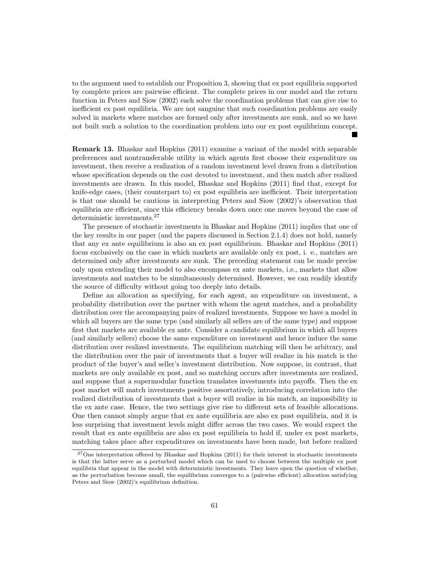to the argument used to establish our Proposition 3, showing that ex post equilibria supported by complete prices are pairwise efficient. The complete prices in our model and the return function in Peters and Siow (2002) each solve the coordination problems that can give rise to inefficient ex post equilibria. We are not sanguine that such coordination problems are easily solved in markets where matches are formed only after investments are sunk, and so we have not built such a solution to the coordination problem into our ex post equilibrium concept.

Remark 13. Bhaskar and Hopkins (2011) examine a variant of the model with separable preferences and nontransferable utility in which agents first choose their expenditure on investment, then receive a realization of a random investment level drawn from a distribution whose specification depends on the cost devoted to investment, and then match after realized investments are drawn. In this model, Bhaskar and Hopkins (2011) find that, except for knife-edge cases, (their counterpart to) ex post equilibria are inefficient. Their interpretation is that one should be cautious in interpreting Peters and Siow (2002)'s observation that equilibria are efficient, since this efficiency breaks down once one moves beyond the case of deterministic investments.<sup>27</sup>

The presence of stochastic investments in Bhaskar and Hopkins (2011) implies that one of the key results in our paper (and the papers discussed in Section 2.1.4) does not hold, namely that any ex ante equilibrium is also an ex post equilibrium. Bhaskar and Hopkins (2011) focus exclusively on the case in which markets are available only ex post, i. e., matches are determined only after investments are sunk. The preceding statement can be made precise only upon extending their model to also encompass ex ante markets, i.e., markets that allow investments and matches to be simultaneously determined. However, we can readily identify the source of difficulty without going too deeply into details.

Define an allocation as specifying, for each agent, an expenditure on investment, a probability distribution over the partner with whom the agent matches, and a probability distribution over the accompanying pairs of realized investments. Suppose we have a model in which all buyers are the same type (and similarly all sellers are of the same type) and suppose first that markets are available ex ante. Consider a candidate equilibrium in which all buyers (and similarly sellers) choose the same expenditure on investment and hence induce the same distribution over realized investments. The equilibrium matching will then be arbitrary, and the distribution over the pair of investments that a buyer will realize in his match is the product of the buyer's and seller's investment distribution. Now suppose, in contrast, that markets are only available ex post, and so matching occurs after investments are realized, and suppose that a supermodular function translates investments into payoffs. Then the ex post market will match investments positive assortatively, introducing correlation into the realized distribution of investments that a buyer will realize in his match, an impossibility in the ex ante case. Hence, the two settings give rise to different sets of feasible allocations. One then cannot simply argue that ex ante equilibria are also ex post equilibria, and it is less surprising that investment levels might differ across the two cases. We would expect the result that ex ante equilibria are also ex post equilibria to hold if, under ex post markets, matching takes place after expenditures on investments have been made, but before realized

<sup>27</sup>One interpretation offered by Bhaskar and Hopkins (2011) for their interest in stochastic investments is that the latter serve as a perturbed model which can be used to choose between the multiple ex post equilibria that appear in the model with deterministic investments. They leave open the question of whether, as the perturbation become small, the equilibrium converges to a (pairwise efficient) allocation satisfying Peters and Siow (2002)'s equilibrium definition.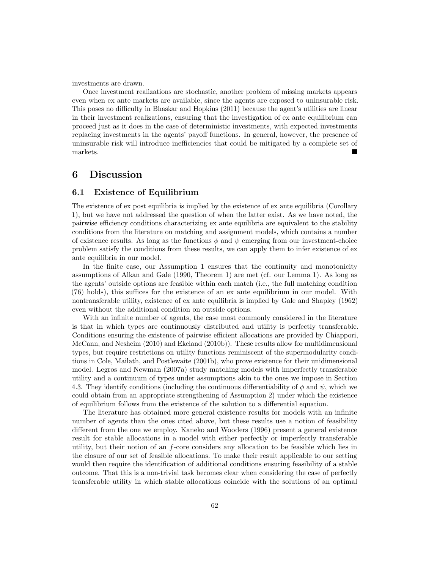investments are drawn.

Once investment realizations are stochastic, another problem of missing markets appears even when ex ante markets are available, since the agents are exposed to uninsurable risk. This poses no difficulty in Bhaskar and Hopkins (2011) because the agent's utilities are linear in their investment realizations, ensuring that the investigation of ex ante equilibrium can proceed just as it does in the case of deterministic investments, with expected investments replacing investments in the agents' payoff functions. In general, however, the presence of uninsurable risk will introduce inefficiencies that could be mitigated by a complete set of markets.

### 6 Discussion

#### 6.1 Existence of Equilibrium

The existence of ex post equilibria is implied by the existence of ex ante equilibria (Corollary 1), but we have not addressed the question of when the latter exist. As we have noted, the pairwise efficiency conditions characterizing ex ante equilibria are equivalent to the stability conditions from the literature on matching and assignment models, which contains a number of existence results. As long as the functions  $\phi$  and  $\psi$  emerging from our investment-choice problem satisfy the conditions from these results, we can apply them to infer existence of ex ante equilibria in our model.

In the finite case, our Assumption 1 ensures that the continuity and monotonicity assumptions of Alkan and Gale (1990, Theorem 1) are met (cf. our Lemma 1). As long as the agents' outside options are feasible within each match (i.e., the full matching condition (76) holds), this suffices for the existence of an ex ante equilibrium in our model. With nontransferable utility, existence of ex ante equilibria is implied by Gale and Shapley (1962) even without the additional condition on outside options.

With an infinite number of agents, the case most commonly considered in the literature is that in which types are continuously distributed and utility is perfectly transferable. Conditions ensuring the existence of pairwise efficient allocations are provided by Chiappori, McCann, and Nesheim (2010) and Ekeland (2010b)). These results allow for multidimensional types, but require restrictions on utility functions reminiscent of the supermodularity conditions in Cole, Mailath, and Postlewaite (2001b), who prove existence for their unidimensional model. Legros and Newman (2007a) study matching models with imperfectly transferable utility and a continuum of types under assumptions akin to the ones we impose in Section 4.3. They identify conditions (including the continuous differentiability of  $\phi$  and  $\psi$ , which we could obtain from an appropriate strengthening of Assumption 2) under which the existence of equilibrium follows from the existence of the solution to a differential equation.

The literature has obtained more general existence results for models with an infinite number of agents than the ones cited above, but these results use a notion of feasibility different from the one we employ. Kaneko and Wooders (1996) present a general existence result for stable allocations in a model with either perfectly or imperfectly transferable utility, but their notion of an f-core considers any allocation to be feasible which lies in the closure of our set of feasible allocations. To make their result applicable to our setting would then require the identification of additional conditions ensuring feasibility of a stable outcome. That this is a non-trivial task becomes clear when considering the case of perfectly transferable utility in which stable allocations coincide with the solutions of an optimal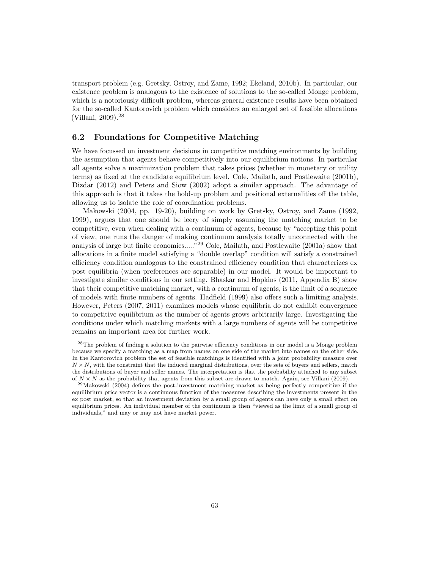transport problem (e.g. Gretsky, Ostroy, and Zame, 1992; Ekeland, 2010b). In particular, our existence problem is analogous to the existence of solutions to the so-called Monge problem, which is a notoriously difficult problem, whereas general existence results have been obtained for the so-called Kantorovich problem which considers an enlarged set of feasible allocations (Villani, 2009).<sup>28</sup>

#### 6.2 Foundations for Competitive Matching

We have focussed on investment decisions in competitive matching environments by building the assumption that agents behave competitively into our equilibrium notions. In particular all agents solve a maximization problem that takes prices (whether in monetary or utility terms) as fixed at the candidate equilibrium level. Cole, Mailath, and Postlewaite (2001b), Dizdar (2012) and Peters and Siow (2002) adopt a similar approach. The advantage of this approach is that it takes the hold-up problem and positional externalities off the table, allowing us to isolate the role of coordination problems.

Makowski (2004, pp. 19-20), building on work by Gretsky, Ostroy, and Zame (1992, 1999), argues that one should be leery of simply assuming the matching market to be competitive, even when dealing with a continuum of agents, because by "accepting this point of view, one runs the danger of making continuum analysis totally unconnected with the analysis of large but finite economies....."<sup>29</sup> Cole, Mailath, and Postlewaite (2001a) show that allocations in a finite model satisfying a "double overlap" condition will satisfy a constrained efficiency condition analogous to the constrained efficiency condition that characterizes ex post equilibria (when preferences are separable) in our model. It would be important to investigate similar conditions in our setting. Bhaskar and Hopkins (2011, Appendix B) show that their competitive matching market, with a continuum of agents, is the limit of a sequence of models with finite numbers of agents. Hadfield (1999) also offers such a limiting analysis. However, Peters (2007, 2011) examines models whose equilibria do not exhibit convergence to competitive equilibrium as the number of agents grows arbitrarily large. Investigating the conditions under which matching markets with a large numbers of agents will be competitive remains an important area for further work.

<sup>28</sup>The problem of finding a solution to the pairwise efficiency conditions in our model is a Monge problem because we specify a matching as a map from names on one side of the market into names on the other side. In the Kantorovich problem the set of feasible matchings is identified with a joint probability measure over  $N \times N$ , with the constraint that the induced marginal distributions, over the sets of buyers and sellers, match the distributions of buyer and seller names. The interpretation is that the probability attached to any subset of  $N \times N$  as the probability that agents from this subset are drawn to match. Again, see Villani (2009).

<sup>&</sup>lt;sup>29</sup>Makowski (2004) defines the post-investment matching market as being perfectly competitive if the equilibrium price vector is a continuous function of the measures describing the investments present in the ex post market, so that an investment deviation by a small group of agents can have only a small effect on equilibrium prices. An individual member of the continuum is then "viewed as the limit of a small group of individuals," and may or may not have market power.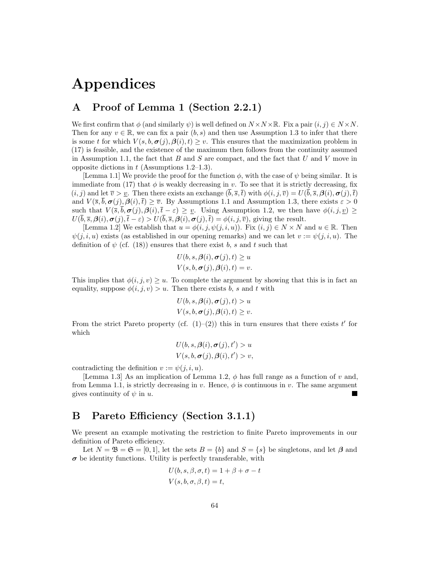# Appendices

# A Proof of Lemma 1 (Section 2.2.1)

We first confirm that  $\phi$  (and similarly  $\psi$ ) is well defined on  $N \times N \times \mathbb{R}$ . Fix a pair  $(i, j) \in N \times N$ . Then for any  $v \in \mathbb{R}$ , we can fix a pair  $(b, s)$  and then use Assumption 1.3 to infer that there is some t for which  $V(s, b, \sigma(j), \beta(i), t) \geq v$ . This ensures that the maximization problem in (17) is feasible, and the existence of the maximum then follows from the continuity assumed in Assumption 1.1, the fact that  $B$  and  $S$  are compact, and the fact that  $U$  and  $V$  move in opposite dictions in  $t$  (Assumptions 1.2–1.3).

[Lemma 1.1] We provide the proof for the function  $\phi$ , with the case of  $\psi$  being similar. It is immediate from (17) that  $\phi$  is weakly decreasing in v. To see that it is strictly decreasing, fix  $(i, j)$  and let  $\overline{v} > \underline{v}$ . Then there exists an exchange  $(\overline{b}, \overline{s}, \overline{t})$  with  $\phi(i, j, \overline{v}) = U(\overline{b}, \overline{s}, \mathcal{B}(i), \sigma(j), \overline{t})$ and  $V(\bar{s}, \bar{b}, \sigma(j), \beta(i), \bar{t}) \geq \bar{v}$ . By Assumptions 1.1 and Assumption 1.3, there exists  $\varepsilon > 0$ such that  $V(\overline{s}, \overline{b}, \sigma(j), \beta(i), \overline{t} - \varepsilon) \geq \underline{v}$ . Using Assumption 1.2, we then have  $\phi(i, j, \underline{v}) \geq$  $U(\overline{b}, \overline{s}, \beta(i), \sigma(j), \overline{t} - \varepsilon) > U(\overline{b}, \overline{s}, \beta(i), \sigma(j), \overline{t}) = \phi(i, j, \overline{v})$ , giving the result.

[Lemma 1.2] We establish that  $u = \phi(i, j, \psi(j, i, u))$ . Fix  $(i, j) \in N \times N$  and  $u \in \mathbb{R}$ . Then  $\psi(j, i, u)$  exists (as established in our opening remarks) and we can let  $v := \psi(j, i, u)$ . The definition of  $\psi$  (cf. (18)) ensures that there exist b, s and t such that

$$
U(b, s, \boldsymbol{\beta}(i), \boldsymbol{\sigma}(j), t) \ge u
$$
  

$$
V(s, b, \boldsymbol{\sigma}(j), \boldsymbol{\beta}(i), t) = v.
$$

This implies that  $\phi(i, j, v) \geq u$ . To complete the argument by showing that this is in fact an equality, suppose  $\phi(i, j, v) > u$ . Then there exists b, s and t with

$$
U(b, s, \beta(i), \sigma(j), t) > u
$$
  
 
$$
V(s, b, \sigma(j), \beta(i), t) \ge v.
$$

From the strict Pareto property (cf.  $(1)$ – $(2)$ ) this in turn ensures that there exists t' for which

$$
U(b, s, \beta(i), \sigma(j), t') > u
$$
  

$$
V(s, b, \sigma(j), \beta(i), t') > v,
$$

contradicting the definition  $v := \psi(j, i, u)$ .

[Lemma 1.3] As an implication of Lemma 1.2,  $\phi$  has full range as a function of v and, from Lemma 1.1, is strictly decreasing in v. Hence,  $\phi$  is continuous in v. The same argument gives continuity of  $\psi$  in u. I.

# B Pareto Efficiency (Section 3.1.1)

We present an example motivating the restriction to finite Pareto improvements in our definition of Pareto efficiency.

Let  $N = \mathfrak{B} = \mathfrak{S} = [0,1]$ , let the sets  $B = \{b\}$  and  $S = \{s\}$  be singletons, and let  $\beta$  and  $\sigma$  be identity functions. Utility is perfectly transferable, with

$$
U(b, s, \beta, \sigma, t) = 1 + \beta + \sigma - t
$$

$$
V(s, b, \sigma, \beta, t) = t,
$$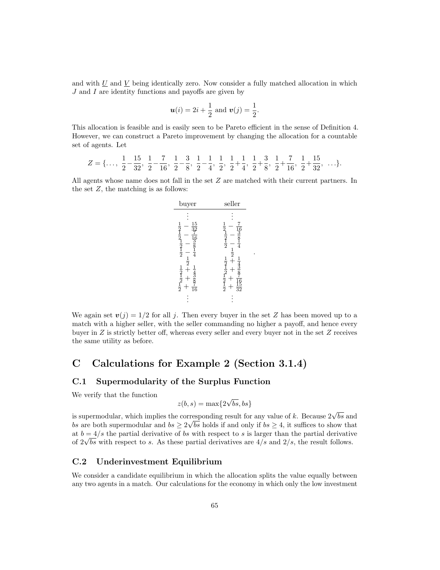and with  $U$  and  $V$  being identically zero. Now consider a fully matched allocation in which J and I are identity functions and payoffs are given by

$$
u(i) = 2i + \frac{1}{2}
$$
 and  $v(j) = \frac{1}{2}$ .

This allocation is feasible and is easily seen to be Pareto efficient in the sense of Definition 4. However, we can construct a Pareto improvement by changing the allocation for a countable set of agents. Let

$$
Z = \{\ldots, \frac{1}{2} - \frac{15}{32}, \frac{1}{2} - \frac{7}{16}, \frac{1}{2} - \frac{3}{8}, \frac{1}{2} - \frac{1}{4}, \frac{1}{2}, \frac{1}{2} + \frac{1}{4}, \frac{1}{2} + \frac{3}{8}, \frac{1}{2} + \frac{7}{16}, \frac{1}{2} + \frac{15}{32}, \ldots\}.
$$

All agents whose name does not fall in the set Z are matched with their current partners. In the set  $Z$ , the matching is as follows:



We again set  $\mathbf{v}(i) = 1/2$  for all j. Then every buyer in the set Z has been moved up to a match with a higher seller, with the seller commanding no higher a payoff, and hence every buyer in  $Z$  is strictly better off, whereas every seller and every buyer not in the set  $Z$  receives the same utility as before.

# C Calculations for Example 2 (Section 3.1.4)

#### C.1 Supermodularity of the Surplus Function

We verify that the function

$$
z(b, s) = \max\{2\sqrt{bs}, bs\}
$$

is supermodular, which implies the corresponding result for any value of k. Because  $2\sqrt{bs}$  and bs are both supermodular and  $bs \geq 2\sqrt{bs}$  holds if and only if  $bs \geq 4$ , it suffices to show that at  $b = 4/s$  the partial derivative of bs with respect to s is larger than the partial derivative at  $b = 4/s$  the partial derivative of bs with respect to s is larger than the partial derivative of  $2\sqrt{bs}$  with respect to s. As these partial derivatives are  $4/s$  and  $2/s$ , the result follows.

#### C.2 Underinvestment Equilibrium

We consider a candidate equilibrium in which the allocation splits the value equally between any two agents in a match. Our calculations for the economy in which only the low investment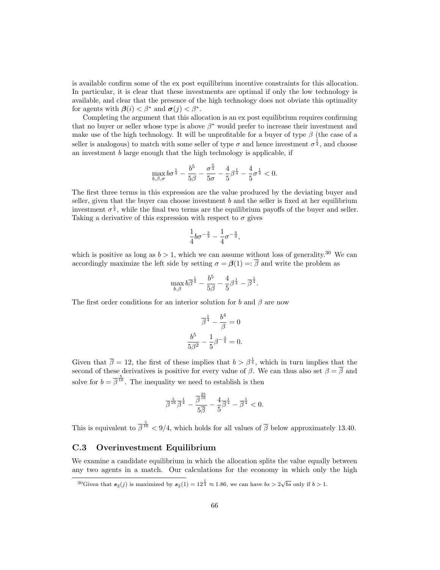is available confirm some of the ex post equilibrium incentive constraints for this allocation. In particular, it is clear that these investments are optimal if only the low technology is available, and clear that the presence of the high technology does not obviate this optimality for agents with  $\beta(i) < \beta^*$  and  $\sigma(j) < \beta^*$ .

Completing the argument that this allocation is an ex post equilibrium requires confirming that no buyer or seller whose type is above  $\beta^*$  would prefer to increase their investment and make use of the high technology. It will be unprofitable for a buyer of type  $\beta$  (the case of a seller is analogous) to match with some seller of type  $\sigma$  and hence investment  $\sigma^{\frac{1}{4}}$ , and choose an investment b large enough that the high technology is applicable, if

$$
\max_{b,\beta,\sigma} b \sigma^{\frac{1}{4}} - \frac{b^5}{5\beta} - \frac{\sigma^{\frac{5}{4}}}{5\sigma} - \frac{4}{5} \beta^{\frac{1}{4}} - \frac{4}{5} \sigma^{\frac{1}{4}} < 0.
$$

The first three terms in this expression are the value produced by the deviating buyer and seller, given that the buyer can choose investment  $b$  and the seller is fixed at her equilibrium investment  $\sigma^{\frac{1}{4}}$ , while the final two terms are the equilibrium payoffs of the buyer and seller. Taking a derivative of this expression with respect to  $\sigma$  gives

$$
\frac{1}{4}b\sigma^{-\frac{3}{4}} - \frac{1}{4}\sigma^{-\frac{3}{4}},
$$

which is positive as long as  $b > 1$ , which we can assume without loss of generality.<sup>30</sup> We can accordingly maximize the left side by setting  $\sigma = \beta(1) = \overline{\beta}$  and write the problem as

$$
\max_{b,\beta} b \overline{\beta}^{\frac{1}{4}} - \frac{b^5}{5\beta} - \frac{4}{5}\beta^{\frac{1}{4}} - \overline{\beta}^{\frac{1}{4}}.
$$

The first order conditions for an interior solution for b and  $\beta$  are now

$$
\overline{\beta}^{\frac{1}{4}} - \frac{b^4}{\beta} = 0
$$

$$
\frac{b^5}{5\beta^2} - \frac{1}{5}\beta^{-\frac{3}{4}} = 0.
$$

Given that  $\bar{\beta} = 12$ , the first of these implies that  $b > \beta^{\frac{1}{4}}$ , which in turn implies that the second of these derivatives is positive for every value of  $\beta$ . We can thus also set  $\beta = \beta$  and solve for  $b = \overline{\beta}^{\frac{5}{16}}$ . The inequality we need to establish is then

$$
\overline{\beta}^{\frac{5}{16}}\overline{\beta}^{\frac{1}{4}}-\frac{\overline{\beta}^{\frac{25}{16}}}{5\overline{\beta}}-\frac{4}{5}\overline{\beta}^{\frac{1}{4}}-\overline{\beta}^{\frac{1}{4}}<0.
$$

This is equivalent to  $\overline{\beta}^{\frac{5}{16}} < 9/4$ , which holds for all values of  $\overline{\beta}$  below approximately 13.40.

#### C.3 Overinvestment Equilibrium

We examine a candidate equilibrium in which the allocation splits the value equally between any two agents in a match. Our calculations for the economy in which only the high

<sup>&</sup>lt;sup>30</sup>Given that  $s_2(j)$  is maximized by  $s_2(1) = 12^{\frac{1}{4}} \approx 1.86$ , we can have  $bs > 2\sqrt{bs}$  only if  $b > 1$ .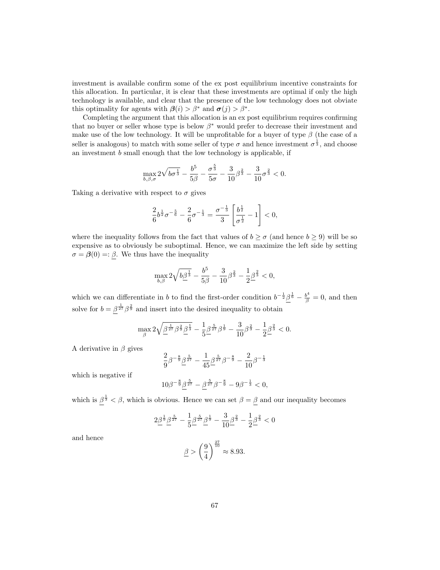investment is available confirm some of the ex post equilibrium incentive constraints for this allocation. In particular, it is clear that these investments are optimal if only the high technology is available, and clear that the presence of the low technology does not obviate this optimality for agents with  $\beta(i) > \beta^*$  and  $\sigma(j) > \beta^*$ .

Completing the argument that this allocation is an ex post equilibrium requires confirming that no buyer or seller whose type is below  $\beta^*$  would prefer to decrease their investment and make use of the low technology. It will be unprofitable for a buyer of type  $\beta$  (the case of a seller is analogous) to match with some seller of type  $\sigma$  and hence investment  $\sigma^{\frac{1}{3}}$ , and choose an investment  $b$  small enough that the low technology is applicable, if

$$
\max_{b,\beta,\sigma} 2\sqrt{b\sigma^{\frac{1}{3}}}-\frac{b^5}{5\beta}-\frac{\sigma^{\frac{5}{3}}}{5\sigma}-\frac{3}{10}\beta^{\frac{2}{3}}-\frac{3}{10}\sigma^{\frac{2}{3}}<0.
$$

Taking a derivative with respect to  $\sigma$  gives

$$
\frac{2}{6}b^{\frac{1}{2}}\sigma^{-\frac{5}{6}}-\frac{2}{6}\sigma^{-\frac{1}{3}}=\frac{\sigma^{-\frac{1}{3}}}{3}\left[\frac{b^{\frac{1}{2}}}{\sigma^{\frac{1}{2}}}-1\right]<0,
$$

where the inequality follows from the fact that values of  $b \geq \sigma$  (and hence  $b \geq 9$ ) will be so expensive as to obviously be suboptimal. Hence, we can maximize the left side by setting  $\sigma = \beta(0) =: \underline{\beta}$ . We thus have the inequality

$$
\max_{b,\beta} 2\sqrt{b\underline{\beta}^{\frac{1}{3}}}-\frac{b^5}{5\beta}-\frac{3}{10}\beta^{\frac{2}{3}}-\frac{1}{2}\underline{\beta}^{\frac{2}{3}}<0,
$$

which we can differentiate in b to find the first-order condition  $b^{-\frac{1}{2}}\underline{\beta}^{\frac{1}{6}} - \frac{b^4}{\beta} = 0$ , and then solve for  $b = \beta^{\frac{1}{27}} \beta^{\frac{2}{9}}$  and insert into the desired inequality to obtain

$$
\max_{\beta} 2\sqrt{\underline{\beta}^{\frac{1}{27}}\beta^{\frac{2}{9}}\underline{\beta}^{\frac{1}{3}}}-\frac{1}{5}\underline{\beta}^{\frac{5}{27}}\beta^{\frac{1}{9}}-\frac{3}{10}\beta^{\frac{2}{3}}-\frac{1}{2}\underline{\beta}^{\frac{2}{3}}<0.
$$

A derivative in  $\beta$  gives

$$
\frac{2}{9}\beta^{-\frac{8}{9}}\underline{\beta}^{\frac{5}{27}}-\frac{1}{45}\underline{\beta}^{\frac{5}{27}}\beta^{-\frac{8}{9}}-\frac{2}{10}\beta^{-\frac{1}{3}}
$$

which is negative if

$$
10\beta^{-\frac{8}{9}}\underline{\beta}^{\frac{5}{27}} - \underline{\beta}^{\frac{5}{27}}\beta^{-\frac{8}{9}} - 9\beta^{-\frac{1}{3}} < 0,
$$

which is  $\beta^{\frac{1}{3}} < \beta$ , which is obvious. Hence we can set  $\beta = \beta$  and our inequality becomes

$$
2\underline{\beta}^{\frac{1}{9}}\underline{\beta}^{\frac{5}{27}}-\frac{1}{5}\underline{\beta}^{\frac{5}{27}}\underline{\beta}^{\frac{1}{9}}-\frac{3}{10}\underline{\beta}^{\frac{2}{3}}-\frac{1}{2}\underline{\beta}^{\frac{2}{3}}<0
$$

and hence

$$
\underline{\beta} > \left(\frac{9}{4}\right)^{\frac{27}{10}} \approx 8.93.
$$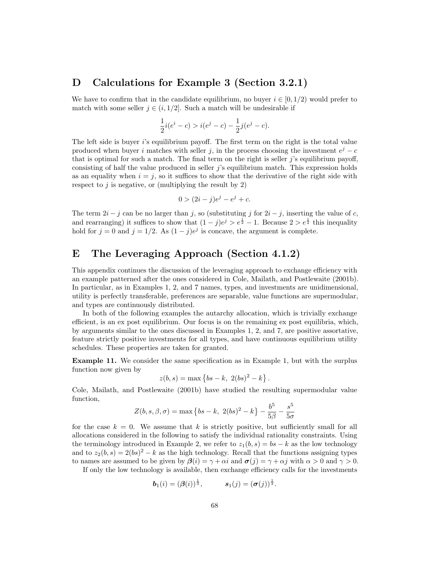### D Calculations for Example 3 (Section 3.2.1)

We have to confirm that in the candidate equilibrium, no buyer  $i \in [0, 1/2)$  would prefer to match with some seller  $j \in (i, 1/2]$ . Such a match will be undesirable if

$$
\frac{1}{2}i(e^i - c) > i(e^j - c) - \frac{1}{2}j(e^j - c).
$$

The left side is buyer i's equilibrium payoff. The first term on the right is the total value produced when buyer i matches with seller j, in the process choosing the investment  $e^{j} - c$ that is optimal for such a match. The final term on the right is seller  $j$ 's equilibrium payoff, consisting of half the value produced in seller j's equilibrium match. This expression holds as an equality when  $i = j$ , so it suffices to show that the derivative of the right side with respect to  $j$  is negative, or (multiplying the result by 2)

$$
0 > (2i - j)e^j - e^j + c.
$$

The term  $2i - j$  can be no larger than j, so (substituting j for  $2i - j$ , inserting the value of c, and rearranging) it suffices to show that  $(1 - j)e^{j} > e^{\frac{1}{2}} - 1$ . Because  $2 > e^{\frac{1}{2}}$  this inequality hold for  $j = 0$  and  $j = 1/2$ . As  $(1 - j)e^{j}$  is concave, the argument is complete.

## E The Leveraging Approach (Section 4.1.2)

This appendix continues the discussion of the leveraging approach to exchange efficiency with an example patterned after the ones considered in Cole, Mailath, and Postlewaite (2001b). In particular, as in Examples 1, 2, and 7 names, types, and investments are unidimensional, utility is perfectly transferable, preferences are separable, value functions are supermodular, and types are continuously distributed.

In both of the following examples the autarchy allocation, which is trivially exchange efficient, is an ex post equilibrium. Our focus is on the remaining ex post equilibria, which, by arguments similar to the ones discussed in Examples 1, 2, and 7, are positive assortative, feature strictly positive investments for all types, and have continuous equilibrium utility schedules. These properties are taken for granted.

Example 11. We consider the same specification as in Example 1, but with the surplus function now given by

$$
z(b,s) = \max \{ bs - k, 2(bs)^2 - k \}.
$$

Cole, Mailath, and Postlewaite (2001b) have studied the resulting supermodular value function,

$$
Z(b, s, \beta, \sigma) = \max \{bs - k, 2(bs)^{2} - k\} - \frac{b^{5}}{5\beta} - \frac{s^{5}}{5\sigma}
$$

for the case  $k = 0$ . We assume that k is strictly positive, but sufficiently small for all allocations considered in the following to satisfy the individual rationality constraints. Using the terminology introduced in Example 2, we refer to  $z_1(b, s) = bs - k$  as the low technology and to  $z_2(b, s) = 2(bs)^2 - k$  as the high technology. Recall that the functions assigning types to names are assumed to be given by  $\beta(i) = \gamma + \alpha i$  and  $\sigma(j) = \gamma + \alpha j$  with  $\alpha > 0$  and  $\gamma > 0$ .

If only the low technology is available, then exchange efficiency calls for the investments

$$
\mathbf{b}_1(i) = (\boldsymbol{\beta}(i))^{\frac{1}{3}}, \qquad \mathbf{s}_1(j) = (\boldsymbol{\sigma}(j))^{\frac{1}{3}}.
$$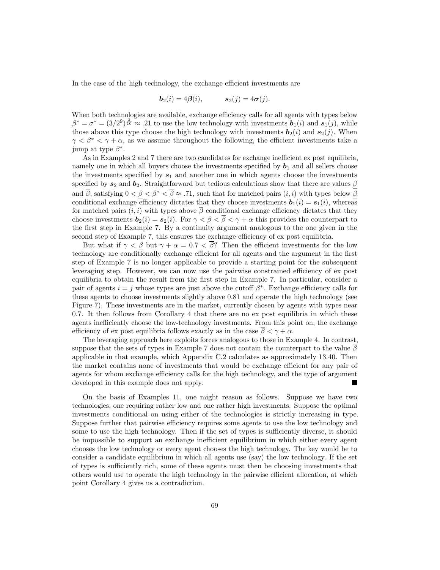In the case of the high technology, the exchange efficient investments are

$$
\mathbf{b}_2(i) = 4\boldsymbol{\beta}(i), \qquad \mathbf{s}_2(j) = 4\boldsymbol{\sigma}(j).
$$

When both technologies are available, exchange efficiency calls for all agents with types below  $\beta^* = \sigma^* = (3/2^9)^{\frac{3}{10}} \approx .21$  to use the low technology with investments  $\mathbf{b}_1(i)$  and  $\mathbf{s}_1(j)$ , while those above this type choose the high technology with investments  $\mathbf{b}_2(i)$  and  $\mathbf{s}_2(j)$ . When  $\gamma < \beta^* < \gamma + \alpha$ , as we assume throughout the following, the efficient investments take a jump at type  $\beta^*$ .

As in Examples 2 and 7 there are two candidates for exchange inefficient ex post equilibria, namely one in which all buyers choose the investments specified by  $b_1$  and all sellers choose the investments specified by  $s_1$  and another one in which agents choose the investments specified by  $s_2$  and  $b_2$ . Straightforward but tedious calculations show that there are values  $\beta$ and  $\overline{\beta}$ , satisfying  $0 < \beta < \beta^* < \overline{\beta} \approx .71$ , such that for matched pairs  $(i, i)$  with types below  $\beta$ conditional exchange efficiency dictates that they choose investments  $\mathbf{b}_1(i) = \mathbf{s}_1(i)$ , whereas for matched pairs  $(i, i)$  with types above  $\overline{\beta}$  conditional exchange efficiency dictates that they choose investments  $\mathbf{b}_2(i) = \mathbf{s}_2(i)$ . For  $\gamma < \beta < \overline{\beta} < \gamma + \alpha$  this provides the counterpart to the first step in Example 7. By a continuity argument analogous to the one given in the second step of Example 7, this ensures the exchange efficiency of ex post equilibria.

But what if  $\gamma < \beta$  but  $\gamma + \alpha = 0.7 < \overline{\beta}$ ? Then the efficient investments for the low technology are conditionally exchange efficient for all agents and the argument in the first step of Example 7 is no longer applicable to provide a starting point for the subsequent leveraging step. However, we can now use the pairwise constrained efficiency of ex post equilibria to obtain the result from the first step in Example 7. In particular, consider a pair of agents  $i = j$  whose types are just above the cutoff  $\beta^*$ . Exchange efficiency calls for these agents to choose investments slightly above 0.81 and operate the high technology (see Figure 7). These investments are in the market, currently chosen by agents with types near 0.7. It then follows from Corollary 4 that there are no ex post equilibria in which these agents inefficiently choose the low-technology investments. From this point on, the exchange efficiency of ex post equilibria follows exactly as in the case  $\overline{\beta} < \gamma + \alpha$ .

The leveraging approach here exploits forces analogous to those in Example 4. In contrast, suppose that the sets of types in Example 7 does not contain the counterpart to the value  $\beta$ applicable in that example, which Appendix C.2 calculates as approximately 13.40. Then the market contains none of investments that would be exchange efficient for any pair of agents for whom exchange efficiency calls for the high technology, and the type of argument developed in this example does not apply.

On the basis of Examples 11, one might reason as follows. Suppose we have two technologies, one requiring rather low and one rather high investments. Suppose the optimal investments conditional on using either of the technologies is strictly increasing in type. Suppose further that pairwise efficiency requires some agents to use the low technology and some to use the high technology. Then if the set of types is sufficiently diverse, it should be impossible to support an exchange inefficient equilibrium in which either every agent chooses the low technology or every agent chooses the high technology. The key would be to consider a candidate equilibrium in which all agents use (say) the low technology. If the set of types is sufficiently rich, some of these agents must then be choosing investments that others would use to operate the high technology in the pairwise efficient allocation, at which point Corollary 4 gives us a contradiction.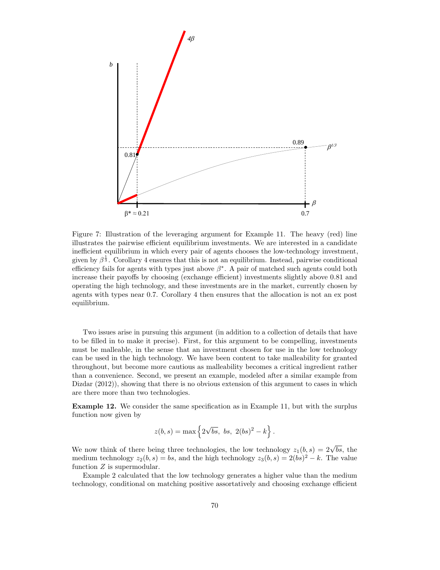

Figure 7: Illustration of the leveraging argument for Example 11. The heavy (red) line illustrates the pairwise efficient equilibrium investments. We are interested in a candidate inefficient equilibrium in which every pair of agents chooses the low-technology investment, given by  $\beta^{\frac{1}{3}}$ . Corollary 4 ensures that this is not an equilibrium. Instead, pairwise conditional efficiency fails for agents with types just above  $\beta^*$ . A pair of matched such agents could both increase their payoffs by choosing (exchange efficient) investments slightly above 0.81 and operating the high technology, and these investments are in the market, currently chosen by agents with types near 0.7. Corollary 4 then ensures that the allocation is not an ex post equilibrium.

Two issues arise in pursuing this argument (in addition to a collection of details that have to be filled in to make it precise). First, for this argument to be compelling, investments must be malleable, in the sense that an investment chosen for use in the low technology can be used in the high technology. We have been content to take malleability for granted throughout, but become more cautious as malleability becomes a critical ingredient rather than a convenience. Second, we present an example, modeled after a similar example from Dizdar  $(2012)$ , showing that there is no obvious extension of this argument to cases in which are there more than two technologies.

Example 12. We consider the same specification as in Example 11, but with the surplus function now given by

$$
z(b,s) = \max\left\{2\sqrt{bs},\;bs,\;2(bs)^2 - k\right\}.
$$

We now think of there being three technologies, the low technology  $z_1(b, s) = 2\sqrt{bs}$ , the medium technology  $z_2(b, s) = bs$ , and the high technology  $z_3(b, s) = 2(bs)^2 - k$ . The value function Z is supermodular.

Example 2 calculated that the low technology generates a higher value than the medium technology, conditional on matching positive assortatively and choosing exchange efficient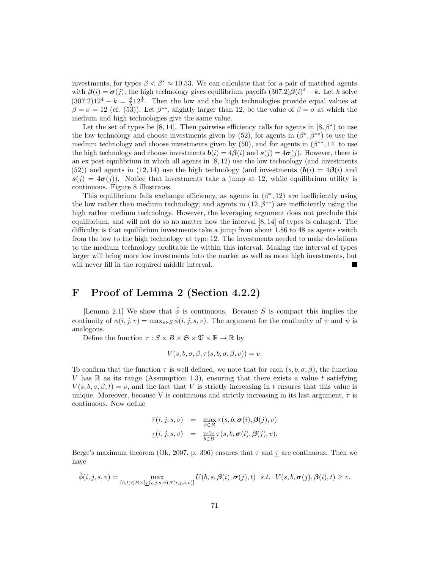investments, for types  $\beta < \beta^* \approx 10.53$ . We can calculate that for a pair of matched agents with  $\beta(i) = \sigma(j)$ , the high technology gives equilibrium payoffs  $(307.2)\beta(i)^4 - k$ . Let k solve  $(307.2)12<sup>4</sup> - k = \frac{8}{5}12^{\frac{1}{4}}$ . Then the low and the high technologies provide equal values at  $\beta = \sigma = 12$  (cf. (53)). Let  $\beta^{**}$ , slightly larger than 12, be the value of  $\beta = \sigma$  at which the medium and high technologies give the same value.

Let the set of types be [8, 14]. Then pairwise efficiency calls for agents in  $(8, \beta^*)$  to use the low technology and choose investments given by  $(52)$ , for agents in  $(\beta^*, \beta^{**})$  to use the medium technology and choose investments given by  $(50)$ , and for agents in  $(\beta^{**}, 14]$  to use the high technology and choose investments  $\mathbf{b}(i) = 4\boldsymbol{\beta}(i)$  and  $\mathbf{s}(j) = 4\boldsymbol{\sigma}(j)$ . However, there is an ex post equilibrium in which all agents in  $[8, 12)$  use the low technology (and investments (52)) and agents in (12, 14) use the high technology (and investments  $(b(i) = 4\beta(i)$  and  $s(j) = 4\sigma(j)$ . Notice that investments take a jump at 12, while equilibrium utility is continuous. Figure 8 illustrates.

This equilibrium fails exchange efficiency, as agents in  $(\beta^*, 12)$  are inefficiently using the low rather than medium technology, and agents in  $(12, \beta^{**})$  are inefficiently using the high rather medium technology. However, the leveraging argument does not preclude this equilibrium, and will not do so no matter how the interval  $[8, 14]$  of types is enlarged. The difficulty is that equilibrium investments take a jump from about 1.86 to 48 as agents switch from the low to the high technology at type 12. The investments needed to make deviations to the medium technology profitable lie within this interval. Making the interval of types larger will bring more low investments into the market as well as more high investments, but will never fill in the required middle interval.

## F Proof of Lemma 2 (Section 4.2.2)

[Lemma 2.1] We show that  $\dot{\phi}$  is continuous. Because S is compact this implies the continuity of  $\phi(i, j, v) = \max_{s \in S} \check{\phi}(i, j, s, v)$ . The argument for the continuity of  $\check{\psi}$  and  $\psi$  is analogous.

Define the function  $\tau : S \times B \times \mathfrak{S} \times \mathfrak{V} \times \mathbb{R} \to \mathbb{R}$  by

$$
V(s, b, \sigma, \beta, \tau(s, b, \sigma, \beta, v)) = v.
$$

To confirm that the function  $\tau$  is well defined, we note that for each  $(s, b, \sigma, \beta)$ , the function V has R as its range (Assumption 1.3), ensuring that there exists a value t satisfying  $V(s, b, \sigma, \beta, t) = v$ , and the fact that V is strictly increasing in t ensures that this value is unique. Moreover, because V is continuous and strictly increasing in its last argument,  $\tau$  is continuous. Now define

$$
\overline{\tau}(i,j,s,v) = \max_{b \in B} \tau(s,b,\boldsymbol{\sigma}(i),\boldsymbol{\beta}(j),v)
$$

$$
\underline{\tau}(i,j,s,v) = \min_{b \in B} \tau(s,b,\boldsymbol{\sigma}(i),\boldsymbol{\beta}(j),v).
$$

Berge's maximum theorem (Ok, 2007, p. 306) ensures that  $\bar{\tau}$  and  $\tau$  are continuous. Then we have

$$
\check{\phi}(i,j,s,v) = \max_{(b,t) \in B \times [\underline{\tau}(i,j,s,v),\overline{\tau}(i,j,s,v)]} U(b,s,\boldsymbol{\beta}(i),\boldsymbol{\sigma}(j),t) \quad s.t. \quad V(s,b,\boldsymbol{\sigma}(j),\boldsymbol{\beta}(i),t) \geq v.
$$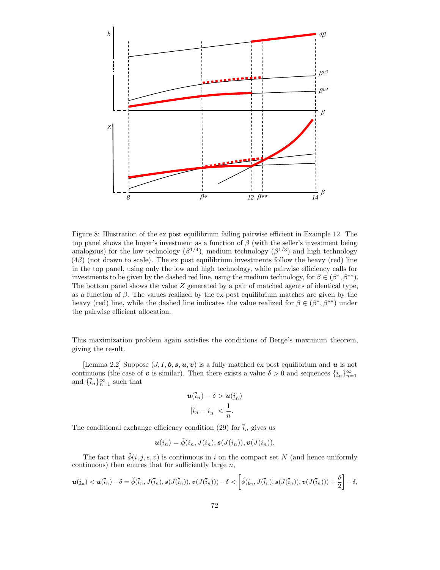

Figure 8: Illustration of the ex post equilibrium failing pairwise efficient in Example 12. The top panel shows the buyer's investment as a function of  $\beta$  (with the seller's investment being analogous) for the low technology  $(\beta^{1/4})$ , medium technology  $(\beta^{1/3})$  and high technology  $(4\beta)$  (not drawn to scale). The ex post equilibrium investments follow the heavy (red) line in the top panel, using only the low and high technology, while pairwise efficiency calls for investments to be given by the dashed red line, using the medium technology, for  $\beta \in (\beta^*, \beta^{**})$ . The bottom panel shows the value  $Z$  generated by a pair of matched agents of identical type, as a function of  $\beta$ . The values realized by the ex post equilibrium matches are given by the heavy (red) line, while the dashed line indicates the value realized for  $\beta \in (\beta^*, \beta^{**})$  under the pairwise efficient allocation.

This maximization problem again satisfies the conditions of Berge's maximum theorem, giving the result.

[Lemma 2.2] Suppose  $(J, I, b, s, u, v)$  is a fully matched ex post equilibrium and u is not continuous (the case of v is similar). Then there exists a value  $\delta > 0$  and sequences  $\{i_n\}_{n=1}^{\infty}$ and  $\{\bar{i}_n\}_{n=1}^{\infty}$  such that

$$
\mathbf{u}(\bar{i}_n) - \delta > \mathbf{u}(\underline{i}_n)
$$

$$
|\bar{i}_n - \underline{i}_n| < \frac{1}{n}.
$$

The conditional exchange efficiency condition (29) for  $\bar{i}_n$  gives us

$$
\boldsymbol{u}(\bar{i}_n)=\breve{\phi}(\bar{i}_n, J(\bar{i}_n), \boldsymbol{s}(J(\bar{i}_n)), \boldsymbol{v}(J(\bar{i}_n)).
$$

The fact that  $\check{\phi}(i, j, s, v)$  is continuous in i on the compact set N (and hence uniformly continuous) then enures that for sufficiently large  $n$ ,

$$
\boldsymbol{u}(\underline{i}_n) < \boldsymbol{u}(\overline{i}_n) - \delta = \breve{\phi}(\overline{i}_n, J(\overline{i}_n), \boldsymbol{s}(J(\overline{i}_n)), \boldsymbol{v}(J(\overline{i}_n))) - \delta < \left[\breve{\phi}(\underline{i}_n, J(\overline{i}_n), \boldsymbol{s}(J(\overline{i}_n)), \boldsymbol{v}(J(\overline{i}_n))) + \frac{\delta}{2}\right] - \delta,
$$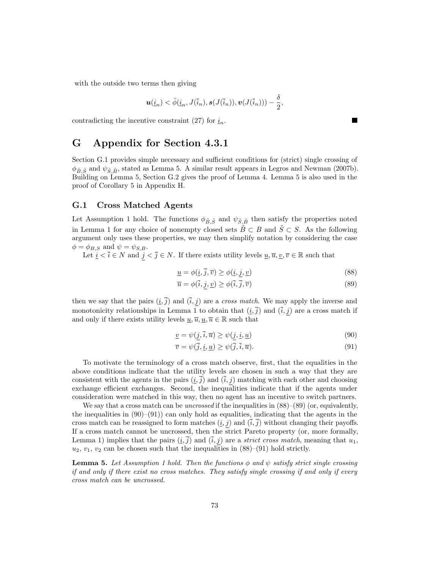with the outside two terms then giving

$$
\boldsymbol{u}(\underline{i}_n) < \check{\phi}(\underline{i}_n, J(\overline{i}_n), \boldsymbol{s}(J(\overline{i}_n)), \boldsymbol{v}(J(\overline{i}_n))) - \frac{\delta}{2},
$$

contradicting the incentive constraint (27) for  $\underline{i}_n$ .

## G Appendix for Section 4.3.1

Section G.1 provides simple necessary and sufficient conditions for (strict) single crossing of  $\phi_{\tilde{B}, \tilde{S}}$  and  $\psi_{\tilde{S}, \tilde{B}}$ , stated as Lemma 5. A similar result appears in Legros and Newman (2007b). Building on Lemma 5, Section G.2 gives the proof of Lemma 4. Lemma 5 is also used in the proof of Corollary 5 in Appendix H.

#### G.1 Cross Matched Agents

Let Assumption 1 hold. The functions  $\phi_{\tilde{B}, \tilde{S}}$  and  $\psi_{\tilde{S}, \tilde{B}}$  then satisfy the properties noted in Lemma 1 for any choice of nonempty closed sets  $\tilde{B} \subset B$  and  $\tilde{S} \subset S$ . As the following argument only uses these properties, we may then simplify notation by considering the case  $\phi = \phi_{B,S}$  and  $\psi = \psi_{S,B}$ .

Let  $i \leq \bar{i} \in N$  and  $j < \bar{j} \in N$ . If there exists utility levels  $\underline{u}, \overline{u}, \underline{v}, \overline{v} \in \mathbb{R}$  such that

$$
\underline{u} = \phi(\underline{i}, \overline{j}, \overline{v}) \ge \phi(\underline{i}, \underline{j}, \underline{v}) \tag{88}
$$

I.

$$
\overline{u} = \phi(\overline{i}, \underline{j}, \underline{v}) \ge \phi(\overline{i}, \overline{j}, \overline{v}) \tag{89}
$$

then we say that the pairs  $(i, \overline{j})$  and  $(\overline{i}, j)$  are a *cross match*. We may apply the inverse and monotonicity relationships in Lemma 1 to obtain that  $(i, \overline{j})$  and  $(\overline{i}, j)$  are a cross match if and only if there exists utility levels  $\underline{u}, \overline{u}, \underline{u}, \overline{u} \in \mathbb{R}$  such that

$$
\underline{v} = \psi(j, \overline{i}, \overline{u}) \ge \psi(j, \underline{i}, \underline{u}) \tag{90}
$$

$$
\overline{v} = \psi(\overline{j}, \underline{i}, \underline{u}) \ge \psi(\overline{j}, \overline{i}, \overline{u}). \tag{91}
$$

To motivate the terminology of a cross match observe, first, that the equalities in the above conditions indicate that the utility levels are chosen in such a way that they are consistent with the agents in the pairs  $(i, \overline{j})$  and  $(\overline{i}, j)$  matching with each other and choosing exchange efficient exchanges. Second, the inequalities indicate that if the agents under consideration were matched in this way, then no agent has an incentive to switch partners.

We say that a cross match can be *uncrossed* if the inequalities in  $(88)$ – $(89)$  (or, equivalently, the inequalities in  $(90)$ – $(91)$ ) can only hold as equalities, indicating that the agents in the cross match can be reassigned to form matches  $(i, j)$  and  $(\overline{i}, \overline{j})$  without changing their payoffs. If a cross match cannot be uncrossed, then the strict Pareto property (or, more formally, Lemma 1) implies that the pairs  $(i, \overline{j})$  and  $(\overline{i}, j)$  are a *strict cross match*, meaning that  $u_1$ ,  $u_2, v_1, v_2$  can be chosen such that the inequalities in  $(88)$ – $(91)$  hold strictly.

**Lemma 5.** Let Assumption 1 hold. Then the functions  $\phi$  and  $\psi$  satisfy strict single crossing if and only if there exist no cross matches. They satisfy single crossing if and only if every cross match can be uncrossed.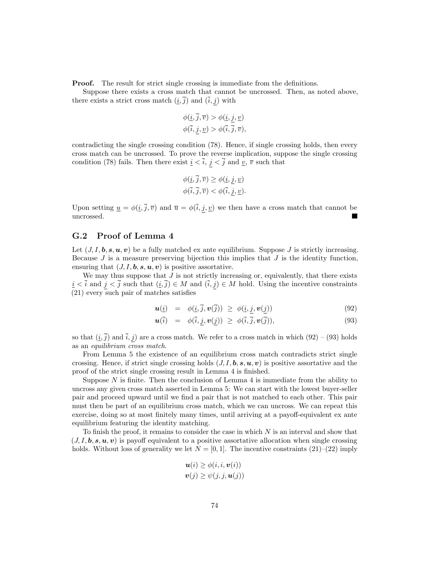**Proof.** The result for strict single crossing is immediate from the definitions.

Suppose there exists a cross match that cannot be uncrossed. Then, as noted above, there exists a strict cross match  $(\underline{i}, \overline{j})$  and  $(\overline{i}, j)$  with

$$
\begin{aligned}\n\phi(\underline{i}, \overline{j}, \overline{v}) > \phi(\underline{i}, \underline{j}, \underline{v}) \\
\phi(\overline{i}, \underline{j}, \underline{v}) > \phi(\overline{i}, \overline{j}, \overline{v}),\n\end{aligned}
$$

contradicting the single crossing condition (78). Hence, if single crossing holds, then every cross match can be uncrossed. To prove the reverse implication, suppose the single crossing condition (78) fails. Then there exist  $i \leq \overline{i}$ ,  $j < \overline{j}$  and  $\underline{v}$ ,  $\overline{v}$  such that

$$
\begin{aligned}\n\phi(\underline{i}, \overline{j}, \overline{v}) &\ge \phi(\underline{i}, \underline{j}, \underline{v}) \\
\phi(\overline{i}, \overline{j}, \overline{v}) < \phi(\overline{i}, \underline{j}, \underline{v}).\n\end{aligned}
$$

Upon setting  $\underline{u} = \phi(\underline{i}, \overline{j}, \overline{v})$  and  $\overline{u} = \phi(\overline{i}, j, \underline{v})$  we then have a cross match that cannot be uncrossed.

### G.2 Proof of Lemma 4

Let  $(J, I, b, s, u, v)$  be a fully matched ex ante equilibrium. Suppose J is strictly increasing. Because  $J$  is a measure preserving bijection this implies that  $J$  is the identity function, ensuring that  $(J, I, b, s, u, v)$  is positive assortative.

We may thus suppose that  $J$  is not strictly increasing or, equivalently, that there exists  $i \leq \bar{i}$  and  $j \leq \bar{j}$  such that  $(i, \bar{j}) \in M$  and  $(\bar{i}, j) \in M$  hold. Using the incentive constraints (21) every such pair of matches satisfies

$$
\boldsymbol{u}(\underline{i}) = \phi(\underline{i}, \overline{j}, \boldsymbol{v}(\overline{j})) \geq \phi(\underline{i}, \underline{j}, \boldsymbol{v}(\underline{j})) \tag{92}
$$

$$
\mathbf{u}(\overline{i}) = \phi(\overline{i}, j, \mathbf{v}(j)) \geq \phi(\overline{i}, \overline{j}, \mathbf{v}(\overline{j})), \tag{93}
$$

so that  $(i, \overline{j})$  and  $\overline{i}, j$  are a cross match. We refer to a cross match in which  $(92) - (93)$  holds as an equilibrium cross match.

From Lemma 5 the existence of an equilibrium cross match contradicts strict single crossing. Hence, if strict single crossing holds  $(J, I, b, s, u, v)$  is positive assortative and the proof of the strict single crossing result in Lemma 4 is finished.

Suppose  $N$  is finite. Then the conclusion of Lemma 4 is immediate from the ability to uncross any given cross match asserted in Lemma 5: We can start with the lowest buyer-seller pair and proceed upward until we find a pair that is not matched to each other. This pair must then be part of an equilibrium cross match, which we can uncross. We can repeat this exercise, doing so at most finitely many times, until arriving at a payoff-equivalent ex ante equilibrium featuring the identity matching.

To finish the proof, it remains to consider the case in which  $N$  is an interval and show that  $(J, I, b, s, u, v)$  is payoff equivalent to a positive assortative allocation when single crossing holds. Without loss of generality we let  $N = [0, 1]$ . The incentive constraints  $(21)$ – $(22)$  imply

$$
\mathbf{u}(i) \geq \phi(i, i, \mathbf{v}(i))
$$
  

$$
\mathbf{v}(j) \geq \psi(j, j, \mathbf{u}(j))
$$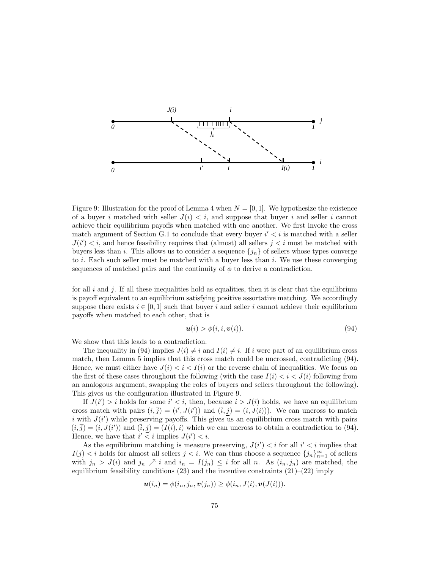

Figure 9: Illustration for the proof of Lemma 4 when  $N = [0, 1]$ . We hypothesize the existence of a buyer i matched with seller  $J(i) < i$ , and suppose that buyer i and seller i cannot achieve their equilibrium payoffs when matched with one another. We first invoke the cross match argument of Section G.1 to conclude that every buyer  $i' < i$  is matched with a seller  $J(i') < i$ , and hence feasibility requires that (almost) all sellers  $j < i$  must be matched with buyers less than i. This allows us to consider a sequence  $\{j_n\}$  of sellers whose types converge to i. Each such seller must be matched with a buyer less than i. We use these converging sequences of matched pairs and the continuity of  $\phi$  to derive a contradiction.

for all i and j. If all these inequalities hold as equalities, then it is clear that the equilibrium is payoff equivalent to an equilibrium satisfying positive assortative matching. We accordingly suppose there exists  $i \in [0,1]$  such that buyer i and seller i cannot achieve their equilibrium payoffs when matched to each other, that is

$$
\mathbf{u}(i) > \phi(i, i, \mathbf{v}(i)).\tag{94}
$$

We show that this leads to a contradiction.

The inequality in (94) implies  $J(i) \neq i$  and  $I(i) \neq i$ . If i were part of an equilibrium cross match, then Lemma 5 implies that this cross match could be uncrossed, contradicting (94). Hence, we must either have  $J(i) < i < I(i)$  or the reverse chain of inequalities. We focus on the first of these cases throughout the following (with the case  $I(i) < i < J(i)$  following from an analogous argument, swapping the roles of buyers and sellers throughout the following). This gives us the configuration illustrated in Figure 9.

If  $J(i') > i$  holds for some  $i' < i$ , then, because  $i > J(i)$  holds, we have an equilibrium cross match with pairs  $(i,\overline{j}) = (i',J(i'))$  and  $(\overline{i},j) = (i,J(i))$ . We can uncross to match i with  $J(i')$  while preserving payoffs. This gives us an equilibrium cross match with pairs  $(i,\overline{j}) = (i, J(i'))$  and  $(\overline{i}, j) = (I(i), i)$  which we can uncross to obtain a contradiction to (94). Hence, we have that  $i' \leq i$  implies  $J(i') < i$ .

As the equilibrium matching is measure preserving,  $J(i') < i$  for all  $i' < i$  implies that  $I(j) < i$  holds for almost all sellers  $j < i$ . We can thus choose a sequence  $\{j_n\}_{n=1}^{\infty}$  of sellers with  $j_n > J(i)$  and  $j_n \nearrow i$  and  $i_n = I(j_n) \leq i$  for all n. As  $(i_n, j_n)$  are matched, the equilibrium feasibility conditions  $(23)$  and the incentive constraints  $(21)–(22)$  imply

$$
\boldsymbol{u}(i_n)=\phi(i_n,j_n,\boldsymbol{v}(j_n))\geq \phi(i_n,J(i),\boldsymbol{v}(J(i))).
$$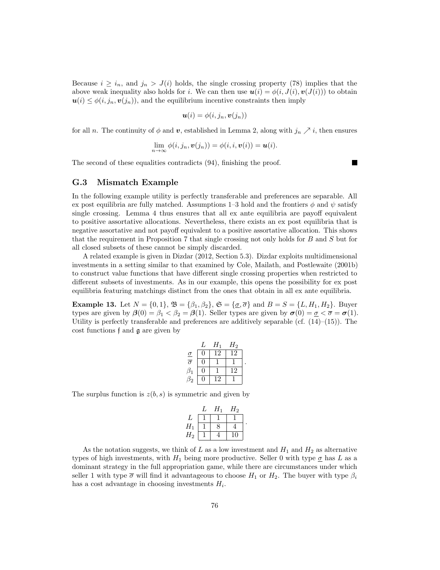Because  $i \geq i_n$ , and  $j_n > J(i)$  holds, the single crossing property (78) implies that the above weak inequality also holds for i. We can then use  $u(i) = \phi(i, J(i), v(J(i)))$  to obtain  $u(i) \leq \phi(i, j_n, v(j_n))$ , and the equilibrium incentive constraints then imply

$$
\boldsymbol{u}(i) = \phi(i, j_n, \boldsymbol{v}(j_n))
$$

for all n. The continuity of  $\phi$  and v, established in Lemma 2, along with  $j_n \nearrow i$ , then ensures

$$
\lim_{n\to\infty}\phi(i,j_n,\boldsymbol{v}(j_n))=\phi(i,i,\boldsymbol{v}(i))=\boldsymbol{u}(i).
$$

The second of these equalities contradicts (94), finishing the proof.

 $\blacksquare$ 

#### G.3 Mismatch Example

In the following example utility is perfectly transferable and preferences are separable. All ex post equilibria are fully matched. Assumptions 1–3 hold and the frontiers  $\phi$  and  $\psi$  satisfy single crossing. Lemma 4 thus ensures that all ex ante equilibria are payoff equivalent to positive assortative allocations. Nevertheless, there exists an ex post equilibria that is negative assortative and not payoff equivalent to a positive assortative allocation. This shows that the requirement in Proposition 7 that single crossing not only holds for B and S but for all closed subsets of these cannot be simply discarded.

A related example is given in Dizdar (2012, Section 5.3). Dizdar exploits multidimensional investments in a setting similar to that examined by Cole, Mailath, and Postlewaite (2001b) to construct value functions that have different single crossing properties when restricted to different subsets of investments. As in our example, this opens the possibility for ex post equilibria featuring matchings distinct from the ones that obtain in all ex ante equilibria.

**Example 13.** Let  $N = \{0, 1\}$ ,  $\mathfrak{B} = \{\beta_1, \beta_2\}$ ,  $\mathfrak{S} = \{\underline{\sigma}, \overline{\sigma}\}$  and  $B = S = \{L, H_1, H_2\}$ . Buyer types are given by  $\beta(0) = \beta_1 < \beta_2 = \beta(1)$ . Seller types are given by  $\sigma(0) = \sigma \leq \overline{\sigma} = \sigma(1)$ . Utility is perfectly transferable and preferences are additively separable (cf.  $(14)–(15)$ ). The cost functions f and g are given by

|                                    | L | $H_1$  | $H_2$ |  |
|------------------------------------|---|--------|-------|--|
|                                    | 0 | 12     | 12    |  |
| $\frac{\sigma}{\overline{\sigma}}$ |   |        |       |  |
|                                    |   |        | 12    |  |
| $\frac{\beta_1}{\beta_2}$          |   | ا (° ا |       |  |
|                                    |   |        |       |  |

The surplus function is  $z(b, s)$  is symmetric and given by

|       | $\,H_1$ | $\,H_2$ |  |
|-------|---------|---------|--|
| L     |         |         |  |
| $H_1$ |         |         |  |
| $H_2$ |         |         |  |

As the notation suggests, we think of  $L$  as a low investment and  $H_1$  and  $H_2$  as alternative types of high investments, with  $H_1$  being more productive. Seller 0 with type  $\sigma$  has L as a dominant strategy in the full appropriation game, while there are circumstances under which seller 1 with type  $\bar{\sigma}$  will find it advantageous to choose  $H_1$  or  $H_2$ . The buyer with type  $\beta_i$ has a cost advantage in choosing investments  $H_i$ .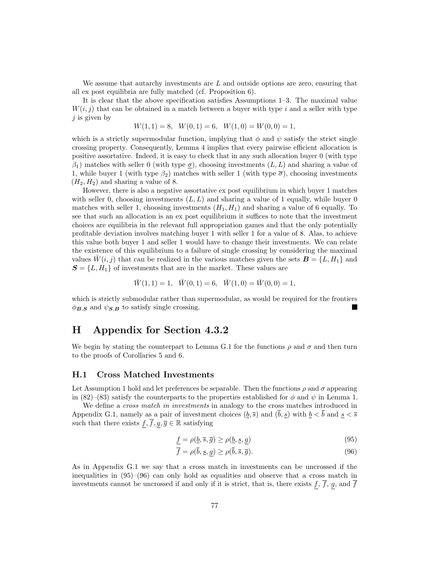We assume that autarchy investments are  $L$  and outside options are zero, ensuring that all ex post equilibria are fully matched (cf. Proposition 6).

It is clear that the above specification satisfies Assumptions 1–3. The maximal value  $W(i, j)$  that can be obtained in a match between a buyer with type i and a seller with type  $j$  is given by

$$
W(1,1) = 8, \quad W(0,1) = 6, \quad W(1,0) = W(0,0) = 1,
$$

which is a strictly supermodular function, implying that  $\phi$  and  $\psi$  satisfy the strict single crossing property. Consequently, Lemma 4 implies that every pairwise efficient allocation is positive assortative. Indeed, it is easy to check that in any such allocation buyer 0 (with type  $\beta_1$ ) matches with seller 0 (with type  $\sigma$ ), choosing investments  $(L, L)$  and sharing a value of 1, while buyer 1 (with type  $\beta_2$ ) matches with seller 1 (with type  $\overline{\sigma}$ ), choosing investments  $(H_2, H_2)$  and sharing a value of 8.

However, there is also a negative assortative ex post equilibrium in which buyer 1 matches with seller 0, choosing investments  $(L, L)$  and sharing a value of 1 equally, while buyer 0 matches with seller 1, choosing investments  $(H_1, H_1)$  and sharing a value of 6 equally. To see that such an allocation is an ex post equilibrium it suffices to note that the investment choices are equilibria in the relevant full appropriation games and that the only potentially profitable deviation involves matching buyer 1 with seller 1 for a value of 8. Alas, to achieve this value both buyer 1 and seller 1 would have to change their investments. We can relate the existence of this equilibrium to a failure of single crossing by considering the maximal values  $W(i, j)$  that can be realized in the various matches given the sets  $\mathbf{B} = \{L, H_1\}$  and  $S = \{L, H_1\}$  of investments that are in the market. These values are

$$
\breve{W}(1,1) = 1
$$
,  $\breve{W}(0,1) = 6$ ,  $\breve{W}(1,0) = \breve{W}(0,0) = 1$ ,

which is strictly submodular rather than supermodular, as would be required for the frontiers  $\phi_{\mathbf{B},\mathbf{S}}$  and  $\psi_{\mathbf{S},\mathbf{B}}$  to satisfy single crossing.

# H Appendix for Section 4.3.2

We begin by stating the counterpart to Lemma G.1 for the functions  $\rho$  and  $\sigma$  and then turn to the proofs of Corollaries 5 and 6.

#### H.1 Cross Matched Investments

Let Assumption 1 hold and let preferences be separable. Then the functions  $\rho$  and  $\sigma$  appearing in (82)–(83) satisfy the counterparts to the properties established for  $\phi$  and  $\psi$  in Lemma 1.

We define a *cross match in investments* in analogy to the cross matches introduced in Appendix G.1, namely as a pair of investment choices  $(\underline{b}, \overline{s})$  and  $(\overline{b}, \underline{s})$  with  $\underline{b} < \overline{b}$  and  $\underline{s} < \overline{s}$ such that there exists  $f, \overline{f}, g, \overline{g} \in \mathbb{R}$  satisfying

$$
\underline{f} = \rho(\underline{b}, \overline{s}, \overline{g}) \ge \rho(\underline{b}, \underline{s}, \underline{g}) \tag{95}
$$

$$
\overline{f} = \rho(\overline{b}, \underline{s}, g) \ge \rho(\overline{b}, \overline{s}, \overline{g}). \tag{96}
$$

As in Appendix G.1 we say that a cross match in investments can be uncrossed if the inequalities in (95)–(96) can only hold as equalities and observe that a cross match in investments cannot be uncrossed if and only if it is strict, that is, there exists  $f, \overline{f}, g$ , and  $\overline{f}$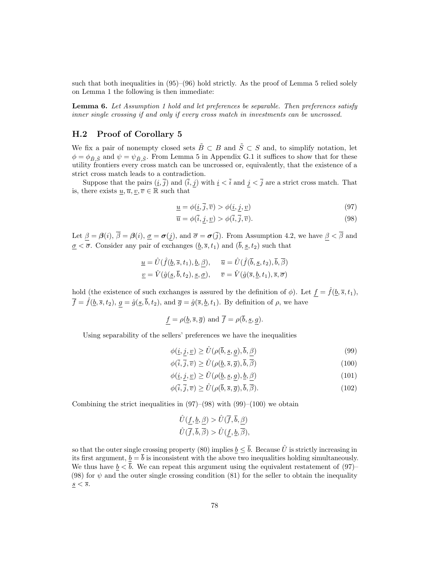such that both inequalities in  $(95)$ – $(96)$  hold strictly. As the proof of Lemma 5 relied solely on Lemma 1 the following is then immediate:

Lemma 6. Let Assumption 1 hold and let preferences be separable. Then preferences satisfy inner single crossing if and only if every cross match in investments can be uncrossed.

### H.2 Proof of Corollary 5

We fix a pair of nonempty closed sets  $\tilde{B} \subset B$  and  $\tilde{S} \subset S$  and, to simplify notation, let  $\phi = \phi_{\tilde{B}, \tilde{S}}$  and  $\psi = \psi_{\tilde{B}, \tilde{S}}$ . From Lemma 5 in Appendix G.1 it suffices to show that for these utility frontiers every cross match can be uncrossed or, equivalently, that the existence of a strict cross match leads to a contradiction.

Suppose that the pairs  $(i, \overline{j})$  and  $(\overline{i}, j)$  with  $i < \overline{i}$  and  $j < \overline{j}$  are a strict cross match. That is, there exists  $u, \overline{u}, \underline{v}, \overline{v} \in \mathbb{R}$  such that

$$
\underline{u} = \phi(\underline{i}, \overline{j}, \overline{v}) > \phi(\underline{i}, j, \underline{v}) \tag{97}
$$

$$
\overline{u} = \phi(\overline{i}, j, \underline{v}) > \phi(\overline{i}, \overline{j}, \overline{v}). \tag{98}
$$

Let  $\beta = \beta(i)$ ,  $\overline{\beta} = \beta(i)$ ,  $\underline{\sigma} = \sigma(j)$ , and  $\overline{\sigma} = \sigma(j)$ . From Assumption 4.2, we have  $\beta < \overline{\beta}$  and  $\sigma < \overline{\sigma}$ . Consider any pair of exchanges  $(b, \overline{s}, t_1)$  and  $(\overline{b}, \underline{s}, t_2)$  such that

$$
\underline{u} = \hat{U}(\hat{f}(\underline{b}, \overline{s}, t_1), \underline{b}, \underline{\beta}), \quad \overline{u} = \hat{U}(\hat{f}(\overline{b}, \underline{s}, t_2), \overline{b}, \overline{\beta})
$$
  

$$
\underline{v} = \hat{V}(\hat{g}(\underline{s}, \overline{b}, t_2), \underline{s}, \underline{\sigma}), \quad \overline{v} = \hat{V}(\hat{g}(\overline{s}, \underline{b}, t_1), \overline{s}, \overline{\sigma})
$$

hold (the existence of such exchanges is assured by the definition of  $\phi$ ). Let  $f = f(\underline{b}, \overline{s}, t_1)$ ,  $\overline{f} = \hat{f}(\underline{b}, \overline{s}, t_2), \underline{g} = \hat{g}(\underline{s}, \overline{b}, t_2), \text{ and } \overline{g} = \hat{g}(\overline{s}, \underline{b}, t_1).$  By definition of  $\rho$ , we have

$$
\underline{f} = \rho(\underline{b}, \overline{s}, \overline{g})
$$
 and  $\overline{f} = \rho(\overline{b}, \underline{s}, \underline{g}).$ 

Using separability of the sellers' preferences we have the inequalities

$$
\phi(\underline{i}, j, \underline{v}) \ge \hat{U}(\rho(\overline{b}, \underline{s}, g), \overline{b}, \beta) \tag{99}
$$

$$
\phi(\bar{i}, \bar{j}, \bar{v}) \ge \hat{U}(\rho(\underline{b}, \bar{s}, \bar{g}), \bar{b}, \bar{\beta}) \tag{100}
$$

$$
\phi(\underline{i}, \underline{j}, \underline{v}) \ge \hat{U}(\rho(\underline{b}, \underline{s}, \underline{g}), \underline{b}, \underline{\beta}) \tag{101}
$$

$$
\phi(\overline{i}, \overline{j}, \overline{v}) \ge \hat{U}(\rho(\overline{b}, \overline{s}, \overline{g}), \overline{b}, \overline{\beta}). \tag{102}
$$

Combining the strict inequalities in  $(97)$ – $(98)$  with  $(99)$ – $(100)$  we obtain

$$
\hat{U}(\underline{f}, \underline{b}, \underline{\beta}) > \hat{U}(\overline{f}, \overline{b}, \underline{\beta}) \n\hat{U}(\overline{f}, \overline{b}, \overline{\beta}) > \hat{U}(\underline{f}, \underline{b}, \overline{\beta}),
$$

so that the outer single crossing property (80) implies  $b \leq \bar{b}$ . Because  $\hat{U}$  is strictly increasing in its first argument,  $b = \overline{b}$  is inconsistent with the above two inequalities holding simultaneously. We thus have  $b < \overline{b}$ . We can repeat this argument using the equivalent restatement of (97)– (98) for  $\psi$  and the outer single crossing condition (81) for the seller to obtain the inequality  $\underline{s} < \overline{s}$ .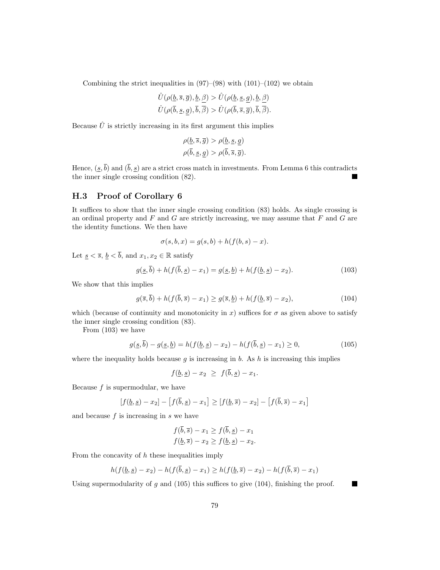Combining the strict inequalities in  $(97)$ – $(98)$  with  $(101)$ – $(102)$  we obtain

$$
\hat{U}(\rho(\underline{b},\overline{s},\overline{g}),\underline{b},\underline{\beta}) > \hat{U}(\rho(\underline{b},\underline{s},\underline{g}),\underline{b},\underline{\beta}) \n\hat{U}(\rho(\overline{b},\underline{s},g),\overline{b},\overline{\beta}) > \hat{U}(\rho(\overline{b},\overline{s},\overline{g}),\overline{b},\overline{\beta}).
$$

Because  $\hat{U}$  is strictly increasing in its first argument this implies

$$
\rho(\underline{b}, \overline{s}, \overline{g}) > \rho(\underline{b}, \underline{s}, \underline{g})
$$

$$
\rho(\overline{b}, \underline{s}, \underline{g}) > \rho(\overline{b}, \overline{s}, \overline{g}).
$$

Hence,  $(\underline{s}, \overline{b})$  and  $(\overline{b}, \underline{s})$  are a strict cross match in investments. From Lemma 6 this contradicts the inner single crossing condition (82).

#### H.3 Proof of Corollary 6

It suffices to show that the inner single crossing condition (83) holds. As single crossing is an ordinal property and  $F$  and  $G$  are strictly increasing, we may assume that  $F$  and  $G$  are the identity functions. We then have

$$
\sigma(s, b, x) = g(s, b) + h(f(b, s) - x).
$$

Let  $\underline{s} < \overline{s}, \underline{b} < \overline{b}$ , and  $x_1, x_2 \in \mathbb{R}$  satisfy

$$
g(\underline{s}, \overline{b}) + h(f(\overline{b}, \underline{s}) - x_1) = g(\underline{s}, \underline{b}) + h(f(\underline{b}, \underline{s}) - x_2). \tag{103}
$$

We show that this implies

$$
g(\overline{s}, \overline{b}) + h(f(\overline{b}, \overline{s}) - x_1) \ge g(\overline{s}, \underline{b}) + h(f(\underline{b}, \overline{s}) - x_2),
$$
\n(104)

which (because of continuity and monotonicity in x) suffices for  $\sigma$  as given above to satisfy the inner single crossing condition (83).

From (103) we have

$$
g(\underline{s}, \overline{b}) - g(\underline{s}, \underline{b}) = h(f(\underline{b}, \underline{s}) - x_2) - h(f(\overline{b}, \underline{s}) - x_1) \ge 0,
$$
\n(105)

 $\overline{\phantom{a}}$ 

where the inequality holds because  $g$  is increasing in  $b$ . As  $h$  is increasing this implies

$$
f(\underline{b},\underline{s}) - x_2 \geq f(\overline{b},\underline{s}) - x_1.
$$

Because  $f$  is supermodular, we have

$$
[f(\underline{b},\underline{s}) - x_2] - [f(\overline{b},\underline{s}) - x_1] \geq [f(\underline{b},\overline{s}) - x_2] - [f(\overline{b},\overline{s}) - x_1]
$$

and because  $f$  is increasing in  $s$  we have

$$
f(\overline{b}, \overline{s}) - x_1 \ge f(\overline{b}, \underline{s}) - x_1
$$
  

$$
f(\underline{b}, \overline{s}) - x_2 \ge f(\underline{b}, \underline{s}) - x_2.
$$

From the concavity of  $h$  these inequalities imply

$$
h(f(\underline{b}, \underline{s}) - x_2) - h(f(\overline{b}, \underline{s}) - x_1) \ge h(f(\underline{b}, \overline{s}) - x_2) - h(f(\overline{b}, \overline{s}) - x_1)
$$

Using supermodularity of  $g$  and (105) this suffices to give (104), finishing the proof.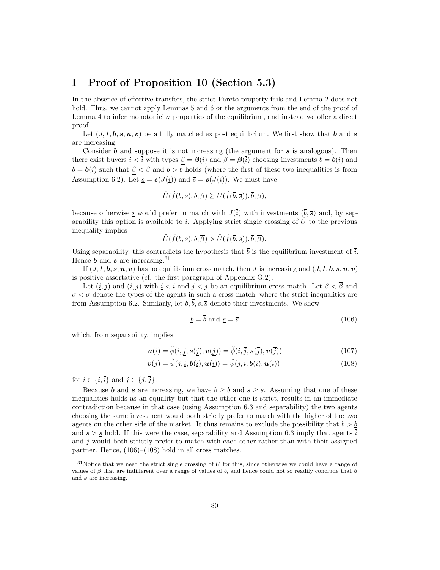## I Proof of Proposition 10 (Section 5.3)

In the absence of effective transfers, the strict Pareto property fails and Lemma 2 does not hold. Thus, we cannot apply Lemmas 5 and 6 or the arguments from the end of the proof of Lemma 4 to infer monotonicity properties of the equilibrium, and instead we offer a direct proof.

Let  $(J, I, b, s, u, v)$  be a fully matched ex post equilibrium. We first show that **b** and **s** are increasing.

Consider  $\boldsymbol{b}$  and suppose it is not increasing (the argument for  $\boldsymbol{s}$  is analogous). Then there exist buyers  $i < \bar{i}$  with types  $\beta = \beta(i)$  and  $\overline{\beta} = \beta(\overline{i})$  choosing investments  $\underline{b} = b(i)$  and  $\bar{b} = \bm{b}(\bar{i})$  such that  $\beta < \bar{\beta}$  and  $\underline{b} > \bar{b}$  holds (where the first of these two inequalities is from Assumption 6.2). Let  $\underline{s} = \mathbf{s}(J(\underline{i}))$  and  $\overline{s} = \mathbf{s}(J(\overline{i}))$ . We must have

$$
\hat{U}(\hat{f}(\underline{b},\underline{s}),\underline{b},\beta) \ge \hat{U}(\hat{f}(\overline{b},\overline{s})),\overline{b},\beta),
$$

because otherwise i would prefer to match with  $J(\bar{i})$  with investments  $(\bar{b}, \bar{s})$  and, by separability this option is available to i. Applying strict single crossing of  $\hat{U}$  to the previous inequality implies

$$
\hat{U}(\hat{f}(\underline{b},\underline{s}),\underline{b},\overline{\beta}) > \hat{U}(\hat{f}(\overline{b},\overline{s})),\overline{b},\overline{\beta}).
$$

Using separability, this contradicts the hypothesis that  $\bar{b}$  is the equilibrium investment of  $\bar{i}$ . Hence **b** and **s** are increasing.<sup>31</sup>

If  $(J, I, b, s, u, v)$  has no equilibrium cross match, then J is increasing and  $(J, I, b, s, u, v)$ is positive assortative (cf. the first paragraph of Appendix G.2).

Let  $(i, \overline{j})$  and  $(\overline{i}, j)$  with  $i < \overline{i}$  and  $j < \overline{j}$  be an equilibrium cross match. Let  $\beta < \overline{\beta}$  and  $\sigma < \overline{\sigma}$  denote the types of the agents in such a cross match, where the strict inequalities are from Assumption 6.2. Similarly, let  $b, \overline{b}, s, \overline{s}$  denote their investments. We show

$$
\underline{b} = b \text{ and } \underline{s} = \overline{s} \tag{106}
$$

which, from separability, implies

$$
\mathbf{u}(i) = \breve{\phi}(i, j, \mathbf{s}(j), \mathbf{v}(j)) = \breve{\phi}(i, \overline{j}, \mathbf{s}(\overline{j}), \mathbf{v}(\overline{j})) \tag{107}
$$

$$
\boldsymbol{v}(j) = \breve{\psi}(j, \underline{i}, \boldsymbol{b}(\underline{i}), \boldsymbol{u}(\underline{i})) = \breve{\psi}(j, \overline{i}, \boldsymbol{b}(\overline{i}), \boldsymbol{u}(\overline{i})) \tag{108}
$$

for  $i \in \{\underline{i}, \overline{i}\}\$ and  $j \in \{\underline{j}, \overline{j}\}.$ 

Because **b** and **s** are increasing, we have  $\overline{b} \geq \underline{b}$  and  $\overline{s} \geq \underline{s}$ . Assuming that one of these inequalities holds as an equality but that the other one is strict, results in an immediate contradiction because in that case (using Assumption 6.3 and separability) the two agents choosing the same investment would both strictly prefer to match with the higher of the two agents on the other side of the market. It thus remains to exclude the possibility that  $\bar{b} > b$ and  $\bar{s} > s$  hold. If this were the case, separability and Assumption 6.3 imply that agents  $\bar{i}$ and  $\overline{j}$  would both strictly prefer to match with each other rather than with their assigned partner. Hence, (106)–(108) hold in all cross matches.

<sup>&</sup>lt;sup>31</sup>Notice that we need the strict single crossing of  $\hat{U}$  for this, since otherwise we could have a range of values of  $\beta$  that are indifferent over a range of values of b, and hence could not so readily conclude that **b** and  $s$  are increasing.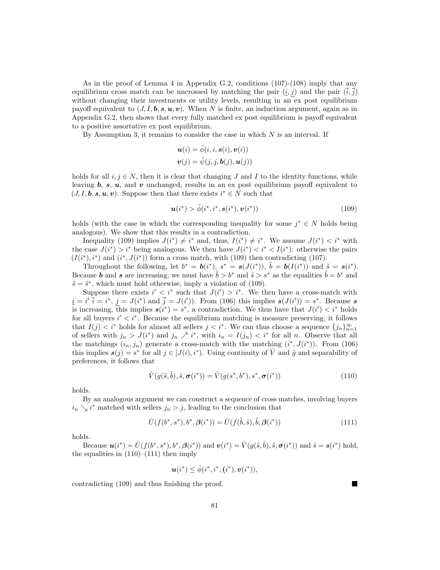As in the proof of Lemma 4 in Appendix G.2, conditions (107)-(108) imply that any equilibrium cross match can be uncrossed by matching the pair  $(i, j)$  and the pair  $(i, \overline{j})$ without changing their investments or utility levels, resulting in an ex post equilibrium payoff equivalent to  $(J, I, b, s, u, v)$ . When N is finite, an induction argument, again as in Appendix G.2, then shows that every fully matched ex post equilibrium is payoff equivalent to a positive assortative ex post equilibrium.

By Assumption 3, it remains to consider the case in which  $N$  is an interval. If

$$
\mathbf{u}(i) = \breve{\phi}(i, i, \mathbf{s}(i), \mathbf{v}(i))
$$

$$
\mathbf{v}(j) = \breve{\psi}(j, j, \mathbf{b}(j), \mathbf{u}(j))
$$

holds for all  $i, j \in N$ , then it is clear that changing J and I to the identity functions, while leaving  $b, s, u$ , and v unchanged, results in an ex post equilibrium payoff equivalent to  $(J, I, b, s, u, v)$ . Suppose then that there exists  $i^* \in N$  such that

$$
\mathbf{u}(i^*) > \breve{\phi}(i^*, i^*, \mathbf{s}(i^*), \mathbf{v}(i^*)) \tag{109}
$$

holds (with the case in which the corresponding inequality for some  $j^* \in N$  holds being analogous). We show that this results in a contradiction.

Inequality (109) implies  $J(i^*) \neq i^*$  and, thus,  $I(i^*) \neq i^*$ . We assume  $J(i^*) < i^*$  with the case  $J(i^*) > i^*$  being analogous. We then have  $J(i^*) < i^* < I(i^*)$ : otherwise the pairs  $(I(i^*), i^*)$  and  $(i^*, J(i^*))$  form a cross match, with (109) then contradicting (107).

Throughout the following, let  $b^* = b(i^*), s^* = s(J(i^*)), \tilde{b} = b(I(i^*))$  and  $\tilde{s} = s(i^*)$ . Because **b** and **s** are increasing, we must have  $\tilde{b} > b^*$  and  $\tilde{s} > s^*$  as the equalities  $\tilde{b} = b^*$  and  $\tilde{s} = \tilde{s}^*$ , which must hold otherwise, imply a violation of (109).

Suppose there exists  $i' < i^*$  such that  $J(i') > i^*$ . We then have a cross-match with  $\underline{i} = i' \overline{i} = i^*, j = J(i^*)$  and  $\overline{j} = J(i')$ . From (106) this implies  $s(J(i')) = s^*$ . Because s is increasing, this implies  $s(i^*) = s^*$ , a contradiction. We thus have that  $J(i') < i^*$  holds for all buyers  $i' < i^*$ . Because the equilibrium matching is measure preserving, it follows that  $I(j) < i^*$  holds for almost all sellers  $j < i^*$ . We can thus choose a sequence  $\{j_n\}_{n=1}^{\infty}$ of sellers with  $j_n > J(i^*)$  and  $j_n \nearrow i^*$ , with  $i_n = I(j_n) < i^*$  for all n. Observe that all the matchings  $(i_n, j_n)$  generate a cross-match with the matching  $(i^*, J(i^*))$ . From (106) this implies  $s(j) = s^*$  for all  $j \in [J(i), i^*$ . Using continuity of  $\hat{V}$  and  $\hat{g}$  and separability of preferences, it follows that

$$
\hat{V}(g(\tilde{s},\tilde{b}),\tilde{s},\sigma(i^*)) = \hat{V}(g(s^*,b^*),s^*,\sigma(i^*))
$$
\n(110)

holds.

By an analogous argument we can construct a sequence of cross matches, involving buyers  $i_n \searrow i^*$  matched with sellers  $j_n > j$ , leading to the conclusion that

$$
\hat{U}(f(b^*,s^*),b^*,\beta(i^*)) = \hat{U}(f(\tilde{b},\tilde{s}),\tilde{b},\beta(i^*))
$$
\n(111)

holds.

Because  $\mathbf{u}(i^*) = \hat{U}(f(b^*, s^*), b^*, \boldsymbol{\beta}(i^*))$  and  $\mathbf{v}(i^*) = \hat{V}(g(\tilde{s}, \tilde{b}), \tilde{s}, \boldsymbol{\sigma}(i^*))$  and  $\tilde{s} = \mathbf{s}(i^*)$  hold, the equalities in  $(110)–(111)$  then imply

$$
\bm{u}(i^*) \leq \breve{\phi}(i^*,i^*,(i^*),\bm{v}(i^*)),
$$

contradicting (109) and thus finishing the proof.

 $\overline{\phantom{a}}$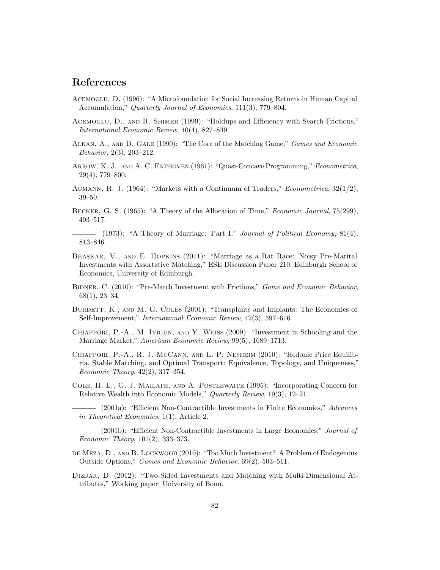### References

- Acemoglu, D. (1996): "A Microfoundation for Social Increasing Returns in Human Capital Accumulation," Quarterly Journal of Economics, 111(3), 779–804.
- Acemoglu, D., and R. Shimer (1999): "Holdups and Efficiency with Search Frictions," International Economic Review, 40(4), 827–849.
- ALKAN, A., AND D. GALE (1990): "The Core of the Matching Game," Games and Economic Behavior, 2(3), 203–212.
- Arrow, K. J., and A. C. Enthoven (1961): "Quasi-Concave Programming," Econometrica, 29(4), 779–800.
- Aumann, R. J. (1964): "Markets with a Continuum of Traders," Econometrica, 32(1/2), 39–50.
- BECKER, G. S. (1965): "A Theory of the Allocation of Time," *Economic Journal*, 75(299), 493–517.

 $\hspace{1.5cm}$  (1973): "A Theory of Marriage: Part I," Journal of Political Economy, 81(4), 813–846.

- Bhaskar, V., and E. Hopkins (2011): "Marriage as a Rat Race: Noisy Pre-Marital Investments with Assortative Matching," ESE Discussion Paper 210, Edinburgh School of Economics, University of Edinburgh.
- Bidner, C. (2010): "Pre-Match Investment wtih Frictions," Game and Economic Behavior, 68(1), 23–34.
- BURDETT, K., AND M. G. COLES (2001): "Transplants and Implants: The Economics of Self-Improvement," International Economic Review, 42(3), 597–616.
- Chiappori, P.-A., M. Iyigun, and Y. Weiss (2009): "Investment in Schooling and the Marriage Market," American Economic Review, 99(5), 1689–1713.
- Chiappori, P.-A., R. J. McCann, and L. P. Nesheim (2010): "Hedonic Price Equilibria, Stable Matching, and Optimal Transport: Equivalence, Topology, and Uniqueness," Economic Theory, 42(2), 317–354.
- Cole, H. L., G. J. Mailath, and A. Postlewaite (1995): "Incorporating Concern for Relative Wealth into Economic Models," Quarterly Review, 19(3), 12–21.
- (2001a): "Efficient Non-Contractible Investments in Finite Economies," Advances in Theoretical Economics, 1(1), Article 2.
- (2001b): "Efficient Non-Contractible Investments in Large Economies," Journal of Economic Theory, 101(2), 333–373.
- de Meza, D., and B. Lockwood (2010): "Too Much Investment? A Problem of Endogenous Outside Options," Games and Economic Behavior, 69(2), 503–511.
- DIZDAR, D. (2012): "Two-Sided Investments and Matching with Multi-Dimensional Attributes," Working paper, University of Bonn.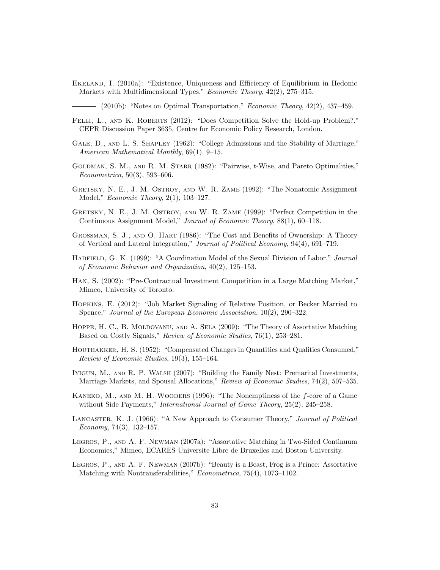Ekeland, I. (2010a): "Existence, Uniqueness and Efficiency of Equilibrium in Hedonic Markets with Multidimensional Types," Economic Theory, 42(2), 275–315.

 $-$  (2010b): "Notes on Optimal Transportation," *Economic Theory*, 42(2), 437-459.

- FELLI, L., AND K. ROBERTS (2012): "Does Competition Solve the Hold-up Problem?," CEPR Discussion Paper 3635, Centre for Economic Policy Research, London.
- GALE, D., AND L. S. SHAPLEY (1962): "College Admissions and the Stability of Marriage," American Mathematical Monthly, 69(1), 9–15.
- GOLDMAN, S. M., AND R. M. STARR (1982): "Pairwise, t-Wise, and Pareto Optimalities," Econometrica, 50(3), 593–606.
- GRETSKY, N. E., J. M. OSTROY, AND W. R. ZAME (1992): "The Nonatomic Assignment Model," Economic Theory, 2(1), 103–127.
- GRETSKY, N. E., J. M. OSTROY, AND W. R. ZAME (1999): "Perfect Competition in the Continuous Assignment Model," Journal of Economic Theory, 88(1), 60–118.
- Grossman, S. J., and O. Hart (1986): "The Cost and Benefits of Ownership: A Theory of Vertical and Lateral Integration," Journal of Political Economy, 94(4), 691–719.
- HADFIELD, G. K. (1999): "A Coordination Model of the Sexual Division of Labor," Journal of Economic Behavior and Organization, 40(2), 125–153.
- Han, S. (2002): "Pre-Contractual Investment Competition in a Large Matching Market," Mimeo, University of Toronto.
- Hopkins, E. (2012): "Job Market Signaling of Relative Position, or Becker Married to Spence," Journal of the European Economic Association, 10(2), 290–322.
- HOPPE, H. C., B. MOLDOVANU, AND A. SELA (2009): "The Theory of Assortative Matching Based on Costly Signals," Review of Economic Studies, 76(1), 253–281.
- HOUTHAKKER, H. S. (1952): "Compensated Changes in Quantities and Qualities Consumed," Review of Economic Studies, 19(3), 155–164.
- Iyigun, M., and R. P. Walsh (2007): "Building the Family Nest: Premarital Investments, Marriage Markets, and Spousal Allocations," Review of Economic Studies, 74(2), 507–535.
- Kaneko, M., and M. H. Wooders (1996): "The Nonemptiness of the f-core of a Game without Side Payments," *International Journal of Game Theory*, 25(2), 245–258.
- Lancaster, K. J. (1966): "A New Approach to Consumer Theory," Journal of Political Economy, 74(3), 132–157.
- Legros, P., and A. F. Newman (2007a): "Assortative Matching in Two-Sided Continuum Economies," Mimeo, ECARES Universite Libre de Bruxelles and Boston University.
- Legros, P., and A. F. Newman (2007b): "Beauty is a Beast, Frog is a Prince: Assortative Matching with Nontransferabilities," *Econometrica*, 75(4), 1073–1102.